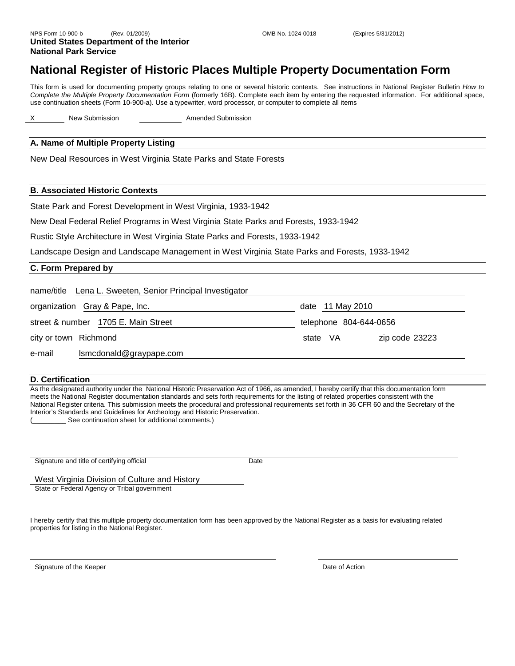# **National Register of Historic Places Multiple Property Documentation Form**

This form is used for documenting property groups relating to one or several historic contexts. See instructions in National Register Bulletin *How to Complete the Multiple Property Documentation Form* (formerly 16B). Complete each item by entering the requested information. For additional space, use continuation sheets (Form 10-900-a). Use a typewriter, word processor, or computer to complete all items

X New Submission **Amended Submission** 

## **A. Name of Multiple Property Listing**

New Deal Resources in West Virginia State Parks and State Forests

#### **B. Associated Historic Contexts**

State Park and Forest Development in West Virginia, 1933-1942

New Deal Federal Relief Programs in West Virginia State Parks and Forests, 1933-1942

Rustic Style Architecture in West Virginia State Parks and Forests, 1933-1942

Landscape Design and Landscape Management in West Virginia State Parks and Forests, 1933-1942

## **C. Form Prepared by**

| name/title Lena L. Sweeten, Senior Principal Investigator |                            |
|-----------------------------------------------------------|----------------------------|
| organization Gray & Pape, Inc.                            | date 11 May 2010           |
| street & number 1705 E. Main Street                       | telephone 804-644-0656     |
| city or town Richmond                                     | zip code 23223<br>state VA |
| Ismcdonald@graypape.com<br>e-mail                         |                            |

#### **D. Certification**

As the designated authority under the National Historic Preservation Act of 1966, as amended, I hereby certify that this documentation form meets the National Register documentation standards and sets forth requirements for the listing of related properties consistent with the National Register criteria. This submission meets the procedural and professional requirements set forth in 36 CFR 60 and the Secretary of the Interior's Standards and Guidelines for Archeology and Historic Preservation.

See continuation sheet for additional comments.)

Signature and title of certifying official **Date** Date

West Virginia Division of Culture and History State or Federal Agency or Tribal government

I hereby certify that this multiple property documentation form has been approved by the National Register as a basis for evaluating related properties for listing in the National Register.

Signature of the Keeper **Date of Action**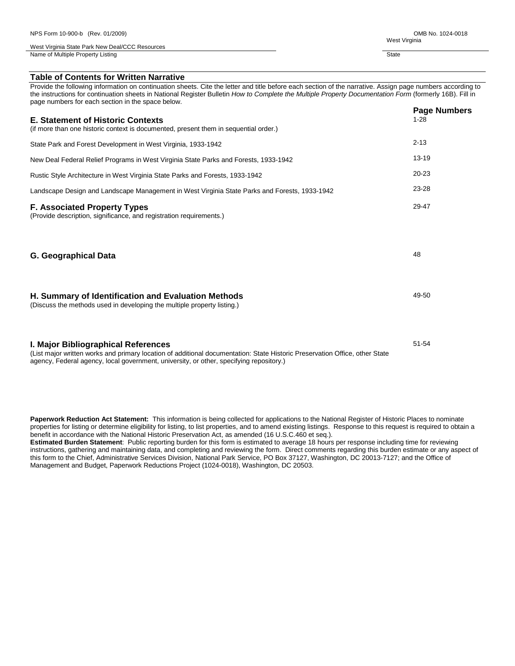Provide the following information on continuation sheets. Cite the letter and title before each section of the narrative. Assign page numbers according to the instructions for continuation sheets in National Register Bulletin *How to Complete the Multiple Property Documentation Form* (formerly 16B). Fill in page numbers for each section in the space below.

|                                                                                                                                                                    | <b>Page Numbers</b> |
|--------------------------------------------------------------------------------------------------------------------------------------------------------------------|---------------------|
| <b>E. Statement of Historic Contexts</b><br>(if more than one historic context is documented, present them in sequential order.)                                   | $1 - 28$            |
| State Park and Forest Development in West Virginia, 1933-1942                                                                                                      | $2 - 13$            |
| New Deal Federal Relief Programs in West Virginia State Parks and Forests, 1933-1942                                                                               | $13 - 19$           |
| Rustic Style Architecture in West Virginia State Parks and Forests, 1933-1942                                                                                      | $20 - 23$           |
| Landscape Design and Landscape Management in West Virginia State Parks and Forests, 1933-1942                                                                      | 23-28               |
| <b>F. Associated Property Types</b><br>(Provide description, significance, and registration requirements.)                                                         | 29-47               |
| <b>G. Geographical Data</b>                                                                                                                                        | 48                  |
| <b>H. Summary of Identification and Evaluation Methods</b><br>(Discuss the methods used in developing the multiple property listing.)                              | 49-50               |
| I. Major Bibliographical References<br>(List maior written works and primary location of additional documentation: State Historic Preservation Office, other State | $51 - 54$           |

(List major written works and primary location of additional documentation: State Historic Preservation Office, other State agency, Federal agency, local government, university, or other, specifying repository.)

**Paperwork Reduction Act Statement:** This information is being collected for applications to the National Register of Historic Places to nominate properties for listing or determine eligibility for listing, to list properties, and to amend existing listings. Response to this request is required to obtain a benefit in accordance with the National Historic Preservation Act, as amended (16 U.S.C.460 et seq.).

**Estimated Burden Statement**: Public reporting burden for this form is estimated to average 18 hours per response including time for reviewing instructions, gathering and maintaining data, and completing and reviewing the form. Direct comments regarding this burden estimate or any aspect of this form to the Chief, Administrative Services Division, National Park Service, PO Box 37127, Washington, DC 20013-7127; and the Office of Management and Budget, Paperwork Reductions Project (1024-0018), Washington, DC 20503.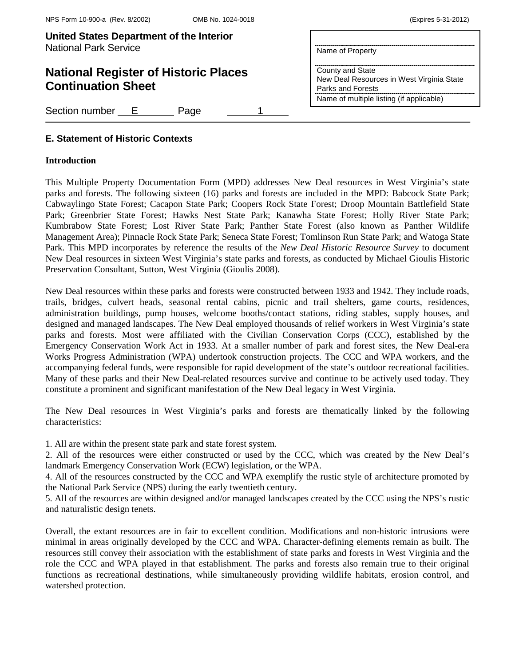| <b>United States Department of the Interior</b> |                  |
|-------------------------------------------------|------------------|
| <b>National Park Service</b>                    | Name of Property |

# **National Register of Historic Places Continuation Sheet**

Section number E Page

County and State New Deal Resources in West Virginia State Parks and Forests Name of multiple listing (if applicable)

# **E. Statement of Historic Contexts**

## **Introduction**

This Multiple Property Documentation Form (MPD) addresses New Deal resources in West Virginia's state parks and forests. The following sixteen (16) parks and forests are included in the MPD: Babcock State Park; Cabwaylingo State Forest; Cacapon State Park; Coopers Rock State Forest; Droop Mountain Battlefield State Park; Greenbrier State Forest; Hawks Nest State Park; Kanawha State Forest; Holly River State Park; Kumbrabow State Forest; Lost River State Park; Panther State Forest (also known as Panther Wildlife Management Area); Pinnacle Rock State Park; Seneca State Forest; Tomlinson Run State Park; and Watoga State Park. This MPD incorporates by reference the results of the *New Deal Historic Resource Survey* to document New Deal resources in sixteen West Virginia's state parks and forests, as conducted by Michael Gioulis Historic Preservation Consultant, Sutton, West Virginia (Gioulis 2008).

New Deal resources within these parks and forests were constructed between 1933 and 1942. They include roads, trails, bridges, culvert heads, seasonal rental cabins, picnic and trail shelters, game courts, residences, administration buildings, pump houses, welcome booths/contact stations, riding stables, supply houses, and designed and managed landscapes. The New Deal employed thousands of relief workers in West Virginia's state parks and forests. Most were affiliated with the Civilian Conservation Corps (CCC), established by the Emergency Conservation Work Act in 1933. At a smaller number of park and forest sites, the New Deal-era Works Progress Administration (WPA) undertook construction projects. The CCC and WPA workers, and the accompanying federal funds, were responsible for rapid development of the state's outdoor recreational facilities. Many of these parks and their New Deal-related resources survive and continue to be actively used today. They constitute a prominent and significant manifestation of the New Deal legacy in West Virginia.

The New Deal resources in West Virginia's parks and forests are thematically linked by the following characteristics:

1. All are within the present state park and state forest system.

2. All of the resources were either constructed or used by the CCC, which was created by the New Deal's landmark Emergency Conservation Work (ECW) legislation, or the WPA.

4. All of the resources constructed by the CCC and WPA exemplify the rustic style of architecture promoted by the National Park Service (NPS) during the early twentieth century.

5. All of the resources are within designed and/or managed landscapes created by the CCC using the NPS's rustic and naturalistic design tenets.

Overall, the extant resources are in fair to excellent condition. Modifications and non-historic intrusions were minimal in areas originally developed by the CCC and WPA. Character-defining elements remain as built. The resources still convey their association with the establishment of state parks and forests in West Virginia and the role the CCC and WPA played in that establishment. The parks and forests also remain true to their original functions as recreational destinations, while simultaneously providing wildlife habitats, erosion control, and watershed protection.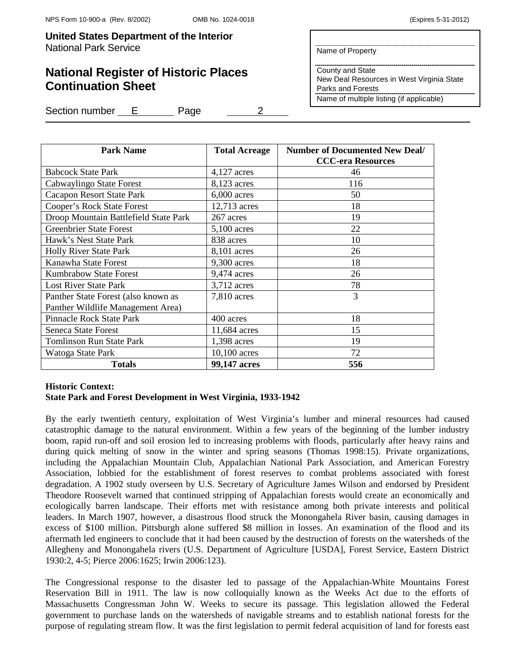# **National Register of Historic Places Continuation Sheet**

Name of Property

County and State New Deal Resources in West Virginia State Parks and Forests Name of multiple listing (if applicable)

Section number E Page 2

| <b>Park Name</b>                      | <b>Total Acreage</b> | <b>Number of Documented New Deal/</b><br><b>CCC-era Resources</b> |
|---------------------------------------|----------------------|-------------------------------------------------------------------|
| <b>Babcock State Park</b>             | $4,127$ acres        | 46                                                                |
| Cabwaylingo State Forest              | 8,123 acres          | 116                                                               |
| <b>Cacapon Resort State Park</b>      | $6,000$ acres        | 50                                                                |
| Cooper's Rock State Forest            | 12,713 acres         | 18                                                                |
| Droop Mountain Battlefield State Park | 267 acres            | 19                                                                |
| <b>Greenbrier State Forest</b>        | $5,100$ acres        | 22                                                                |
| Hawk's Nest State Park                | 838 acres            | 10                                                                |
| <b>Holly River State Park</b>         | 8,101 acres          | 26                                                                |
| Kanawha State Forest                  | 9,300 acres          | 18                                                                |
| <b>Kumbrabow State Forest</b>         | 9,474 acres          | 26                                                                |
| <b>Lost River State Park</b>          | 3,712 acres          | 78                                                                |
| Panther State Forest (also known as   | $7,810$ acres        | 3                                                                 |
| Panther Wildlife Management Area)     |                      |                                                                   |
| <b>Pinnacle Rock State Park</b>       | 400 acres            | 18                                                                |
| <b>Seneca State Forest</b>            | 11,684 acres         | 15                                                                |
| <b>Tomlinson Run State Park</b>       | 1,398 acres          | 19                                                                |
| Watoga State Park                     | 10,100 acres         | 72                                                                |
| <b>Totals</b>                         | 99,147 acres         | 556                                                               |

# **Historic Context: State Park and Forest Development in West Virginia, 1933-1942**

By the early twentieth century, exploitation of West Virginia's lumber and mineral resources had caused catastrophic damage to the natural environment. Within a few years of the beginning of the lumber industry boom, rapid run-off and soil erosion led to increasing problems with floods, particularly after heavy rains and during quick melting of snow in the winter and spring seasons (Thomas 1998:15). Private organizations, including the Appalachian Mountain Club, Appalachian National Park Association, and American Forestry Association, lobbied for the establishment of forest reserves to combat problems associated with forest degradation. A 1902 study overseen by U.S. Secretary of Agriculture James Wilson and endorsed by President Theodore Roosevelt warned that continued stripping of Appalachian forests would create an economically and ecologically barren landscape. Their efforts met with resistance among both private interests and political leaders. In March 1907, however, a disastrous flood struck the Monongahela River basin, causing damages in excess of \$100 million. Pittsburgh alone suffered \$8 million in losses. An examination of the flood and its aftermath led engineers to conclude that it had been caused by the destruction of forests on the watersheds of the Allegheny and Monongahela rivers (U.S. Department of Agriculture [USDA], Forest Service, Eastern District 1930:2, 4-5; Pierce 2006:1625; Irwin 2006:123).

The Congressional response to the disaster led to passage of the Appalachian-White Mountains Forest Reservation Bill in 1911. The law is now colloquially known as the Weeks Act due to the efforts of Massachusetts Congressman John W. Weeks to secure its passage. This legislation allowed the Federal government to purchase lands on the watersheds of navigable streams and to establish national forests for the purpose of regulating stream flow. It was the first legislation to permit federal acquisition of land for forests east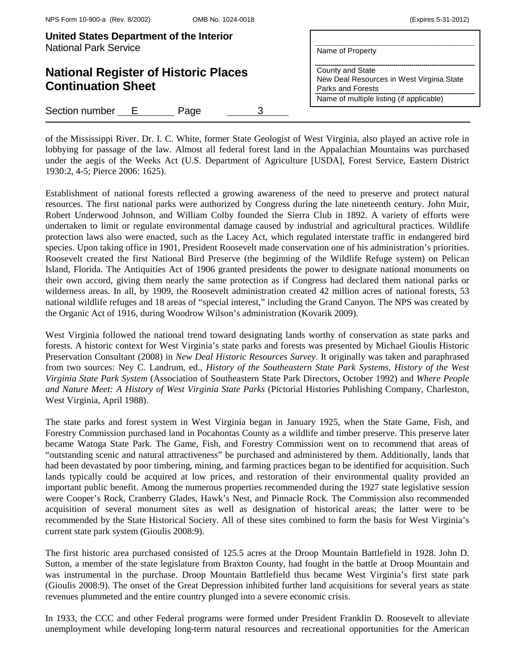| United States Department of the Interior<br><b>National Park Service</b> | Name of Property                                                                                                               |
|--------------------------------------------------------------------------|--------------------------------------------------------------------------------------------------------------------------------|
| <b>National Register of Historic Places</b><br><b>Continuation Sheet</b> | County and State<br>New Deal Resources in West Virginia State<br>Parks and Forests<br>Name of multiple listing (if applicable) |
| Section number E<br>Page                                                 |                                                                                                                                |

of the Mississippi River. Dr. I. C. White, former State Geologist of West Virginia, also played an active role in lobbying for passage of the law. Almost all federal forest land in the Appalachian Mountains was purchased under the aegis of the Weeks Act (U.S. Department of Agriculture [USDA], Forest Service, Eastern District 1930:2, 4-5; Pierce 2006: 1625).

Establishment of national forests reflected a growing awareness of the need to preserve and protect natural resources. The first national parks were authorized by Congress during the late nineteenth century. John Muir, Robert Underwood Johnson, and William Colby founded the Sierra Club in 1892. A variety of efforts were undertaken to limit or regulate environmental damage caused by industrial and agricultural practices. Wildlife protection laws also were enacted, such as the Lacey Act, which regulated interstate traffic in endangered bird species. Upon taking office in 1901, President Roosevelt made conservation one of his administration's priorities. Roosevelt created the first National Bird Preserve (the beginning of the Wildlife Refuge system) on Pelican Island, Florida. The Antiquities Act of 1906 granted presidents the power to designate national monuments on their own accord, giving them nearly the same protection as if Congress had declared them national parks or wilderness areas. In all, by 1909, the Roosevelt administration created 42 million acres of national forests, 53 national wildlife refuges and 18 areas of "special interest," including the Grand Canyon. The NPS was created by the Organic Act of 1916, during Woodrow Wilson's administration (Kovarik 2009).

West Virginia followed the national trend toward designating lands worthy of conservation as state parks and forests. A historic context for West Virginia's state parks and forests was presented by Michael Gioulis Historic Preservation Consultant (2008) in *New Deal Historic Resources Survey*. It originally was taken and paraphrased from two sources: Ney C. Landrum, ed., *History of the Southeastern State Park Systems, History of the West Virginia State Park System* (Association of Southeastern State Park Directors, October 1992) and *Where People and Nature Meet: A History of West Virginia State Parks* (Pictorial Histories Publishing Company, Charleston, West Virginia, April 1988).

The state parks and forest system in West Virginia began in January 1925, when the State Game, Fish, and Forestry Commission purchased land in Pocahontas County as a wildlife and timber preserve. This preserve later became Watoga State Park. The Game, Fish, and Forestry Commission went on to recommend that areas of "outstanding scenic and natural attractiveness" be purchased and administered by them. Additionally, lands that had been devastated by poor timbering, mining, and farming practices began to be identified for acquisition. Such lands typically could be acquired at low prices, and restoration of their environmental quality provided an important public benefit. Among the numerous properties recommended during the 1927 state legislative session were Cooper's Rock, Cranberry Glades, Hawk's Nest, and Pinnacle Rock. The Commission also recommended acquisition of several monument sites as well as designation of historical areas; the latter were to be recommended by the State Historical Society. All of these sites combined to form the basis for West Virginia's current state park system (Gioulis 2008:9).

The first historic area purchased consisted of 125.5 acres at the Droop Mountain Battlefield in 1928. John D. Sutton, a member of the state legislature from Braxton County, had fought in the battle at Droop Mountain and was instrumental in the purchase. Droop Mountain Battlefield thus became West Virginia's first state park (Gioulis 2008:9). The onset of the Great Depression inhibited further land acquisitions for several years as state revenues plummeted and the entire country plunged into a severe economic crisis.

In 1933, the CCC and other Federal programs were formed under President Franklin D. Roosevelt to alleviate unemployment while developing long-term natural resources and recreational opportunities for the American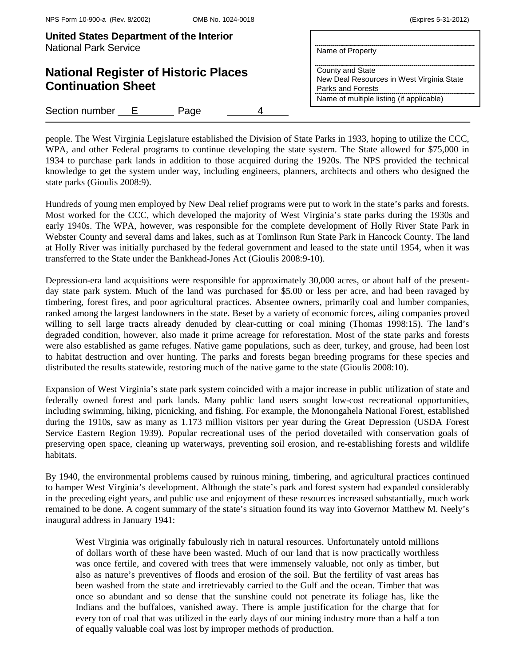| United States Department of the Interior<br><b>National Park Service</b> | Name of Property                                                                                                               |
|--------------------------------------------------------------------------|--------------------------------------------------------------------------------------------------------------------------------|
| <b>National Register of Historic Places</b><br><b>Continuation Sheet</b> | County and State<br>New Deal Resources in West Virginia State<br>Parks and Forests<br>Name of multiple listing (if applicable) |
| Section number E<br>Page                                                 |                                                                                                                                |

people. The West Virginia Legislature established the Division of State Parks in 1933, hoping to utilize the CCC, WPA, and other Federal programs to continue developing the state system. The State allowed for \$75,000 in 1934 to purchase park lands in addition to those acquired during the 1920s. The NPS provided the technical knowledge to get the system under way, including engineers, planners, architects and others who designed the state parks (Gioulis 2008:9).

Hundreds of young men employed by New Deal relief programs were put to work in the state's parks and forests. Most worked for the CCC, which developed the majority of West Virginia's state parks during the 1930s and early 1940s. The WPA, however, was responsible for the complete development of Holly River State Park in Webster County and several dams and lakes, such as at Tomlinson Run State Park in Hancock County. The land at Holly River was initially purchased by the federal government and leased to the state until 1954, when it was transferred to the State under the Bankhead-Jones Act (Gioulis 2008:9-10).

Depression-era land acquisitions were responsible for approximately 30,000 acres, or about half of the presentday state park system. Much of the land was purchased for \$5.00 or less per acre, and had been ravaged by timbering, forest fires, and poor agricultural practices. Absentee owners, primarily coal and lumber companies, ranked among the largest landowners in the state. Beset by a variety of economic forces, ailing companies proved willing to sell large tracts already denuded by clear-cutting or coal mining (Thomas 1998:15). The land's degraded condition, however, also made it prime acreage for reforestation. Most of the state parks and forests were also established as game refuges. Native game populations, such as deer, turkey, and grouse, had been lost to habitat destruction and over hunting. The parks and forests began breeding programs for these species and distributed the results statewide, restoring much of the native game to the state (Gioulis 2008:10).

Expansion of West Virginia's state park system coincided with a major increase in public utilization of state and federally owned forest and park lands. Many public land users sought low-cost recreational opportunities, including swimming, hiking, picnicking, and fishing. For example, the Monongahela National Forest, established during the 1910s, saw as many as 1.173 million visitors per year during the Great Depression (USDA Forest Service Eastern Region 1939). Popular recreational uses of the period dovetailed with conservation goals of preserving open space, cleaning up waterways, preventing soil erosion, and re-establishing forests and wildlife habitats.

By 1940, the environmental problems caused by ruinous mining, timbering, and agricultural practices continued to hamper West Virginia's development. Although the state's park and forest system had expanded considerably in the preceding eight years, and public use and enjoyment of these resources increased substantially, much work remained to be done. A cogent summary of the state's situation found its way into Governor Matthew M. Neely's inaugural address in January 1941:

West Virginia was originally fabulously rich in natural resources. Unfortunately untold millions of dollars worth of these have been wasted. Much of our land that is now practically worthless was once fertile, and covered with trees that were immensely valuable, not only as timber, but also as nature's preventives of floods and erosion of the soil. But the fertility of vast areas has been washed from the state and irretrievably carried to the Gulf and the ocean. Timber that was once so abundant and so dense that the sunshine could not penetrate its foliage has, like the Indians and the buffaloes, vanished away. There is ample justification for the charge that for every ton of coal that was utilized in the early days of our mining industry more than a half a ton of equally valuable coal was lost by improper methods of production.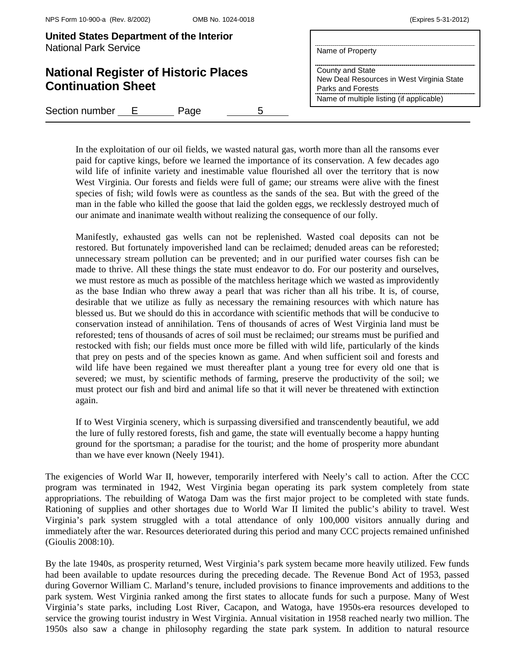**United States Department of the Interior** 

| <u>United States Department Of the interior</u><br><b>National Park Service</b> | Name of Property                                                                                                               |
|---------------------------------------------------------------------------------|--------------------------------------------------------------------------------------------------------------------------------|
| <b>National Register of Historic Places</b><br><b>Continuation Sheet</b>        | County and State<br>New Deal Resources in West Virginia State<br>Parks and Forests<br>Name of multiple listing (if applicable) |
| Section number<br>- E -<br>Page                                                 |                                                                                                                                |

In the exploitation of our oil fields, we wasted natural gas, worth more than all the ransoms ever paid for captive kings, before we learned the importance of its conservation. A few decades ago wild life of infinite variety and inestimable value flourished all over the territory that is now West Virginia. Our forests and fields were full of game; our streams were alive with the finest species of fish; wild fowls were as countless as the sands of the sea. But with the greed of the man in the fable who killed the goose that laid the golden eggs, we recklessly destroyed much of our animate and inanimate wealth without realizing the consequence of our folly.

Manifestly, exhausted gas wells can not be replenished. Wasted coal deposits can not be restored. But fortunately impoverished land can be reclaimed; denuded areas can be reforested; unnecessary stream pollution can be prevented; and in our purified water courses fish can be made to thrive. All these things the state must endeavor to do. For our posterity and ourselves, we must restore as much as possible of the matchless heritage which we wasted as improvidently as the base Indian who threw away a pearl that was richer than all his tribe. It is, of course, desirable that we utilize as fully as necessary the remaining resources with which nature has blessed us. But we should do this in accordance with scientific methods that will be conducive to conservation instead of annihilation. Tens of thousands of acres of West Virginia land must be reforested; tens of thousands of acres of soil must be reclaimed; our streams must be purified and restocked with fish; our fields must once more be filled with wild life, particularly of the kinds that prey on pests and of the species known as game. And when sufficient soil and forests and wild life have been regained we must thereafter plant a young tree for every old one that is severed; we must, by scientific methods of farming, preserve the productivity of the soil; we must protect our fish and bird and animal life so that it will never be threatened with extinction again.

If to West Virginia scenery, which is surpassing diversified and transcendently beautiful, we add the lure of fully restored forests, fish and game, the state will eventually become a happy hunting ground for the sportsman; a paradise for the tourist; and the home of prosperity more abundant than we have ever known (Neely 1941).

The exigencies of World War II, however, temporarily interfered with Neely's call to action. After the CCC program was terminated in 1942, West Virginia began operating its park system completely from state appropriations. The rebuilding of Watoga Dam was the first major project to be completed with state funds. Rationing of supplies and other shortages due to World War II limited the public's ability to travel. West Virginia's park system struggled with a total attendance of only 100,000 visitors annually during and immediately after the war. Resources deteriorated during this period and many CCC projects remained unfinished (Gioulis 2008:10).

By the late 1940s, as prosperity returned, West Virginia's park system became more heavily utilized. Few funds had been available to update resources during the preceding decade. The Revenue Bond Act of 1953, passed during Governor William C. Marland's tenure, included provisions to finance improvements and additions to the park system. West Virginia ranked among the first states to allocate funds for such a purpose. Many of West Virginia's state parks, including Lost River, Cacapon, and Watoga, have 1950s-era resources developed to service the growing tourist industry in West Virginia. Annual visitation in 1958 reached nearly two million. The 1950s also saw a change in philosophy regarding the state park system. In addition to natural resource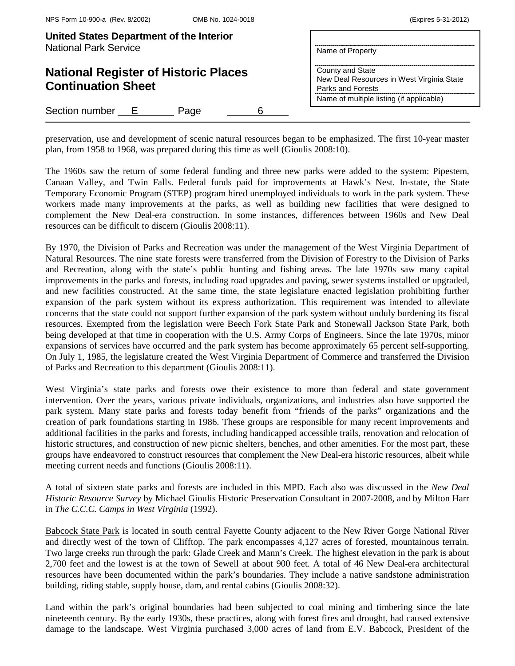| United States Department of the Interior<br><b>National Park Service</b> | Name of Property                                                                                                               |
|--------------------------------------------------------------------------|--------------------------------------------------------------------------------------------------------------------------------|
| <b>National Register of Historic Places</b><br><b>Continuation Sheet</b> | County and State<br>New Deal Resources in West Virginia State<br>Parks and Forests<br>Name of multiple listing (if applicable) |
| Section number E<br>Page                                                 |                                                                                                                                |

preservation, use and development of scenic natural resources began to be emphasized. The first 10-year master plan, from 1958 to 1968, was prepared during this time as well (Gioulis 2008:10).

The 1960s saw the return of some federal funding and three new parks were added to the system: Pipestem, Canaan Valley, and Twin Falls. Federal funds paid for improvements at Hawk's Nest. In-state, the State Temporary Economic Program (STEP) program hired unemployed individuals to work in the park system. These workers made many improvements at the parks, as well as building new facilities that were designed to complement the New Deal-era construction. In some instances, differences between 1960s and New Deal resources can be difficult to discern (Gioulis 2008:11).

By 1970, the Division of Parks and Recreation was under the management of the West Virginia Department of Natural Resources. The nine state forests were transferred from the Division of Forestry to the Division of Parks and Recreation, along with the state's public hunting and fishing areas. The late 1970s saw many capital improvements in the parks and forests, including road upgrades and paving, sewer systems installed or upgraded, and new facilities constructed. At the same time, the state legislature enacted legislation prohibiting further expansion of the park system without its express authorization. This requirement was intended to alleviate concerns that the state could not support further expansion of the park system without unduly burdening its fiscal resources. Exempted from the legislation were Beech Fork State Park and Stonewall Jackson State Park, both being developed at that time in cooperation with the U.S. Army Corps of Engineers. Since the late 1970s, minor expansions of services have occurred and the park system has become approximately 65 percent self-supporting. On July 1, 1985, the legislature created the West Virginia Department of Commerce and transferred the Division of Parks and Recreation to this department (Gioulis 2008:11).

West Virginia's state parks and forests owe their existence to more than federal and state government intervention. Over the years, various private individuals, organizations, and industries also have supported the park system. Many state parks and forests today benefit from "friends of the parks" organizations and the creation of park foundations starting in 1986. These groups are responsible for many recent improvements and additional facilities in the parks and forests, including handicapped accessible trails, renovation and relocation of historic structures, and construction of new picnic shelters, benches, and other amenities. For the most part, these groups have endeavored to construct resources that complement the New Deal-era historic resources, albeit while meeting current needs and functions (Gioulis 2008:11).

A total of sixteen state parks and forests are included in this MPD. Each also was discussed in the *New Deal Historic Resource Survey* by Michael Gioulis Historic Preservation Consultant in 2007-2008, and by Milton Harr in *The C.C.C. Camps in West Virginia* (1992).

Babcock State Park is located in south central Fayette County adjacent to the New River Gorge National River and directly west of the town of Clifftop. The park encompasses 4,127 acres of forested, mountainous terrain. Two large creeks run through the park: Glade Creek and Mann's Creek. The highest elevation in the park is about 2,700 feet and the lowest is at the town of Sewell at about 900 feet. A total of 46 New Deal-era architectural resources have been documented within the park's boundaries. They include a native sandstone administration building, riding stable, supply house, dam, and rental cabins (Gioulis 2008:32).

Land within the park's original boundaries had been subjected to coal mining and timbering since the late nineteenth century. By the early 1930s, these practices, along with forest fires and drought, had caused extensive damage to the landscape. West Virginia purchased 3,000 acres of land from E.V. Babcock, President of the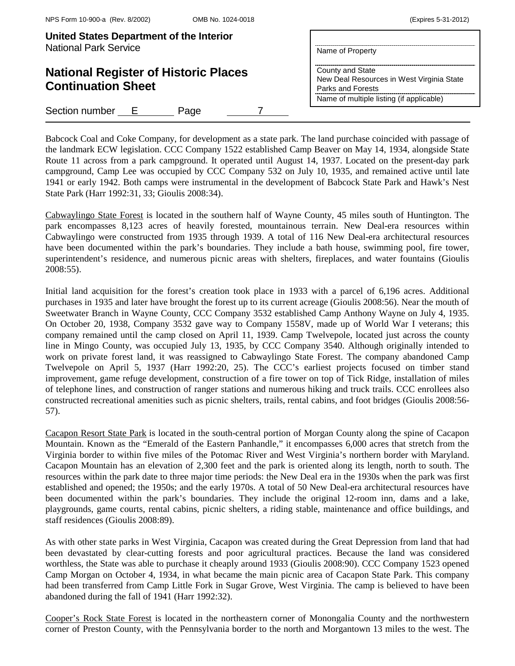| United States Department of the Interior<br><b>National Park Service</b> | Name of Property                                                                                                               |
|--------------------------------------------------------------------------|--------------------------------------------------------------------------------------------------------------------------------|
| <b>National Register of Historic Places</b><br><b>Continuation Sheet</b> | County and State<br>New Deal Resources in West Virginia State<br>Parks and Forests<br>Name of multiple listing (if applicable) |
| Section number E<br>Page                                                 |                                                                                                                                |

Babcock Coal and Coke Company, for development as a state park. The land purchase coincided with passage of the landmark ECW legislation. CCC Company 1522 established Camp Beaver on May 14, 1934, alongside State Route 11 across from a park campground. It operated until August 14, 1937. Located on the present-day park campground, Camp Lee was occupied by CCC Company 532 on July 10, 1935, and remained active until late 1941 or early 1942. Both camps were instrumental in the development of Babcock State Park and Hawk's Nest State Park (Harr 1992:31, 33; Gioulis 2008:34).

Cabwaylingo State Forest is located in the southern half of Wayne County, 45 miles south of Huntington. The park encompasses 8,123 acres of heavily forested, mountainous terrain. New Deal-era resources within Cabwaylingo were constructed from 1935 through 1939. A total of 116 New Deal-era architectural resources have been documented within the park's boundaries. They include a bath house, swimming pool, fire tower, superintendent's residence, and numerous picnic areas with shelters, fireplaces, and water fountains (Gioulis 2008:55).

Initial land acquisition for the forest's creation took place in 1933 with a parcel of 6,196 acres. Additional purchases in 1935 and later have brought the forest up to its current acreage (Gioulis 2008:56). Near the mouth of Sweetwater Branch in Wayne County, CCC Company 3532 established Camp Anthony Wayne on July 4, 1935. On October 20, 1938, Company 3532 gave way to Company 1558V, made up of World War I veterans; this company remained until the camp closed on April 11, 1939. Camp Twelvepole, located just across the county line in Mingo County, was occupied July 13, 1935, by CCC Company 3540. Although originally intended to work on private forest land, it was reassigned to Cabwaylingo State Forest. The company abandoned Camp Twelvepole on April 5, 1937 (Harr 1992:20, 25). The CCC's earliest projects focused on timber stand improvement, game refuge development, construction of a fire tower on top of Tick Ridge, installation of miles of telephone lines, and construction of ranger stations and numerous hiking and truck trails. CCC enrollees also constructed recreational amenities such as picnic shelters, trails, rental cabins, and foot bridges (Gioulis 2008:56- 57).

Cacapon Resort State Park is located in the south-central portion of Morgan County along the spine of Cacapon Mountain. Known as the "Emerald of the Eastern Panhandle," it encompasses 6,000 acres that stretch from the Virginia border to within five miles of the Potomac River and West Virginia's northern border with Maryland. Cacapon Mountain has an elevation of 2,300 feet and the park is oriented along its length, north to south. The resources within the park date to three major time periods: the New Deal era in the 1930s when the park was first established and opened; the 1950s; and the early 1970s. A total of 50 New Deal-era architectural resources have been documented within the park's boundaries. They include the original 12-room inn, dams and a lake, playgrounds, game courts, rental cabins, picnic shelters, a riding stable, maintenance and office buildings, and staff residences (Gioulis 2008:89).

As with other state parks in West Virginia, Cacapon was created during the Great Depression from land that had been devastated by clear-cutting forests and poor agricultural practices. Because the land was considered worthless, the State was able to purchase it cheaply around 1933 (Gioulis 2008:90). CCC Company 1523 opened Camp Morgan on October 4, 1934, in what became the main picnic area of Cacapon State Park. This company had been transferred from Camp Little Fork in Sugar Grove, West Virginia. The camp is believed to have been abandoned during the fall of 1941 (Harr 1992:32).

Cooper's Rock State Forest is located in the northeastern corner of Monongalia County and the northwestern corner of Preston County, with the Pennsylvania border to the north and Morgantown 13 miles to the west. The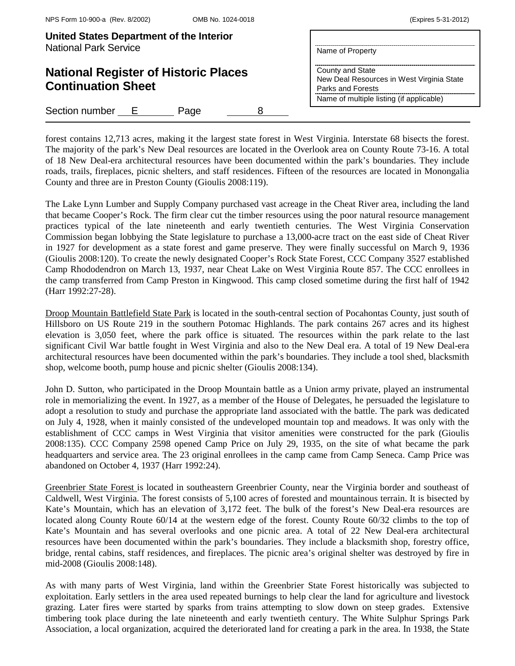| United States Department of the Interior<br><b>National Park Service</b> | Name of Property                                                                   |
|--------------------------------------------------------------------------|------------------------------------------------------------------------------------|
| <b>National Register of Historic Places</b><br><b>Continuation Sheet</b> | County and State<br>New Deal Resources in West Virginia State<br>Parks and Forests |
|                                                                          | Name of multiple listing (if applicable)                                           |
| Section number<br>- E -<br>Page                                          |                                                                                    |

forest contains 12,713 acres, making it the largest state forest in West Virginia. Interstate 68 bisects the forest. The majority of the park's New Deal resources are located in the Overlook area on County Route 73-16. A total of 18 New Deal-era architectural resources have been documented within the park's boundaries. They include roads, trails, fireplaces, picnic shelters, and staff residences. Fifteen of the resources are located in Monongalia County and three are in Preston County (Gioulis 2008:119).

The Lake Lynn Lumber and Supply Company purchased vast acreage in the Cheat River area, including the land that became Cooper's Rock. The firm clear cut the timber resources using the poor natural resource management practices typical of the late nineteenth and early twentieth centuries. The West Virginia Conservation Commission began lobbying the State legislature to purchase a 13,000-acre tract on the east side of Cheat River in 1927 for development as a state forest and game preserve. They were finally successful on March 9, 1936 (Gioulis 2008:120). To create the newly designated Cooper's Rock State Forest, CCC Company 3527 established Camp Rhododendron on March 13, 1937, near Cheat Lake on West Virginia Route 857. The CCC enrollees in the camp transferred from Camp Preston in Kingwood. This camp closed sometime during the first half of 1942 (Harr 1992:27-28).

Droop Mountain Battlefield State Park is located in the south-central section of Pocahontas County, just south of Hillsboro on US Route 219 in the southern Potomac Highlands. The park contains 267 acres and its highest elevation is 3,050 feet, where the park office is situated. The resources within the park relate to the last significant Civil War battle fought in West Virginia and also to the New Deal era. A total of 19 New Deal-era architectural resources have been documented within the park's boundaries. They include a tool shed, blacksmith shop, welcome booth, pump house and picnic shelter (Gioulis 2008:134).

John D. Sutton, who participated in the Droop Mountain battle as a Union army private, played an instrumental role in memorializing the event. In 1927, as a member of the House of Delegates, he persuaded the legislature to adopt a resolution to study and purchase the appropriate land associated with the battle. The park was dedicated on July 4, 1928, when it mainly consisted of the undeveloped mountain top and meadows. It was only with the establishment of CCC camps in West Virginia that visitor amenities were constructed for the park (Gioulis 2008:135). CCC Company 2598 opened Camp Price on July 29, 1935, on the site of what became the park headquarters and service area. The 23 original enrollees in the camp came from Camp Seneca. Camp Price was abandoned on October 4, 1937 (Harr 1992:24).

Greenbrier State Forest is located in southeastern Greenbrier County, near the Virginia border and southeast of Caldwell, West Virginia. The forest consists of 5,100 acres of forested and mountainous terrain. It is bisected by Kate's Mountain, which has an elevation of 3,172 feet. The bulk of the forest's New Deal-era resources are located along County Route 60/14 at the western edge of the forest. County Route 60/32 climbs to the top of Kate's Mountain and has several overlooks and one picnic area. A total of 22 New Deal-era architectural resources have been documented within the park's boundaries. They include a blacksmith shop, forestry office, bridge, rental cabins, staff residences, and fireplaces. The picnic area's original shelter was destroyed by fire in mid-2008 (Gioulis 2008:148).

As with many parts of West Virginia, land within the Greenbrier State Forest historically was subjected to exploitation. Early settlers in the area used repeated burnings to help clear the land for agriculture and livestock grazing. Later fires were started by sparks from trains attempting to slow down on steep grades. Extensive timbering took place during the late nineteenth and early twentieth century. The White Sulphur Springs Park Association, a local organization, acquired the deteriorated land for creating a park in the area. In 1938, the State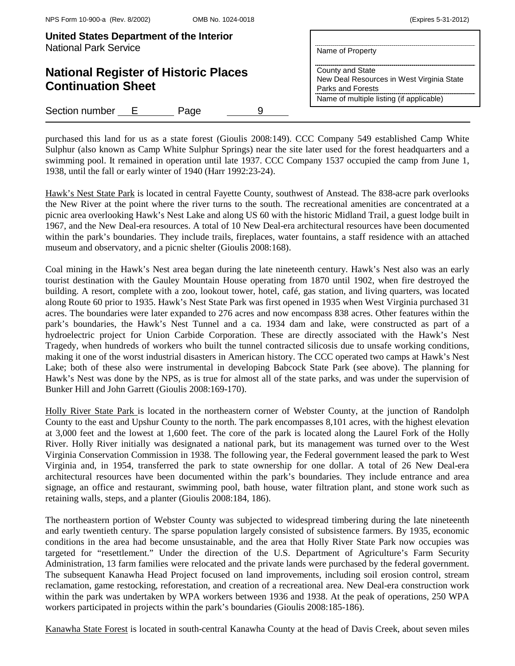| United States Department of the Interior<br><b>National Park Service</b> | Name of Property                                                                   |
|--------------------------------------------------------------------------|------------------------------------------------------------------------------------|
| <b>National Register of Historic Places</b><br><b>Continuation Sheet</b> | County and State<br>New Deal Resources in West Virginia State<br>Parks and Forests |
|                                                                          | Name of multiple listing (if applicable)                                           |
| Section number<br>Page<br>- E                                            |                                                                                    |

purchased this land for us as a state forest (Gioulis 2008:149). CCC Company 549 established Camp White Sulphur (also known as Camp White Sulphur Springs) near the site later used for the forest headquarters and a swimming pool. It remained in operation until late 1937. CCC Company 1537 occupied the camp from June 1, 1938, until the fall or early winter of 1940 (Harr 1992:23-24).

Hawk's Nest State Park is located in central Fayette County, southwest of Anstead. The 838-acre park overlooks the New River at the point where the river turns to the south. The recreational amenities are concentrated at a picnic area overlooking Hawk's Nest Lake and along US 60 with the historic Midland Trail, a guest lodge built in 1967, and the New Deal-era resources. A total of 10 New Deal-era architectural resources have been documented within the park's boundaries. They include trails, fireplaces, water fountains, a staff residence with an attached museum and observatory, and a picnic shelter (Gioulis 2008:168).

Coal mining in the Hawk's Nest area began during the late nineteenth century. Hawk's Nest also was an early tourist destination with the Gauley Mountain House operating from 1870 until 1902, when fire destroyed the building. A resort, complete with a zoo, lookout tower, hotel, café, gas station, and living quarters, was located along Route 60 prior to 1935. Hawk's Nest State Park was first opened in 1935 when West Virginia purchased 31 acres. The boundaries were later expanded to 276 acres and now encompass 838 acres. Other features within the park's boundaries, the Hawk's Nest Tunnel and a ca. 1934 dam and lake, were constructed as part of a hydroelectric project for Union Carbide Corporation. These are directly associated with the Hawk's Nest Tragedy, when hundreds of workers who built the tunnel contracted silicosis due to unsafe working conditions, making it one of the worst industrial disasters in American history. The CCC operated two camps at Hawk's Nest Lake; both of these also were instrumental in developing Babcock State Park (see above). The planning for Hawk's Nest was done by the NPS, as is true for almost all of the state parks, and was under the supervision of Bunker Hill and John Garrett (Gioulis 2008:169-170).

Holly River State Park is located in the northeastern corner of Webster County, at the junction of Randolph County to the east and Upshur County to the north. The park encompasses 8,101 acres, with the highest elevation at 3,000 feet and the lowest at 1,600 feet. The core of the park is located along the Laurel Fork of the Holly River. Holly River initially was designated a national park, but its management was turned over to the West Virginia Conservation Commission in 1938. The following year, the Federal government leased the park to West Virginia and, in 1954, transferred the park to state ownership for one dollar. A total of 26 New Deal-era architectural resources have been documented within the park's boundaries. They include entrance and area signage, an office and restaurant, swimming pool, bath house, water filtration plant, and stone work such as retaining walls, steps, and a planter (Gioulis 2008:184, 186).

The northeastern portion of Webster County was subjected to widespread timbering during the late nineteenth and early twentieth century. The sparse population largely consisted of subsistence farmers. By 1935, economic conditions in the area had become unsustainable, and the area that Holly River State Park now occupies was targeted for "resettlement." Under the direction of the U.S. Department of Agriculture's Farm Security Administration, 13 farm families were relocated and the private lands were purchased by the federal government. The subsequent Kanawha Head Project focused on land improvements, including soil erosion control, stream reclamation, game restocking, reforestation, and creation of a recreational area. New Deal-era construction work within the park was undertaken by WPA workers between 1936 and 1938. At the peak of operations, 250 WPA workers participated in projects within the park's boundaries (Gioulis 2008:185-186).

Kanawha State Forest is located in south-central Kanawha County at the head of Davis Creek, about seven miles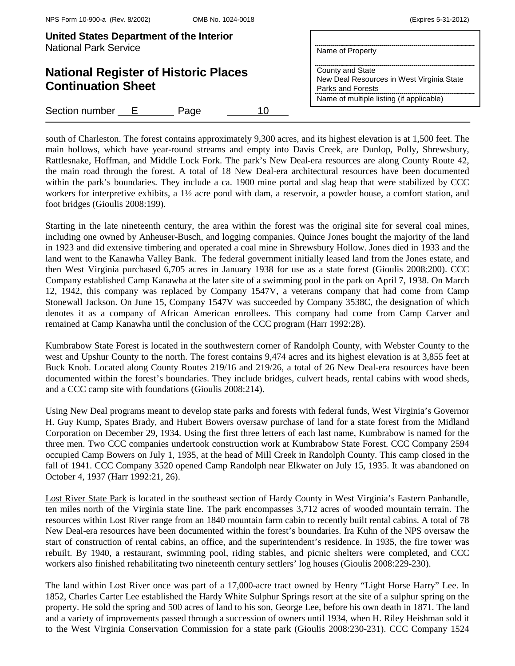| United States Department of the Interior<br><b>National Park Service</b> | Name of Property                                                                   |
|--------------------------------------------------------------------------|------------------------------------------------------------------------------------|
| <b>National Register of Historic Places</b><br><b>Continuation Sheet</b> | County and State<br>New Deal Resources in West Virginia State<br>Parks and Forests |
|                                                                          | Name of multiple listing (if applicable)                                           |
| Section number E<br>10<br>Page                                           |                                                                                    |

south of Charleston. The forest contains approximately 9,300 acres, and its highest elevation is at 1,500 feet. The main hollows, which have year-round streams and empty into Davis Creek, are Dunlop, Polly, Shrewsbury, Rattlesnake, Hoffman, and Middle Lock Fork. The park's New Deal-era resources are along County Route 42, the main road through the forest. A total of 18 New Deal-era architectural resources have been documented within the park's boundaries. They include a ca. 1900 mine portal and slag heap that were stabilized by CCC workers for interpretive exhibits, a 1½ acre pond with dam, a reservoir, a powder house, a comfort station, and foot bridges (Gioulis 2008:199).

Starting in the late nineteenth century, the area within the forest was the original site for several coal mines, including one owned by Anheuser-Busch, and logging companies. Quince Jones bought the majority of the land in 1923 and did extensive timbering and operated a coal mine in Shrewsbury Hollow. Jones died in 1933 and the land went to the Kanawha Valley Bank. The federal government initially leased land from the Jones estate, and then West Virginia purchased 6,705 acres in January 1938 for use as a state forest (Gioulis 2008:200). CCC Company established Camp Kanawha at the later site of a swimming pool in the park on April 7, 1938. On March 12, 1942, this company was replaced by Company 1547V, a veterans company that had come from Camp Stonewall Jackson. On June 15, Company 1547V was succeeded by Company 3538C, the designation of which denotes it as a company of African American enrollees. This company had come from Camp Carver and remained at Camp Kanawha until the conclusion of the CCC program (Harr 1992:28).

Kumbrabow State Forest is located in the southwestern corner of Randolph County, with Webster County to the west and Upshur County to the north. The forest contains 9,474 acres and its highest elevation is at 3,855 feet at Buck Knob. Located along County Routes 219/16 and 219/26, a total of 26 New Deal-era resources have been documented within the forest's boundaries. They include bridges, culvert heads, rental cabins with wood sheds, and a CCC camp site with foundations (Gioulis 2008:214).

Using New Deal programs meant to develop state parks and forests with federal funds, West Virginia's Governor H. Guy Kump, Spates Brady, and Hubert Bowers oversaw purchase of land for a state forest from the Midland Corporation on December 29, 1934. Using the first three letters of each last name, Kumbrabow is named for the three men. Two CCC companies undertook construction work at Kumbrabow State Forest. CCC Company 2594 occupied Camp Bowers on July 1, 1935, at the head of Mill Creek in Randolph County. This camp closed in the fall of 1941. CCC Company 3520 opened Camp Randolph near Elkwater on July 15, 1935. It was abandoned on October 4, 1937 (Harr 1992:21, 26).

Lost River State Park is located in the southeast section of Hardy County in West Virginia's Eastern Panhandle, ten miles north of the Virginia state line. The park encompasses 3,712 acres of wooded mountain terrain. The resources within Lost River range from an 1840 mountain farm cabin to recently built rental cabins. A total of 78 New Deal-era resources have been documented within the forest's boundaries. Ira Kuhn of the NPS oversaw the start of construction of rental cabins, an office, and the superintendent's residence. In 1935, the fire tower was rebuilt. By 1940, a restaurant, swimming pool, riding stables, and picnic shelters were completed, and CCC workers also finished rehabilitating two nineteenth century settlers' log houses (Gioulis 2008:229-230).

The land within Lost River once was part of a 17,000-acre tract owned by Henry "Light Horse Harry" Lee. In 1852, Charles Carter Lee established the Hardy White Sulphur Springs resort at the site of a sulphur spring on the property. He sold the spring and 500 acres of land to his son, George Lee, before his own death in 1871. The land and a variety of improvements passed through a succession of owners until 1934, when H. Riley Heishman sold it to the West Virginia Conservation Commission for a state park (Gioulis 2008:230-231). CCC Company 1524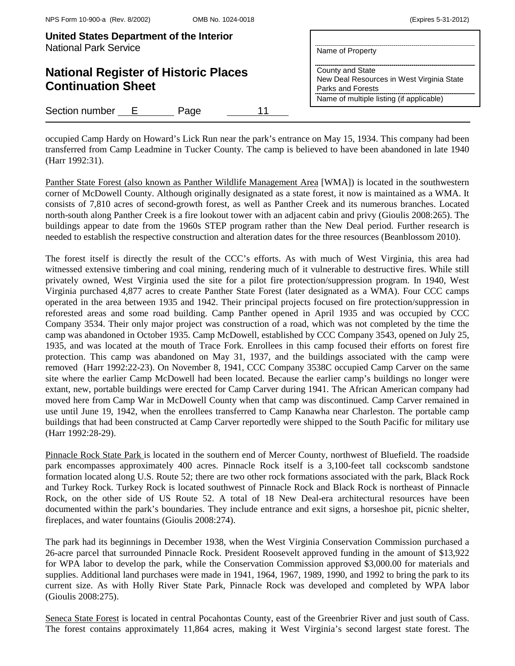|  | (Expires 5-31-2012) |
|--|---------------------|
|--|---------------------|

| United States Department of the Interior<br><b>National Park Service</b> | Name of Property                                                                   |
|--------------------------------------------------------------------------|------------------------------------------------------------------------------------|
| <b>National Register of Historic Places</b><br><b>Continuation Sheet</b> | County and State<br>New Deal Resources in West Virginia State<br>Parks and Forests |
|                                                                          | Name of multiple listing (if applicable)                                           |
| Section number E<br>Page                                                 |                                                                                    |

occupied Camp Hardy on Howard's Lick Run near the park's entrance on May 15, 1934. This company had been transferred from Camp Leadmine in Tucker County. The camp is believed to have been abandoned in late 1940 (Harr 1992:31).

Panther State Forest (also known as Panther Wildlife Management Area [WMA]) is located in the southwestern corner of McDowell County. Although originally designated as a state forest, it now is maintained as a WMA. It consists of 7,810 acres of second-growth forest, as well as Panther Creek and its numerous branches. Located north-south along Panther Creek is a fire lookout tower with an adjacent cabin and privy (Gioulis 2008:265). The buildings appear to date from the 1960s STEP program rather than the New Deal period. Further research is needed to establish the respective construction and alteration dates for the three resources (Beanblossom 2010).

The forest itself is directly the result of the CCC's efforts. As with much of West Virginia, this area had witnessed extensive timbering and coal mining, rendering much of it vulnerable to destructive fires. While still privately owned, West Virginia used the site for a pilot fire protection/suppression program. In 1940, West Virginia purchased 4,877 acres to create Panther State Forest (later designated as a WMA). Four CCC camps operated in the area between 1935 and 1942. Their principal projects focused on fire protection/suppression in reforested areas and some road building. Camp Panther opened in April 1935 and was occupied by CCC Company 3534. Their only major project was construction of a road, which was not completed by the time the camp was abandoned in October 1935. Camp McDowell, established by CCC Company 3543, opened on July 25, 1935, and was located at the mouth of Trace Fork. Enrollees in this camp focused their efforts on forest fire protection. This camp was abandoned on May 31, 1937, and the buildings associated with the camp were removed (Harr 1992:22-23). On November 8, 1941, CCC Company 3538C occupied Camp Carver on the same site where the earlier Camp McDowell had been located. Because the earlier camp's buildings no longer were extant, new, portable buildings were erected for Camp Carver during 1941. The African American company had moved here from Camp War in McDowell County when that camp was discontinued. Camp Carver remained in use until June 19, 1942, when the enrollees transferred to Camp Kanawha near Charleston. The portable camp buildings that had been constructed at Camp Carver reportedly were shipped to the South Pacific for military use (Harr 1992:28-29).

Pinnacle Rock State Park is located in the southern end of Mercer County, northwest of Bluefield. The roadside park encompasses approximately 400 acres. Pinnacle Rock itself is a 3,100-feet tall cockscomb sandstone formation located along U.S. Route 52; there are two other rock formations associated with the park, Black Rock and Turkey Rock. Turkey Rock is located southwest of Pinnacle Rock and Black Rock is northeast of Pinnacle Rock, on the other side of US Route 52. A total of 18 New Deal-era architectural resources have been documented within the park's boundaries. They include entrance and exit signs, a horseshoe pit, picnic shelter, fireplaces, and water fountains (Gioulis 2008:274).

The park had its beginnings in December 1938, when the West Virginia Conservation Commission purchased a 26-acre parcel that surrounded Pinnacle Rock. President Roosevelt approved funding in the amount of \$13,922 for WPA labor to develop the park, while the Conservation Commission approved \$3,000.00 for materials and supplies. Additional land purchases were made in 1941, 1964, 1967, 1989, 1990, and 1992 to bring the park to its current size. As with Holly River State Park, Pinnacle Rock was developed and completed by WPA labor (Gioulis 2008:275).

Seneca State Forest is located in central Pocahontas County, east of the Greenbrier River and just south of Cass. The forest contains approximately 11,864 acres, making it West Virginia's second largest state forest. The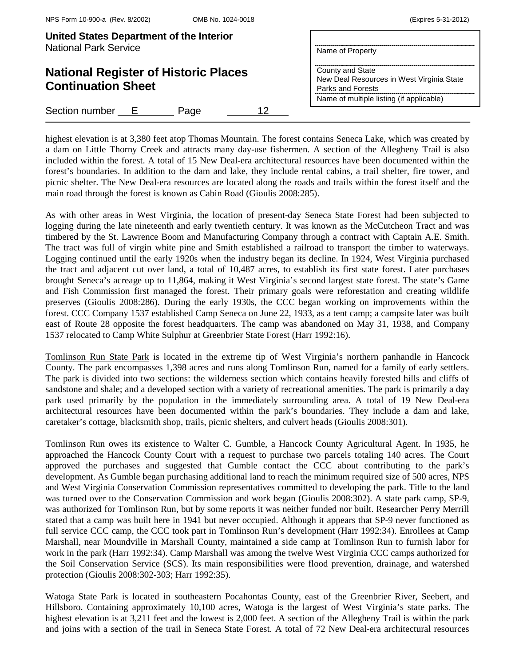| (Expires 5-31-2012) |  |  |  |
|---------------------|--|--|--|
|---------------------|--|--|--|

| United States Department of the Interior<br><b>National Park Service</b> | Name of Property                                                                                                               |
|--------------------------------------------------------------------------|--------------------------------------------------------------------------------------------------------------------------------|
| <b>National Register of Historic Places</b><br><b>Continuation Sheet</b> | County and State<br>New Deal Resources in West Virginia State<br>Parks and Forests<br>Name of multiple listing (if applicable) |
| Section number E<br>12<br>Page                                           |                                                                                                                                |

highest elevation is at 3,380 feet atop Thomas Mountain. The forest contains Seneca Lake, which was created by a dam on Little Thorny Creek and attracts many day-use fishermen. A section of the Allegheny Trail is also included within the forest. A total of 15 New Deal-era architectural resources have been documented within the forest's boundaries. In addition to the dam and lake, they include rental cabins, a trail shelter, fire tower, and picnic shelter. The New Deal-era resources are located along the roads and trails within the forest itself and the main road through the forest is known as Cabin Road (Gioulis 2008:285).

As with other areas in West Virginia, the location of present-day Seneca State Forest had been subjected to logging during the late nineteenth and early twentieth century. It was known as the McCutcheon Tract and was timbered by the St. Lawrence Boom and Manufacturing Company through a contract with Captain A.E. Smith. The tract was full of virgin white pine and Smith established a railroad to transport the timber to waterways. Logging continued until the early 1920s when the industry began its decline. In 1924, West Virginia purchased the tract and adjacent cut over land, a total of 10,487 acres, to establish its first state forest. Later purchases brought Seneca's acreage up to 11,864, making it West Virginia's second largest state forest. The state's Game and Fish Commission first managed the forest. Their primary goals were reforestation and creating wildlife preserves (Gioulis 2008:286). During the early 1930s, the CCC began working on improvements within the forest. CCC Company 1537 established Camp Seneca on June 22, 1933, as a tent camp; a campsite later was built east of Route 28 opposite the forest headquarters. The camp was abandoned on May 31, 1938, and Company 1537 relocated to Camp White Sulphur at Greenbrier State Forest (Harr 1992:16).

Tomlinson Run State Park is located in the extreme tip of West Virginia's northern panhandle in Hancock County. The park encompasses 1,398 acres and runs along Tomlinson Run, named for a family of early settlers. The park is divided into two sections: the wilderness section which contains heavily forested hills and cliffs of sandstone and shale; and a developed section with a variety of recreational amenities. The park is primarily a day park used primarily by the population in the immediately surrounding area. A total of 19 New Deal-era architectural resources have been documented within the park's boundaries. They include a dam and lake, caretaker's cottage, blacksmith shop, trails, picnic shelters, and culvert heads (Gioulis 2008:301).

Tomlinson Run owes its existence to Walter C. Gumble, a Hancock County Agricultural Agent. In 1935, he approached the Hancock County Court with a request to purchase two parcels totaling 140 acres. The Court approved the purchases and suggested that Gumble contact the CCC about contributing to the park's development. As Gumble began purchasing additional land to reach the minimum required size of 500 acres, NPS and West Virginia Conservation Commission representatives committed to developing the park. Title to the land was turned over to the Conservation Commission and work began (Gioulis 2008:302). A state park camp, SP-9, was authorized for Tomlinson Run, but by some reports it was neither funded nor built. Researcher Perry Merrill stated that a camp was built here in 1941 but never occupied. Although it appears that SP-9 never functioned as full service CCC camp, the CCC took part in Tomlinson Run's development (Harr 1992:34). Enrollees at Camp Marshall, near Moundville in Marshall County, maintained a side camp at Tomlinson Run to furnish labor for work in the park (Harr 1992:34). Camp Marshall was among the twelve West Virginia CCC camps authorized for the Soil Conservation Service (SCS). Its main responsibilities were flood prevention, drainage, and watershed protection (Gioulis 2008:302-303; Harr 1992:35).

Watoga State Park is located in southeastern Pocahontas County, east of the Greenbrier River, Seebert, and Hillsboro. Containing approximately 10,100 acres, Watoga is the largest of West Virginia's state parks. The highest elevation is at 3,211 feet and the lowest is 2,000 feet. A section of the Allegheny Trail is within the park and joins with a section of the trail in Seneca State Forest. A total of 72 New Deal-era architectural resources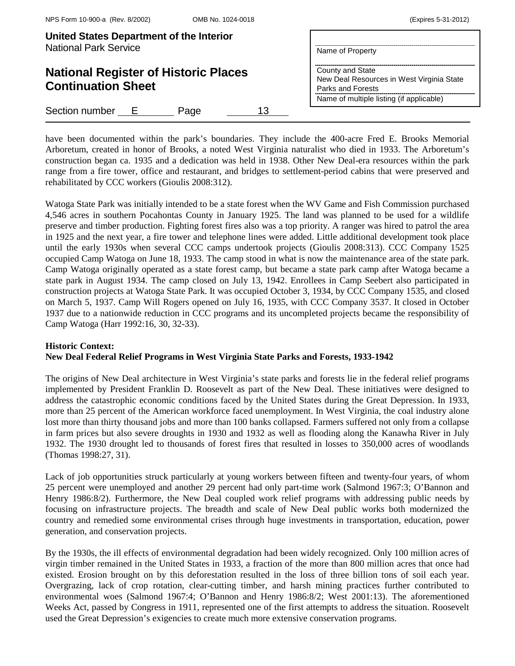| United States Department of the Interior<br><b>National Park Service</b> | Name of Property                                                                                                               |
|--------------------------------------------------------------------------|--------------------------------------------------------------------------------------------------------------------------------|
| <b>National Register of Historic Places</b><br><b>Continuation Sheet</b> | County and State<br>New Deal Resources in West Virginia State<br>Parks and Forests<br>Name of multiple listing (if applicable) |
| Section number<br>13<br>Page<br>E                                        |                                                                                                                                |

have been documented within the park's boundaries. They include the 400-acre Fred E. Brooks Memorial Arboretum, created in honor of Brooks, a noted West Virginia naturalist who died in 1933. The Arboretum's construction began ca. 1935 and a dedication was held in 1938. Other New Deal-era resources within the park range from a fire tower, office and restaurant, and bridges to settlement-period cabins that were preserved and rehabilitated by CCC workers (Gioulis 2008:312).

Watoga State Park was initially intended to be a state forest when the WV Game and Fish Commission purchased 4,546 acres in southern Pocahontas County in January 1925. The land was planned to be used for a wildlife preserve and timber production. Fighting forest fires also was a top priority. A ranger was hired to patrol the area in 1925 and the next year, a fire tower and telephone lines were added. Little additional development took place until the early 1930s when several CCC camps undertook projects (Gioulis 2008:313). CCC Company 1525 occupied Camp Watoga on June 18, 1933. The camp stood in what is now the maintenance area of the state park. Camp Watoga originally operated as a state forest camp, but became a state park camp after Watoga became a state park in August 1934. The camp closed on July 13, 1942. Enrollees in Camp Seebert also participated in construction projects at Watoga State Park. It was occupied October 3, 1934, by CCC Company 1535, and closed on March 5, 1937. Camp Will Rogers opened on July 16, 1935, with CCC Company 3537. It closed in October 1937 due to a nationwide reduction in CCC programs and its uncompleted projects became the responsibility of Camp Watoga (Harr 1992:16, 30, 32-33).

## **Historic Context:**

## **New Deal Federal Relief Programs in West Virginia State Parks and Forests, 1933-1942**

The origins of New Deal architecture in West Virginia's state parks and forests lie in the federal relief programs implemented by President Franklin D. Roosevelt as part of the New Deal. These initiatives were designed to address the catastrophic economic conditions faced by the United States during the Great Depression. In 1933, more than 25 percent of the American workforce faced unemployment. In West Virginia, the coal industry alone lost more than thirty thousand jobs and more than 100 banks collapsed. Farmers suffered not only from a collapse in farm prices but also severe droughts in 1930 and 1932 as well as flooding along the Kanawha River in July 1932. The 1930 drought led to thousands of forest fires that resulted in losses to 350,000 acres of woodlands (Thomas 1998:27, 31).

Lack of job opportunities struck particularly at young workers between fifteen and twenty-four years, of whom 25 percent were unemployed and another 29 percent had only part-time work (Salmond 1967:3; O'Bannon and Henry 1986:8/2). Furthermore, the New Deal coupled work relief programs with addressing public needs by focusing on infrastructure projects. The breadth and scale of New Deal public works both modernized the country and remedied some environmental crises through huge investments in transportation, education, power generation, and conservation projects.

By the 1930s, the ill effects of environmental degradation had been widely recognized. Only 100 million acres of virgin timber remained in the United States in 1933, a fraction of the more than 800 million acres that once had existed. Erosion brought on by this deforestation resulted in the loss of three billion tons of soil each year. Overgrazing, lack of crop rotation, clear-cutting timber, and harsh mining practices further contributed to environmental woes (Salmond 1967:4; O'Bannon and Henry 1986:8/2; West 2001:13). The aforementioned Weeks Act, passed by Congress in 1911, represented one of the first attempts to address the situation. Roosevelt used the Great Depression's exigencies to create much more extensive conservation programs.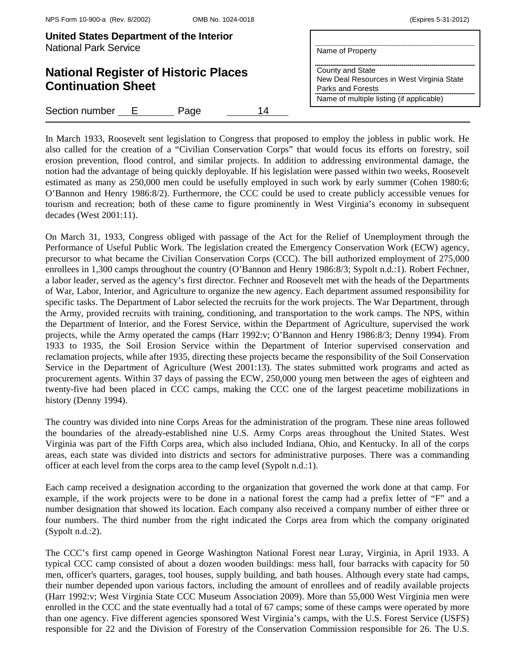|  | (Expires 5-31-2012) |
|--|---------------------|
|--|---------------------|

| United States Department of the Interior<br><b>National Park Service</b> | Name of Property                                                                                                               |
|--------------------------------------------------------------------------|--------------------------------------------------------------------------------------------------------------------------------|
| <b>National Register of Historic Places</b><br><b>Continuation Sheet</b> | County and State<br>New Deal Resources in West Virginia State<br>Parks and Forests<br>Name of multiple listing (if applicable) |
| Section number E<br>14<br>Page                                           |                                                                                                                                |

In March 1933, Roosevelt sent legislation to Congress that proposed to employ the jobless in public work. He also called for the creation of a "Civilian Conservation Corps" that would focus its efforts on forestry, soil erosion prevention, flood control, and similar projects. In addition to addressing environmental damage, the notion had the advantage of being quickly deployable. If his legislation were passed within two weeks, Roosevelt estimated as many as 250,000 men could be usefully employed in such work by early summer (Cohen 1980:6; O'Bannon and Henry 1986:8/2). Furthermore, the CCC could be used to create publicly accessible venues for tourism and recreation; both of these came to figure prominently in West Virginia's economy in subsequent decades (West 2001:11).

On March 31, 1933, Congress obliged with passage of the Act for the Relief of Unemployment through the Performance of Useful Public Work. The legislation created the Emergency Conservation Work (ECW) agency, precursor to what became the Civilian Conservation Corps (CCC). The bill authorized employment of 275,000 enrollees in 1,300 camps throughout the country (O'Bannon and Henry 1986:8/3; Sypolt n.d.:1). Robert Fechner, a labor leader, served as the agency's first director. Fechner and Roosevelt met with the heads of the Departments of War, Labor, Interior, and Agriculture to organize the new agency. Each department assumed responsibility for specific tasks. The Department of Labor selected the recruits for the work projects. The War Department, through the Army, provided recruits with training, conditioning, and transportation to the work camps. The NPS, within the Department of Interior, and the Forest Service, within the Department of Agriculture, supervised the work projects, while the Army operated the camps (Harr 1992:v; O'Bannon and Henry 1986:8/3; Denny 1994). From 1933 to 1935, the Soil Erosion Service within the Department of Interior supervised conservation and reclamation projects, while after 1935, directing these projects became the responsibility of the Soil Conservation Service in the Department of Agriculture (West 2001:13). The states submitted work programs and acted as procurement agents. Within 37 days of passing the ECW, 250,000 young men between the ages of eighteen and twenty-five had been placed in CCC camps, making the CCC one of the largest peacetime mobilizations in history (Denny 1994).

The country was divided into nine Corps Areas for the administration of the program. These nine areas followed the boundaries of the already-established nine U.S. Army Corps areas throughout the United States. West Virginia was part of the Fifth Corps area, which also included Indiana, Ohio, and Kentucky. In all of the corps areas, each state was divided into districts and sectors for administrative purposes. There was a commanding officer at each level from the corps area to the camp level (Sypolt n.d.:1).

Each camp received a designation according to the organization that governed the work done at that camp. For example, if the work projects were to be done in a national forest the camp had a prefix letter of "F" and a number designation that showed its location. Each company also received a company number of either three or four numbers. The third number from the right indicated the Corps area from which the company originated (Sypolt n.d.:2).

The CCC's first camp opened in George Washington National Forest near Luray, Virginia, in April 1933. A typical CCC camp consisted of about a dozen wooden buildings: mess hall, four barracks with capacity for 50 men, officer's quarters, garages, tool houses, supply building, and bath houses. Although every state had camps, their number depended upon various factors, including the amount of enrollees and of readily available projects (Harr 1992:v; West Virginia State CCC Museum Association 2009). More than 55,000 West Virginia men were enrolled in the CCC and the state eventually had a total of 67 camps; some of these camps were operated by more than one agency. Five different agencies sponsored West Virginia's camps, with the U.S. Forest Service (USFS) responsible for 22 and the Division of Forestry of the Conservation Commission responsible for 26. The U.S.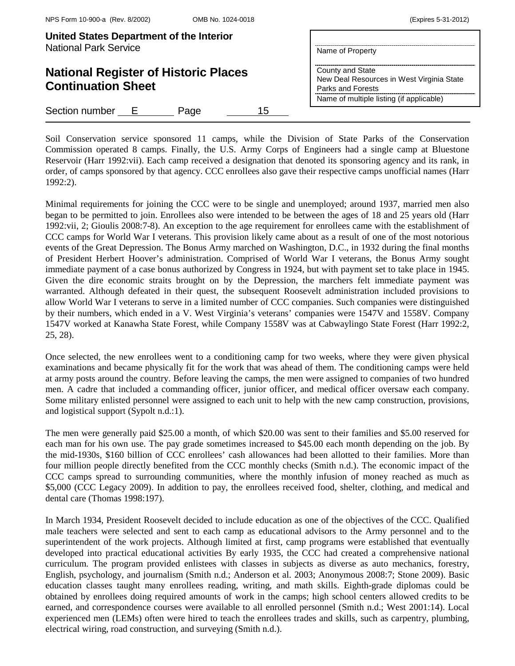| United States Department of the Interior<br><b>National Park Service</b> | Name of Property                                                                                                               |
|--------------------------------------------------------------------------|--------------------------------------------------------------------------------------------------------------------------------|
| <b>National Register of Historic Places</b><br><b>Continuation Sheet</b> | County and State<br>New Deal Resources in West Virginia State<br>Parks and Forests<br>Name of multiple listing (if applicable) |
| Section number E<br>15<br>Page                                           |                                                                                                                                |

Soil Conservation service sponsored 11 camps, while the Division of State Parks of the Conservation Commission operated 8 camps. Finally, the U.S. Army Corps of Engineers had a single camp at Bluestone Reservoir (Harr 1992:vii). Each camp received a designation that denoted its sponsoring agency and its rank, in order, of camps sponsored by that agency. CCC enrollees also gave their respective camps unofficial names (Harr 1992:2).

Minimal requirements for joining the CCC were to be single and unemployed; around 1937, married men also began to be permitted to join. Enrollees also were intended to be between the ages of 18 and 25 years old (Harr 1992:vii, 2; Gioulis 2008:7-8). An exception to the age requirement for enrollees came with the establishment of CCC camps for World War I veterans. This provision likely came about as a result of one of the most notorious events of the Great Depression. The Bonus Army marched on Washington, D.C., in 1932 during the final months of President Herbert Hoover's administration. Comprised of World War I veterans, the Bonus Army sought immediate payment of a case bonus authorized by Congress in 1924, but with payment set to take place in 1945. Given the dire economic straits brought on by the Depression, the marchers felt immediate payment was warranted. Although defeated in their quest, the subsequent Roosevelt administration included provisions to allow World War I veterans to serve in a limited number of CCC companies. Such companies were distinguished by their numbers, which ended in a V. West Virginia's veterans' companies were 1547V and 1558V. Company 1547V worked at Kanawha State Forest, while Company 1558V was at Cabwaylingo State Forest (Harr 1992:2, 25, 28).

Once selected, the new enrollees went to a conditioning camp for two weeks, where they were given physical examinations and became physically fit for the work that was ahead of them. The conditioning camps were held at army posts around the country. Before leaving the camps, the men were assigned to companies of two hundred men. A cadre that included a commanding officer, junior officer, and medical officer oversaw each company. Some military enlisted personnel were assigned to each unit to help with the new camp construction, provisions, and logistical support (Sypolt n.d.:1).

The men were generally paid \$25.00 a month, of which \$20.00 was sent to their families and \$5.00 reserved for each man for his own use. The pay grade sometimes increased to \$45.00 each month depending on the job. By the mid-1930s, \$160 billion of CCC enrollees' cash allowances had been allotted to their families. More than four million people directly benefited from the CCC monthly checks (Smith n.d.). The economic impact of the CCC camps spread to surrounding communities, where the monthly infusion of money reached as much as \$5,000 (CCC Legacy 2009). In addition to pay, the enrollees received food, shelter, clothing, and medical and dental care (Thomas 1998:197).

In March 1934, President Roosevelt decided to include education as one of the objectives of the CCC. Qualified male teachers were selected and sent to each camp as educational advisors to the Army personnel and to the superintendent of the work projects. Although limited at first, camp programs were established that eventually developed into practical educational activities By early 1935, the CCC had created a comprehensive national curriculum. The program provided enlistees with classes in subjects as diverse as auto mechanics, forestry, English, psychology, and journalism (Smith n.d.; Anderson et al. 2003; Anonymous 2008:7; Stone 2009). Basic education classes taught many enrollees reading, writing, and math skills. Eighth-grade diplomas could be obtained by enrollees doing required amounts of work in the camps; high school centers allowed credits to be earned, and correspondence courses were available to all enrolled personnel (Smith n.d.; West 2001:14). Local experienced men (LEMs) often were hired to teach the enrollees trades and skills, such as carpentry, plumbing, electrical wiring, road construction, and surveying (Smith n.d.).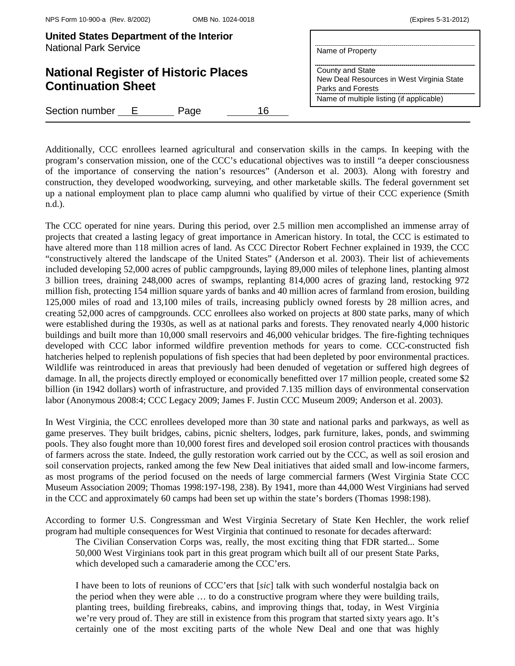| United States Department of the Interior<br><b>National Park Service</b> | Name of Property                                                                                                               |
|--------------------------------------------------------------------------|--------------------------------------------------------------------------------------------------------------------------------|
| <b>National Register of Historic Places</b><br><b>Continuation Sheet</b> | County and State<br>New Deal Resources in West Virginia State<br>Parks and Forests<br>Name of multiple listing (if applicable) |
| Section number<br>16<br>Page<br>$\vdash$                                 |                                                                                                                                |

Additionally, CCC enrollees learned agricultural and conservation skills in the camps. In keeping with the program's conservation mission, one of the CCC's educational objectives was to instill "a deeper consciousness of the importance of conserving the nation's resources" (Anderson et al. 2003). Along with forestry and construction, they developed woodworking, surveying, and other marketable skills. The federal government set up a national employment plan to place camp alumni who qualified by virtue of their CCC experience (Smith n.d.).

The CCC operated for nine years. During this period, over 2.5 million men accomplished an immense array of projects that created a lasting legacy of great importance in American history. In total, the CCC is estimated to have altered more than 118 million acres of land. As CCC Director Robert Fechner explained in 1939, the CCC "constructively altered the landscape of the United States" (Anderson et al. 2003). Their list of achievements included developing 52,000 acres of public campgrounds, laying 89,000 miles of telephone lines, planting almost 3 billion trees, draining 248,000 acres of swamps, replanting 814,000 acres of grazing land, restocking 972 million fish, protecting 154 million square yards of banks and 40 million acres of farmland from erosion, building 125,000 miles of road and 13,100 miles of trails, increasing publicly owned forests by 28 million acres, and creating 52,000 acres of campgrounds. CCC enrollees also worked on projects at 800 state parks, many of which were established during the 1930s, as well as at national parks and forests. They renovated nearly 4,000 historic buildings and built more than 10,000 small reservoirs and 46,000 vehicular bridges. The fire-fighting techniques developed with CCC labor informed wildfire prevention methods for years to come. CCC-constructed fish hatcheries helped to replenish populations of fish species that had been depleted by poor environmental practices. Wildlife was reintroduced in areas that previously had been denuded of vegetation or suffered high degrees of damage. In all, the projects directly employed or economically benefitted over 17 million people, created some \$2 billion (in 1942 dollars) worth of infrastructure, and provided 7.135 million days of environmental conservation labor (Anonymous 2008:4; CCC Legacy 2009; James F. Justin CCC Museum 2009; Anderson et al. 2003).

In West Virginia, the CCC enrollees developed more than 30 state and national parks and parkways, as well as game preserves. They built bridges, cabins, picnic shelters, lodges, park furniture, lakes, ponds, and swimming pools. They also fought more than 10,000 forest fires and developed soil erosion control practices with thousands of farmers across the state. Indeed, the gully restoration work carried out by the CCC, as well as soil erosion and soil conservation projects, ranked among the few New Deal initiatives that aided small and low-income farmers, as most programs of the period focused on the needs of large commercial farmers (West Virginia State CCC Museum Association 2009; Thomas 1998:197-198, 238). By 1941, more than 44,000 West Virginians had served in the CCC and approximately 60 camps had been set up within the state's borders (Thomas 1998:198).

According to former U.S. Congressman and West Virginia Secretary of State Ken Hechler, the work relief program had multiple consequences for West Virginia that continued to resonate for decades afterward:

The Civilian Conservation Corps was, really, the most exciting thing that FDR started... Some 50,000 West Virginians took part in this great program which built all of our present State Parks, which developed such a camaraderie among the CCC'ers.

I have been to lots of reunions of CCC'ers that [*sic*] talk with such wonderful nostalgia back on the period when they were able … to do a constructive program where they were building trails, planting trees, building firebreaks, cabins, and improving things that, today, in West Virginia we're very proud of. They are still in existence from this program that started sixty years ago. It's certainly one of the most exciting parts of the whole New Deal and one that was highly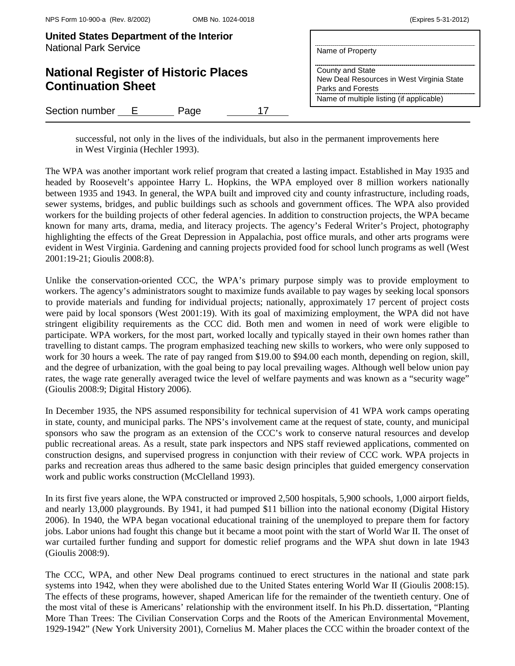| (Expires 5-31-2012) |  |  |
|---------------------|--|--|
|---------------------|--|--|

| United States Department of the Interior<br><b>National Park Service</b> | Name of Property                                                                                                               |
|--------------------------------------------------------------------------|--------------------------------------------------------------------------------------------------------------------------------|
| <b>National Register of Historic Places</b><br><b>Continuation Sheet</b> | County and State<br>New Deal Resources in West Virginia State<br>Parks and Forests<br>Name of multiple listing (if applicable) |
| Section number E<br>Page                                                 |                                                                                                                                |

successful, not only in the lives of the individuals, but also in the permanent improvements here in West Virginia (Hechler 1993).

The WPA was another important work relief program that created a lasting impact. Established in May 1935 and headed by Roosevelt's appointee Harry L. Hopkins, the WPA employed over 8 million workers nationally between 1935 and 1943. In general, the WPA built and improved city and county infrastructure, including roads, sewer systems, bridges, and public buildings such as schools and government offices. The WPA also provided workers for the building projects of other federal agencies. In addition to construction projects, the WPA became known for many arts, drama, media, and literacy projects. The agency's Federal Writer's Project, photography highlighting the effects of the Great Depression in Appalachia, post office murals, and other arts programs were evident in West Virginia. Gardening and canning projects provided food for school lunch programs as well (West 2001:19-21; Gioulis 2008:8).

Unlike the conservation-oriented CCC, the WPA's primary purpose simply was to provide employment to workers. The agency's administrators sought to maximize funds available to pay wages by seeking local sponsors to provide materials and funding for individual projects; nationally, approximately 17 percent of project costs were paid by local sponsors (West 2001:19). With its goal of maximizing employment, the WPA did not have stringent eligibility requirements as the CCC did. Both men and women in need of work were eligible to participate. WPA workers, for the most part, worked locally and typically stayed in their own homes rather than travelling to distant camps. The program emphasized teaching new skills to workers, who were only supposed to work for 30 hours a week. The rate of pay ranged from \$19.00 to \$94.00 each month, depending on region, skill, and the degree of urbanization, with the goal being to pay local prevailing wages. Although well below union pay rates, the wage rate generally averaged twice the level of welfare payments and was known as a "security wage" (Gioulis 2008:9; Digital History 2006).

In December 1935, the NPS assumed responsibility for technical supervision of 41 WPA work camps operating in state, county, and municipal parks. The NPS's involvement came at the request of state, county, and municipal sponsors who saw the program as an extension of the CCC's work to conserve natural resources and develop public recreational areas. As a result, state park inspectors and NPS staff reviewed applications, commented on construction designs, and supervised progress in conjunction with their review of CCC work. WPA projects in parks and recreation areas thus adhered to the same basic design principles that guided emergency conservation work and public works construction (McClelland 1993).

In its first five years alone, the WPA constructed or improved 2,500 hospitals, 5,900 schools, 1,000 airport fields, and nearly 13,000 playgrounds. By 1941, it had pumped \$11 billion into the national economy (Digital History 2006). In 1940, the WPA began vocational educational training of the unemployed to prepare them for factory jobs. Labor unions had fought this change but it became a moot point with the start of World War II. The onset of war curtailed further funding and support for domestic relief programs and the WPA shut down in late 1943 (Gioulis 2008:9).

The CCC, WPA, and other New Deal programs continued to erect structures in the national and state park systems into 1942, when they were abolished due to the United States entering World War II (Gioulis 2008:15). The effects of these programs, however, shaped American life for the remainder of the twentieth century. One of the most vital of these is Americans' relationship with the environment itself. In his Ph.D. dissertation, "Planting More Than Trees: The Civilian Conservation Corps and the Roots of the American Environmental Movement, 1929-1942" (New York University 2001), Cornelius M. Maher places the CCC within the broader context of the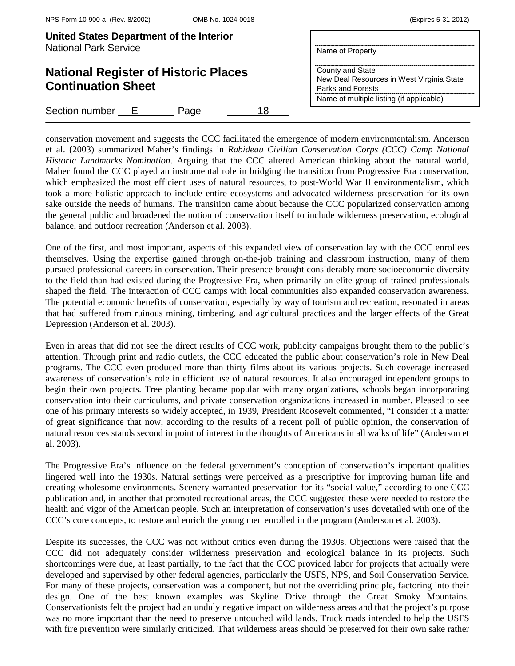| United States Department of the Interior<br><b>National Park Service</b> | Name of Property                                                                                                               |
|--------------------------------------------------------------------------|--------------------------------------------------------------------------------------------------------------------------------|
| <b>National Register of Historic Places</b><br><b>Continuation Sheet</b> | County and State<br>New Deal Resources in West Virginia State<br>Parks and Forests<br>Name of multiple listing (if applicable) |
| Section number E<br>18<br>Page                                           |                                                                                                                                |

conservation movement and suggests the CCC facilitated the emergence of modern environmentalism. Anderson et al. (2003) summarized Maher's findings in *Rabideau Civilian Conservation Corps (CCC) Camp National Historic Landmarks Nomination*. Arguing that the CCC altered American thinking about the natural world, Maher found the CCC played an instrumental role in bridging the transition from Progressive Era conservation, which emphasized the most efficient uses of natural resources, to post-World War II environmentalism, which took a more holistic approach to include entire ecosystems and advocated wilderness preservation for its own sake outside the needs of humans. The transition came about because the CCC popularized conservation among the general public and broadened the notion of conservation itself to include wilderness preservation, ecological balance, and outdoor recreation (Anderson et al. 2003).

One of the first, and most important, aspects of this expanded view of conservation lay with the CCC enrollees themselves. Using the expertise gained through on-the-job training and classroom instruction, many of them pursued professional careers in conservation. Their presence brought considerably more socioeconomic diversity to the field than had existed during the Progressive Era, when primarily an elite group of trained professionals shaped the field. The interaction of CCC camps with local communities also expanded conservation awareness. The potential economic benefits of conservation, especially by way of tourism and recreation, resonated in areas that had suffered from ruinous mining, timbering, and agricultural practices and the larger effects of the Great Depression (Anderson et al. 2003).

Even in areas that did not see the direct results of CCC work, publicity campaigns brought them to the public's attention. Through print and radio outlets, the CCC educated the public about conservation's role in New Deal programs. The CCC even produced more than thirty films about its various projects. Such coverage increased awareness of conservation's role in efficient use of natural resources. It also encouraged independent groups to begin their own projects. Tree planting became popular with many organizations, schools began incorporating conservation into their curriculums, and private conservation organizations increased in number. Pleased to see one of his primary interests so widely accepted, in 1939, President Roosevelt commented, "I consider it a matter of great significance that now, according to the results of a recent poll of public opinion, the conservation of natural resources stands second in point of interest in the thoughts of Americans in all walks of life" (Anderson et al. 2003).

The Progressive Era's influence on the federal government's conception of conservation's important qualities lingered well into the 1930s. Natural settings were perceived as a prescriptive for improving human life and creating wholesome environments. Scenery warranted preservation for its "social value," according to one CCC publication and, in another that promoted recreational areas, the CCC suggested these were needed to restore the health and vigor of the American people. Such an interpretation of conservation's uses dovetailed with one of the CCC's core concepts, to restore and enrich the young men enrolled in the program (Anderson et al. 2003).

Despite its successes, the CCC was not without critics even during the 1930s. Objections were raised that the CCC did not adequately consider wilderness preservation and ecological balance in its projects. Such shortcomings were due, at least partially, to the fact that the CCC provided labor for projects that actually were developed and supervised by other federal agencies, particularly the USFS, NPS, and Soil Conservation Service. For many of these projects, conservation was a component, but not the overriding principle, factoring into their design. One of the best known examples was Skyline Drive through the Great Smoky Mountains. Conservationists felt the project had an unduly negative impact on wilderness areas and that the project's purpose was no more important than the need to preserve untouched wild lands. Truck roads intended to help the USFS with fire prevention were similarly criticized. That wilderness areas should be preserved for their own sake rather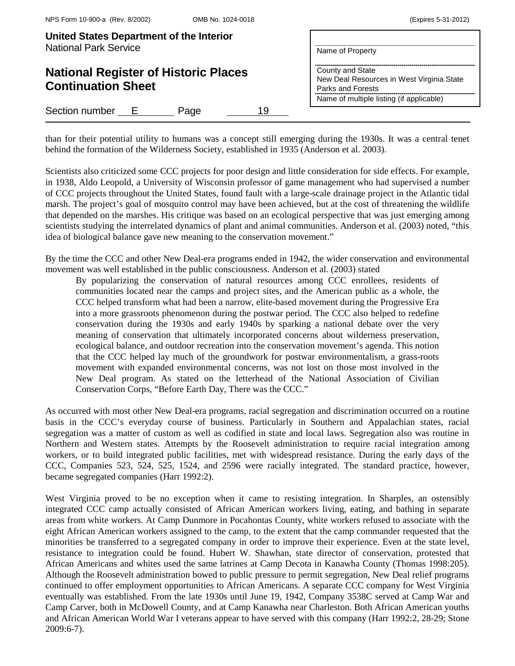| United States Department of the Interior<br><b>National Park Service</b> | Name of Property                                                                   |
|--------------------------------------------------------------------------|------------------------------------------------------------------------------------|
| <b>National Register of Historic Places</b><br><b>Continuation Sheet</b> | County and State<br>New Deal Resources in West Virginia State<br>Parks and Forests |
|                                                                          | Name of multiple listing (if applicable)                                           |
| Section number E<br>19<br>Page                                           |                                                                                    |

than for their potential utility to humans was a concept still emerging during the 1930s. It was a central tenet behind the formation of the Wilderness Society, established in 1935 (Anderson et al. 2003).

Scientists also criticized some CCC projects for poor design and little consideration for side effects. For example, in 1938, Aldo Leopold, a University of Wisconsin professor of game management who had supervised a number of CCC projects throughout the United States, found fault with a large-scale drainage project in the Atlantic tidal marsh. The project's goal of mosquito control may have been achieved, but at the cost of threatening the wildlife that depended on the marshes. His critique was based on an ecological perspective that was just emerging among scientists studying the interrelated dynamics of plant and animal communities. Anderson et al. (2003) noted, "this idea of biological balance gave new meaning to the conservation movement."

By the time the CCC and other New Deal-era programs ended in 1942, the wider conservation and environmental movement was well established in the public consciousness. Anderson et al. (2003) stated

By popularizing the conservation of natural resources among CCC enrollees, residents of communities located near the camps and project sites, and the American public as a whole, the CCC helped transform what had been a narrow, elite-based movement during the Progressive Era into a more grassroots phenomenon during the postwar period. The CCC also helped to redefine conservation during the 1930s and early 1940s by sparking a national debate over the very meaning of conservation that ultimately incorporated concerns about wilderness preservation, ecological balance, and outdoor recreation into the conservation movement's agenda. This notion that the CCC helped lay much of the groundwork for postwar environmentalism, a grass-roots movement with expanded environmental concerns, was not lost on those most involved in the New Deal program. As stated on the letterhead of the National Association of Civilian Conservation Corps, "Before Earth Day, There was the CCC."

As occurred with most other New Deal-era programs, racial segregation and discrimination occurred on a routine basis in the CCC's everyday course of business. Particularly in Southern and Appalachian states, racial segregation was a matter of custom as well as codified in state and local laws. Segregation also was routine in Northern and Western states. Attempts by the Roosevelt administration to require racial integration among workers, or to build integrated public facilities, met with widespread resistance. During the early days of the CCC, Companies 523, 524, 525, 1524, and 2596 were racially integrated. The standard practice, however, became segregated companies (Harr 1992:2).

West Virginia proved to be no exception when it came to resisting integration. In Sharples, an ostensibly integrated CCC camp actually consisted of African American workers living, eating, and bathing in separate areas from white workers. At Camp Dunmore in Pocahontas County, white workers refused to associate with the eight African American workers assigned to the camp, to the extent that the camp commander requested that the minorities be transferred to a segregated company in order to improve their experience. Even at the state level, resistance to integration could be found. Hubert W. Shawhan, state director of conservation, protested that African Americans and whites used the same latrines at Camp Decota in Kanawha County (Thomas 1998:205). Although the Roosevelt administration bowed to public pressure to permit segregation, New Deal relief programs continued to offer employment opportunities to African Americans. A separate CCC company for West Virginia eventually was established. From the late 1930s until June 19, 1942, Company 3538C served at Camp War and Camp Carver, both in McDowell County, and at Camp Kanawha near Charleston. Both African American youths and African American World War I veterans appear to have served with this company (Harr 1992:2, 28-29; Stone 2009:6-7).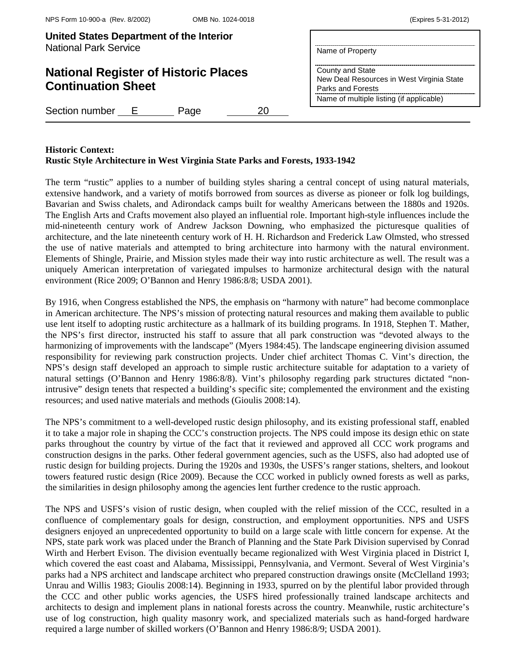# **National Register of Historic Places Continuation Sheet**

Section number E Page 20

| County and State                          |
|-------------------------------------------|
| New Deal Resources in West Virginia State |
|                                           |

Parks and Forests Name of multiple listing (if applicable)

Name of Property

## **Historic Context:**

## **Rustic Style Architecture in West Virginia State Parks and Forests, 1933-1942**

The term "rustic" applies to a number of building styles sharing a central concept of using natural materials, extensive handwork, and a variety of motifs borrowed from sources as diverse as pioneer or folk log buildings, Bavarian and Swiss chalets, and Adirondack camps built for wealthy Americans between the 1880s and 1920s. The English Arts and Crafts movement also played an influential role. Important high-style influences include the mid-nineteenth century work of Andrew Jackson Downing, who emphasized the picturesque qualities of architecture, and the late nineteenth century work of H. H. Richardson and Frederick Law Olmsted, who stressed the use of native materials and attempted to bring architecture into harmony with the natural environment. Elements of Shingle, Prairie, and Mission styles made their way into rustic architecture as well. The result was a uniquely American interpretation of variegated impulses to harmonize architectural design with the natural environment (Rice 2009; O'Bannon and Henry 1986:8/8; USDA 2001).

By 1916, when Congress established the NPS, the emphasis on "harmony with nature" had become commonplace in American architecture. The NPS's mission of protecting natural resources and making them available to public use lent itself to adopting rustic architecture as a hallmark of its building programs. In 1918, Stephen T. Mather, the NPS's first director, instructed his staff to assure that all park construction was "devoted always to the harmonizing of improvements with the landscape" (Myers 1984:45). The landscape engineering division assumed responsibility for reviewing park construction projects. Under chief architect Thomas C. Vint's direction, the NPS's design staff developed an approach to simple rustic architecture suitable for adaptation to a variety of natural settings (O'Bannon and Henry 1986:8/8). Vint's philosophy regarding park structures dictated "nonintrusive" design tenets that respected a building's specific site; complemented the environment and the existing resources; and used native materials and methods (Gioulis 2008:14).

The NPS's commitment to a well-developed rustic design philosophy, and its existing professional staff, enabled it to take a major role in shaping the CCC's construction projects. The NPS could impose its design ethic on state parks throughout the country by virtue of the fact that it reviewed and approved all CCC work programs and construction designs in the parks. Other federal government agencies, such as the USFS, also had adopted use of rustic design for building projects. During the 1920s and 1930s, the USFS's ranger stations, shelters, and lookout towers featured rustic design (Rice 2009). Because the CCC worked in publicly owned forests as well as parks, the similarities in design philosophy among the agencies lent further credence to the rustic approach.

The NPS and USFS's vision of rustic design, when coupled with the relief mission of the CCC, resulted in a confluence of complementary goals for design, construction, and employment opportunities. NPS and USFS designers enjoyed an unprecedented opportunity to build on a large scale with little concern for expense. At the NPS, state park work was placed under the Branch of Planning and the State Park Division supervised by Conrad Wirth and Herbert Evison. The division eventually became regionalized with West Virginia placed in District I, which covered the east coast and Alabama, Mississippi, Pennsylvania, and Vermont. Several of West Virginia's parks had a NPS architect and landscape architect who prepared construction drawings onsite (McClelland 1993; Unrau and Willis 1983; Gioulis 2008:14). Beginning in 1933, spurred on by the plentiful labor provided through the CCC and other public works agencies, the USFS hired professionally trained landscape architects and architects to design and implement plans in national forests across the country. Meanwhile, rustic architecture's use of log construction, high quality masonry work, and specialized materials such as hand-forged hardware required a large number of skilled workers (O'Bannon and Henry 1986:8/9; USDA 2001).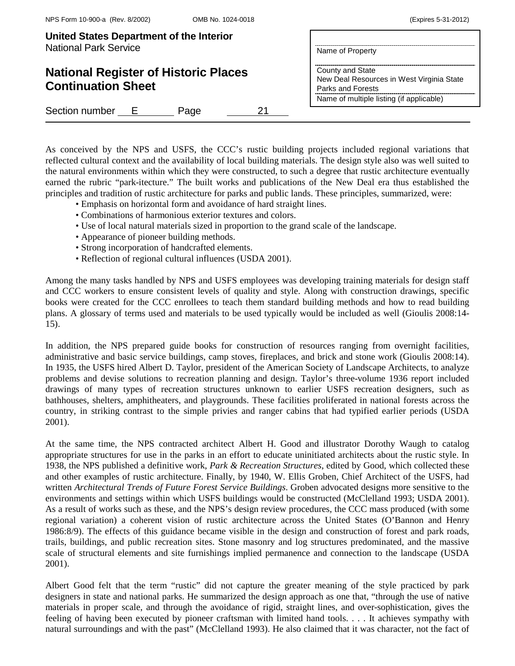| <b>United States Department of the Interior</b> |                  |
|-------------------------------------------------|------------------|
| <b>National Park Service</b>                    | Name of Property |

# **National Register of Historic Places Continuation Sheet**

Section number E Page 21

|                  | Name of Property                         |                                           |
|------------------|------------------------------------------|-------------------------------------------|
| County and State | Parks and Forests                        | New Deal Resources in West Virginia State |
|                  | Name of multiple listing (if applicable) |                                           |

As conceived by the NPS and USFS, the CCC's rustic building projects included regional variations that reflected cultural context and the availability of local building materials. The design style also was well suited to the natural environments within which they were constructed, to such a degree that rustic architecture eventually earned the rubric "park-itecture." The built works and publications of the New Deal era thus established the principles and tradition of rustic architecture for parks and public lands. These principles, summarized, were:

- Emphasis on horizontal form and avoidance of hard straight lines.
- Combinations of harmonious exterior textures and colors.
- Use of local natural materials sized in proportion to the grand scale of the landscape.
- Appearance of pioneer building methods.
- Strong incorporation of handcrafted elements.
- Reflection of regional cultural influences (USDA 2001).

Among the many tasks handled by NPS and USFS employees was developing training materials for design staff and CCC workers to ensure consistent levels of quality and style. Along with construction drawings, specific books were created for the CCC enrollees to teach them standard building methods and how to read building plans. A glossary of terms used and materials to be used typically would be included as well (Gioulis 2008:14- 15).

In addition, the NPS prepared guide books for construction of resources ranging from overnight facilities, administrative and basic service buildings, camp stoves, fireplaces, and brick and stone work (Gioulis 2008:14). In 1935, the USFS hired Albert D. Taylor, president of the American Society of Landscape Architects, to analyze problems and devise solutions to recreation planning and design. Taylor's three-volume 1936 report included drawings of many types of recreation structures unknown to earlier USFS recreation designers, such as bathhouses, shelters, amphitheaters, and playgrounds. These facilities proliferated in national forests across the country, in striking contrast to the simple privies and ranger cabins that had typified earlier periods (USDA 2001).

At the same time, the NPS contracted architect Albert H. Good and illustrator Dorothy Waugh to catalog appropriate structures for use in the parks in an effort to educate uninitiated architects about the rustic style. In 1938, the NPS published a definitive work, *Park & Recreation Structures*, edited by Good, which collected these and other examples of rustic architecture. Finally, by 1940, W. Ellis Groben, Chief Architect of the USFS, had written *Architectural Trends of Future Forest Service Buildings*. Groben advocated designs more sensitive to the environments and settings within which USFS buildings would be constructed (McClelland 1993; USDA 2001). As a result of works such as these, and the NPS's design review procedures, the CCC mass produced (with some regional variation) a coherent vision of rustic architecture across the United States (O'Bannon and Henry 1986:8/9). The effects of this guidance became visible in the design and construction of forest and park roads, trails, buildings, and public recreation sites. Stone masonry and log structures predominated, and the massive scale of structural elements and site furnishings implied permanence and connection to the landscape (USDA 2001).

Albert Good felt that the term "rustic" did not capture the greater meaning of the style practiced by park designers in state and national parks. He summarized the design approach as one that, "through the use of native materials in proper scale, and through the avoidance of rigid, straight lines, and over-sophistication, gives the feeling of having been executed by pioneer craftsman with limited hand tools. . . . It achieves sympathy with natural surroundings and with the past" (McClelland 1993). He also claimed that it was character, not the fact of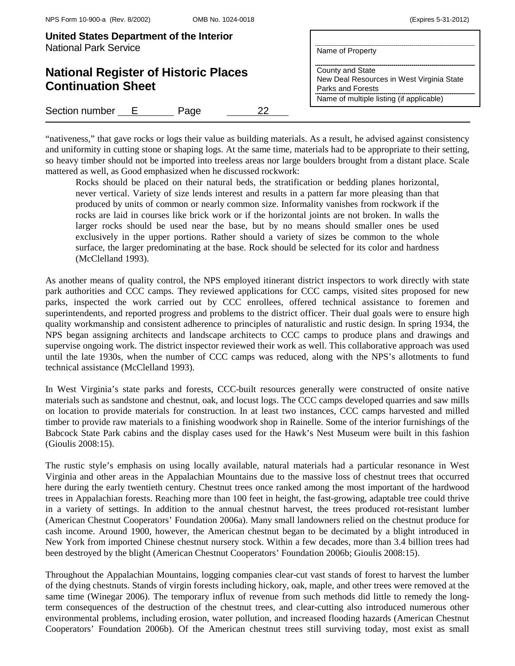| United States Department of the Interior<br><b>National Park Service</b> | Name of Property                                                                                                               |
|--------------------------------------------------------------------------|--------------------------------------------------------------------------------------------------------------------------------|
| <b>National Register of Historic Places</b><br><b>Continuation Sheet</b> | County and State<br>New Deal Resources in West Virginia State<br>Parks and Forests<br>Name of multiple listing (if applicable) |
| Section number E<br>22<br>Page                                           |                                                                                                                                |
|                                                                          |                                                                                                                                |

"nativeness," that gave rocks or logs their value as building materials. As a result, he advised against consistency and uniformity in cutting stone or shaping logs. At the same time, materials had to be appropriate to their setting, so heavy timber should not be imported into treeless areas nor large boulders brought from a distant place. Scale mattered as well, as Good emphasized when he discussed rockwork:

Rocks should be placed on their natural beds, the stratification or bedding planes horizontal, never vertical. Variety of size lends interest and results in a pattern far more pleasing than that produced by units of common or nearly common size. Informality vanishes from rockwork if the rocks are laid in courses like brick work or if the horizontal joints are not broken. In walls the larger rocks should be used near the base, but by no means should smaller ones be used exclusively in the upper portions. Rather should a variety of sizes be common to the whole surface, the larger predominating at the base. Rock should be selected for its color and hardness (McClelland 1993).

As another means of quality control, the NPS employed itinerant district inspectors to work directly with state park authorities and CCC camps. They reviewed applications for CCC camps, visited sites proposed for new parks, inspected the work carried out by CCC enrollees, offered technical assistance to foremen and superintendents, and reported progress and problems to the district officer. Their dual goals were to ensure high quality workmanship and consistent adherence to principles of naturalistic and rustic design. In spring 1934, the NPS began assigning architects and landscape architects to CCC camps to produce plans and drawings and supervise ongoing work. The district inspector reviewed their work as well. This collaborative approach was used until the late 1930s, when the number of CCC camps was reduced, along with the NPS's allotments to fund technical assistance (McClelland 1993).

In West Virginia's state parks and forests, CCC-built resources generally were constructed of onsite native materials such as sandstone and chestnut, oak, and locust logs. The CCC camps developed quarries and saw mills on location to provide materials for construction. In at least two instances, CCC camps harvested and milled timber to provide raw materials to a finishing woodwork shop in Rainelle. Some of the interior furnishings of the Babcock State Park cabins and the display cases used for the Hawk's Nest Museum were built in this fashion (Gioulis 2008:15).

The rustic style's emphasis on using locally available, natural materials had a particular resonance in West Virginia and other areas in the Appalachian Mountains due to the massive loss of chestnut trees that occurred here during the early twentieth century. Chestnut trees once ranked among the most important of the hardwood trees in Appalachian forests. Reaching more than 100 feet in height, the fast-growing, adaptable tree could thrive in a variety of settings. In addition to the annual chestnut harvest, the trees produced rot-resistant lumber (American Chestnut Cooperators' Foundation 2006a). Many small landowners relied on the chestnut produce for cash income. Around 1900, however, the American chestnut began to be decimated by a blight introduced in New York from imported Chinese chestnut nursery stock. Within a few decades, more than 3.4 billion trees had been destroyed by the blight (American Chestnut Cooperators' Foundation 2006b; Gioulis 2008:15).

Throughout the Appalachian Mountains, logging companies clear-cut vast stands of forest to harvest the lumber of the dying chestnuts. Stands of virgin forests including hickory, oak, maple, and other trees were removed at the same time (Winegar 2006). The temporary influx of revenue from such methods did little to remedy the longterm consequences of the destruction of the chestnut trees, and clear-cutting also introduced numerous other environmental problems, including erosion, water pollution, and increased flooding hazards (American Chestnut Cooperators' Foundation 2006b). Of the American chestnut trees still surviving today, most exist as small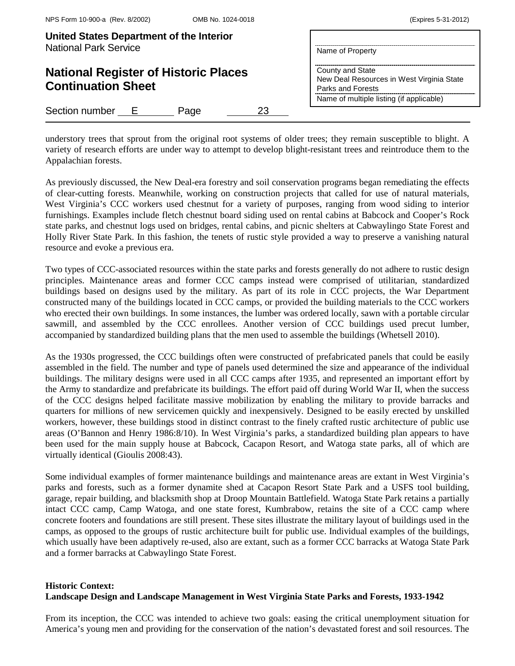| United States Department of the Interior<br><b>National Park Service</b> | Name of Property                                                                   |
|--------------------------------------------------------------------------|------------------------------------------------------------------------------------|
| <b>National Register of Historic Places</b><br><b>Continuation Sheet</b> | County and State<br>New Deal Resources in West Virginia State<br>Parks and Forests |
| Section number E<br>23<br>Page                                           | Name of multiple listing (if applicable)                                           |

understory trees that sprout from the original root systems of older trees; they remain susceptible to blight. A variety of research efforts are under way to attempt to develop blight-resistant trees and reintroduce them to the Appalachian forests.

As previously discussed, the New Deal-era forestry and soil conservation programs began remediating the effects of clear-cutting forests. Meanwhile, working on construction projects that called for use of natural materials, West Virginia's CCC workers used chestnut for a variety of purposes, ranging from wood siding to interior furnishings. Examples include fletch chestnut board siding used on rental cabins at Babcock and Cooper's Rock state parks, and chestnut logs used on bridges, rental cabins, and picnic shelters at Cabwaylingo State Forest and Holly River State Park. In this fashion, the tenets of rustic style provided a way to preserve a vanishing natural resource and evoke a previous era.

Two types of CCC-associated resources within the state parks and forests generally do not adhere to rustic design principles. Maintenance areas and former CCC camps instead were comprised of utilitarian, standardized buildings based on designs used by the military. As part of its role in CCC projects, the War Department constructed many of the buildings located in CCC camps, or provided the building materials to the CCC workers who erected their own buildings. In some instances, the lumber was ordered locally, sawn with a portable circular sawmill, and assembled by the CCC enrollees. Another version of CCC buildings used precut lumber, accompanied by standardized building plans that the men used to assemble the buildings (Whetsell 2010).

As the 1930s progressed, the CCC buildings often were constructed of prefabricated panels that could be easily assembled in the field. The number and type of panels used determined the size and appearance of the individual buildings. The military designs were used in all CCC camps after 1935, and represented an important effort by the Army to standardize and prefabricate its buildings. The effort paid off during World War II, when the success of the CCC designs helped facilitate massive mobilization by enabling the military to provide barracks and quarters for millions of new servicemen quickly and inexpensively. Designed to be easily erected by unskilled workers, however, these buildings stood in distinct contrast to the finely crafted rustic architecture of public use areas (O'Bannon and Henry 1986:8/10). In West Virginia's parks, a standardized building plan appears to have been used for the main supply house at Babcock, Cacapon Resort, and Watoga state parks, all of which are virtually identical (Gioulis 2008:43).

Some individual examples of former maintenance buildings and maintenance areas are extant in West Virginia's parks and forests, such as a former dynamite shed at Cacapon Resort State Park and a USFS tool building, garage, repair building, and blacksmith shop at Droop Mountain Battlefield. Watoga State Park retains a partially intact CCC camp, Camp Watoga, and one state forest, Kumbrabow, retains the site of a CCC camp where concrete footers and foundations are still present. These sites illustrate the military layout of buildings used in the camps, as opposed to the groups of rustic architecture built for public use. Individual examples of the buildings, which usually have been adaptively re-used, also are extant, such as a former CCC barracks at Watoga State Park and a former barracks at Cabwaylingo State Forest.

# **Historic Context: Landscape Design and Landscape Management in West Virginia State Parks and Forests, 1933-1942**

From its inception, the CCC was intended to achieve two goals: easing the critical unemployment situation for America's young men and providing for the conservation of the nation's devastated forest and soil resources. The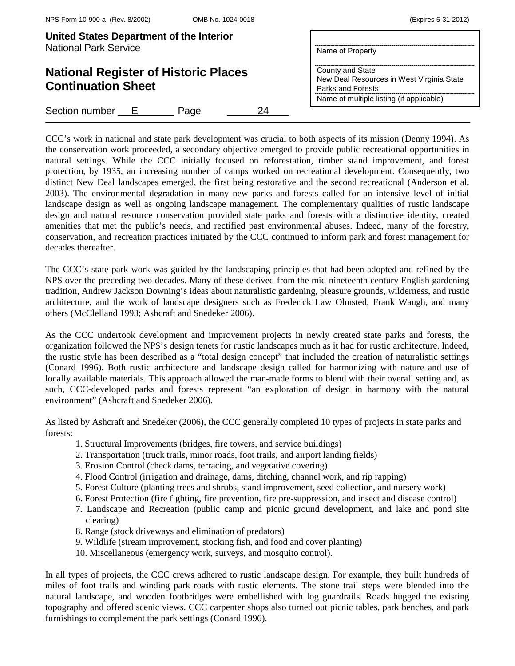| United States Department of the Interior<br><b>National Park Service</b> | Name of Property                                                                                                               |
|--------------------------------------------------------------------------|--------------------------------------------------------------------------------------------------------------------------------|
| <b>National Register of Historic Places</b><br><b>Continuation Sheet</b> | County and State<br>New Deal Resources in West Virginia State<br>Parks and Forests<br>Name of multiple listing (if applicable) |
| Section number<br>24<br>Page<br>- E -                                    |                                                                                                                                |

CCC's work in national and state park development was crucial to both aspects of its mission (Denny 1994). As the conservation work proceeded, a secondary objective emerged to provide public recreational opportunities in natural settings. While the CCC initially focused on reforestation, timber stand improvement, and forest protection, by 1935, an increasing number of camps worked on recreational development. Consequently, two distinct New Deal landscapes emerged, the first being restorative and the second recreational (Anderson et al. 2003). The environmental degradation in many new parks and forests called for an intensive level of initial landscape design as well as ongoing landscape management. The complementary qualities of rustic landscape design and natural resource conservation provided state parks and forests with a distinctive identity, created amenities that met the public's needs, and rectified past environmental abuses. Indeed, many of the forestry, conservation, and recreation practices initiated by the CCC continued to inform park and forest management for decades thereafter.

The CCC's state park work was guided by the landscaping principles that had been adopted and refined by the NPS over the preceding two decades. Many of these derived from the mid-nineteenth century English gardening tradition, Andrew Jackson Downing's ideas about naturalistic gardening, pleasure grounds, wilderness, and rustic architecture, and the work of landscape designers such as Frederick Law Olmsted, Frank Waugh, and many others (McClelland 1993; Ashcraft and Snedeker 2006).

As the CCC undertook development and improvement projects in newly created state parks and forests, the organization followed the NPS's design tenets for rustic landscapes much as it had for rustic architecture. Indeed, the rustic style has been described as a "total design concept" that included the creation of naturalistic settings (Conard 1996). Both rustic architecture and landscape design called for harmonizing with nature and use of locally available materials. This approach allowed the man-made forms to blend with their overall setting and, as such, CCC-developed parks and forests represent "an exploration of design in harmony with the natural environment" (Ashcraft and Snedeker 2006).

As listed by Ashcraft and Snedeker (2006), the CCC generally completed 10 types of projects in state parks and forests:

- 1. Structural Improvements (bridges, fire towers, and service buildings)
- 2. Transportation (truck trails, minor roads, foot trails, and airport landing fields)
- 3. Erosion Control (check dams, terracing, and vegetative covering)
- 4. Flood Control (irrigation and drainage, dams, ditching, channel work, and rip rapping)
- 5. Forest Culture (planting trees and shrubs, stand improvement, seed collection, and nursery work)
- 6. Forest Protection (fire fighting, fire prevention, fire pre-suppression, and insect and disease control)
- 7. Landscape and Recreation (public camp and picnic ground development, and lake and pond site clearing)
- 8. Range (stock driveways and elimination of predators)
- 9. Wildlife (stream improvement, stocking fish, and food and cover planting)
- 10. Miscellaneous (emergency work, surveys, and mosquito control).

In all types of projects, the CCC crews adhered to rustic landscape design. For example, they built hundreds of miles of foot trails and winding park roads with rustic elements. The stone trail steps were blended into the natural landscape, and wooden footbridges were embellished with log guardrails. Roads hugged the existing topography and offered scenic views. CCC carpenter shops also turned out picnic tables, park benches, and park furnishings to complement the park settings (Conard 1996).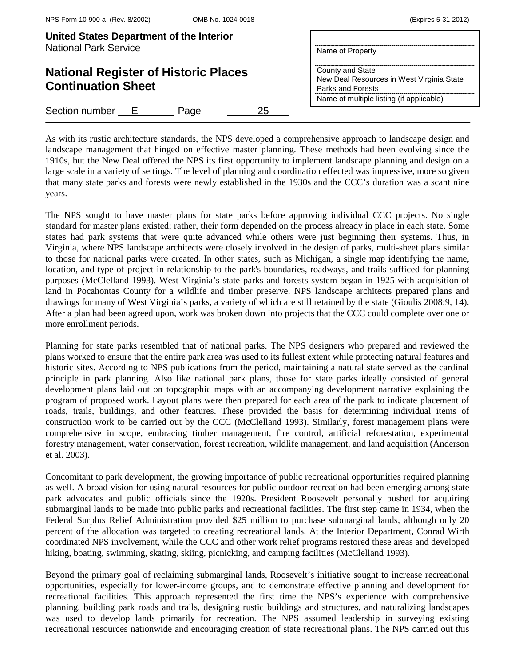|  | (Expires 5-31-2012) |
|--|---------------------|
|--|---------------------|

| United States Department of the Interior<br><b>National Park Service</b> | Name of Property                                                                                                               |
|--------------------------------------------------------------------------|--------------------------------------------------------------------------------------------------------------------------------|
| <b>National Register of Historic Places</b><br><b>Continuation Sheet</b> | County and State<br>New Deal Resources in West Virginia State<br>Parks and Forests<br>Name of multiple listing (if applicable) |
| Section number E<br>25<br>Page                                           |                                                                                                                                |

As with its rustic architecture standards, the NPS developed a comprehensive approach to landscape design and landscape management that hinged on effective master planning. These methods had been evolving since the 1910s, but the New Deal offered the NPS its first opportunity to implement landscape planning and design on a large scale in a variety of settings. The level of planning and coordination effected was impressive, more so given that many state parks and forests were newly established in the 1930s and the CCC's duration was a scant nine years.

The NPS sought to have master plans for state parks before approving individual CCC projects. No single standard for master plans existed; rather, their form depended on the process already in place in each state. Some states had park systems that were quite advanced while others were just beginning their systems. Thus, in Virginia, where NPS landscape architects were closely involved in the design of parks, multi-sheet plans similar to those for national parks were created. In other states, such as Michigan, a single map identifying the name, location, and type of project in relationship to the park's boundaries, roadways, and trails sufficed for planning purposes (McClelland 1993). West Virginia's state parks and forests system began in 1925 with acquisition of land in Pocahontas County for a wildlife and timber preserve. NPS landscape architects prepared plans and drawings for many of West Virginia's parks, a variety of which are still retained by the state (Gioulis 2008:9, 14). After a plan had been agreed upon, work was broken down into projects that the CCC could complete over one or more enrollment periods.

Planning for state parks resembled that of national parks. The NPS designers who prepared and reviewed the plans worked to ensure that the entire park area was used to its fullest extent while protecting natural features and historic sites. According to NPS publications from the period, maintaining a natural state served as the cardinal principle in park planning. Also like national park plans, those for state parks ideally consisted of general development plans laid out on topographic maps with an accompanying development narrative explaining the program of proposed work. Layout plans were then prepared for each area of the park to indicate placement of roads, trails, buildings, and other features. These provided the basis for determining individual items of construction work to be carried out by the CCC (McClelland 1993). Similarly, forest management plans were comprehensive in scope, embracing timber management, fire control, artificial reforestation, experimental forestry management, water conservation, forest recreation, wildlife management, and land acquisition (Anderson et al. 2003).

Concomitant to park development, the growing importance of public recreational opportunities required planning as well. A broad vision for using natural resources for public outdoor recreation had been emerging among state park advocates and public officials since the 1920s. President Roosevelt personally pushed for acquiring submarginal lands to be made into public parks and recreational facilities. The first step came in 1934, when the Federal Surplus Relief Administration provided \$25 million to purchase submarginal lands, although only 20 percent of the allocation was targeted to creating recreational lands. At the Interior Department, Conrad Wirth coordinated NPS involvement, while the CCC and other work relief programs restored these areas and developed hiking, boating, swimming, skating, skiing, picnicking, and camping facilities (McClelland 1993).

Beyond the primary goal of reclaiming submarginal lands, Roosevelt's initiative sought to increase recreational opportunities, especially for lower-income groups, and to demonstrate effective planning and development for recreational facilities. This approach represented the first time the NPS's experience with comprehensive planning, building park roads and trails, designing rustic buildings and structures, and naturalizing landscapes was used to develop lands primarily for recreation. The NPS assumed leadership in surveying existing recreational resources nationwide and encouraging creation of state recreational plans. The NPS carried out this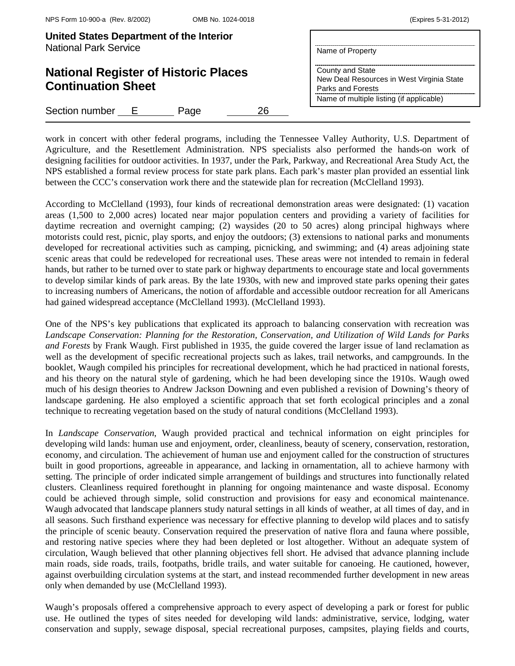| United States Department of the Interior<br><b>National Park Service</b> | Name of Property                                                                   |
|--------------------------------------------------------------------------|------------------------------------------------------------------------------------|
| <b>National Register of Historic Places</b><br><b>Continuation Sheet</b> | County and State<br>New Deal Resources in West Virginia State<br>Parks and Forests |
| Section number<br>26<br>- E<br>Page                                      | Name of multiple listing (if applicable)                                           |

work in concert with other federal programs, including the Tennessee Valley Authority, U.S. Department of Agriculture, and the Resettlement Administration. NPS specialists also performed the hands-on work of designing facilities for outdoor activities. In 1937, under the Park, Parkway, and Recreational Area Study Act, the NPS established a formal review process for state park plans. Each park's master plan provided an essential link between the CCC's conservation work there and the statewide plan for recreation (McClelland 1993).

According to McClelland (1993), four kinds of recreational demonstration areas were designated: (1) vacation areas (1,500 to 2,000 acres) located near major population centers and providing a variety of facilities for daytime recreation and overnight camping; (2) waysides (20 to 50 acres) along principal highways where motorists could rest, picnic, play sports, and enjoy the outdoors; (3) extensions to national parks and monuments developed for recreational activities such as camping, picnicking, and swimming; and (4) areas adjoining state scenic areas that could be redeveloped for recreational uses. These areas were not intended to remain in federal hands, but rather to be turned over to state park or highway departments to encourage state and local governments to develop similar kinds of park areas. By the late 1930s, with new and improved state parks opening their gates to increasing numbers of Americans, the notion of affordable and accessible outdoor recreation for all Americans had gained widespread acceptance (McClelland 1993). (McClelland 1993).

One of the NPS's key publications that explicated its approach to balancing conservation with recreation was *Landscape Conservation: Planning for the Restoration, Conservation, and Utilization of Wild Lands for Parks and Forests* by Frank Waugh. First published in 1935, the guide covered the larger issue of land reclamation as well as the development of specific recreational projects such as lakes, trail networks, and campgrounds. In the booklet, Waugh compiled his principles for recreational development, which he had practiced in national forests, and his theory on the natural style of gardening, which he had been developing since the 1910s. Waugh owed much of his design theories to Andrew Jackson Downing and even published a revision of Downing's theory of landscape gardening. He also employed a scientific approach that set forth ecological principles and a zonal technique to recreating vegetation based on the study of natural conditions (McClelland 1993).

In *Landscape Conservation*, Waugh provided practical and technical information on eight principles for developing wild lands: human use and enjoyment, order, cleanliness, beauty of scenery, conservation, restoration, economy, and circulation. The achievement of human use and enjoyment called for the construction of structures built in good proportions, agreeable in appearance, and lacking in ornamentation, all to achieve harmony with setting. The principle of order indicated simple arrangement of buildings and structures into functionally related clusters. Cleanliness required forethought in planning for ongoing maintenance and waste disposal. Economy could be achieved through simple, solid construction and provisions for easy and economical maintenance. Waugh advocated that landscape planners study natural settings in all kinds of weather, at all times of day, and in all seasons. Such firsthand experience was necessary for effective planning to develop wild places and to satisfy the principle of scenic beauty. Conservation required the preservation of native flora and fauna where possible, and restoring native species where they had been depleted or lost altogether. Without an adequate system of circulation, Waugh believed that other planning objectives fell short. He advised that advance planning include main roads, side roads, trails, footpaths, bridle trails, and water suitable for canoeing. He cautioned, however, against overbuilding circulation systems at the start, and instead recommended further development in new areas only when demanded by use (McClelland 1993).

Waugh's proposals offered a comprehensive approach to every aspect of developing a park or forest for public use. He outlined the types of sites needed for developing wild lands: administrative, service, lodging, water conservation and supply, sewage disposal, special recreational purposes, campsites, playing fields and courts,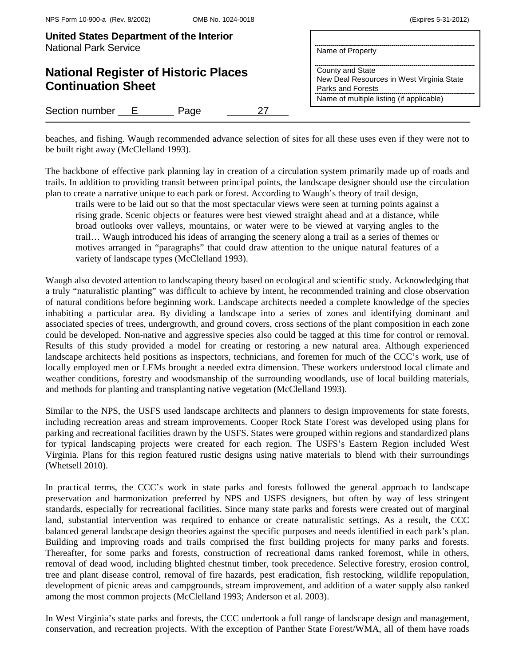| United States Department of the Interior<br><b>National Park Service</b> | Name of Property                                                                   |
|--------------------------------------------------------------------------|------------------------------------------------------------------------------------|
| <b>National Register of Historic Places</b><br><b>Continuation Sheet</b> | County and State<br>New Deal Resources in West Virginia State<br>Parks and Forests |
|                                                                          | Name of multiple listing (if applicable)                                           |
| Section number E<br>27<br>Page                                           |                                                                                    |

beaches, and fishing. Waugh recommended advance selection of sites for all these uses even if they were not to be built right away (McClelland 1993).

The backbone of effective park planning lay in creation of a circulation system primarily made up of roads and trails. In addition to providing transit between principal points, the landscape designer should use the circulation plan to create a narrative unique to each park or forest. According to Waugh's theory of trail design,

trails were to be laid out so that the most spectacular views were seen at turning points against a rising grade. Scenic objects or features were best viewed straight ahead and at a distance, while broad outlooks over valleys, mountains, or water were to be viewed at varying angles to the trail… Waugh introduced his ideas of arranging the scenery along a trail as a series of themes or motives arranged in "paragraphs" that could draw attention to the unique natural features of a variety of landscape types (McClelland 1993).

Waugh also devoted attention to landscaping theory based on ecological and scientific study. Acknowledging that a truly "naturalistic planting" was difficult to achieve by intent, he recommended training and close observation of natural conditions before beginning work. Landscape architects needed a complete knowledge of the species inhabiting a particular area. By dividing a landscape into a series of zones and identifying dominant and associated species of trees, undergrowth, and ground covers, cross sections of the plant composition in each zone could be developed. Non-native and aggressive species also could be tagged at this time for control or removal. Results of this study provided a model for creating or restoring a new natural area. Although experienced landscape architects held positions as inspectors, technicians, and foremen for much of the CCC's work, use of locally employed men or LEMs brought a needed extra dimension. These workers understood local climate and weather conditions, forestry and woodsmanship of the surrounding woodlands, use of local building materials, and methods for planting and transplanting native vegetation (McClelland 1993).

Similar to the NPS, the USFS used landscape architects and planners to design improvements for state forests, including recreation areas and stream improvements. Cooper Rock State Forest was developed using plans for parking and recreational facilities drawn by the USFS. States were grouped within regions and standardized plans for typical landscaping projects were created for each region. The USFS's Eastern Region included West Virginia. Plans for this region featured rustic designs using native materials to blend with their surroundings (Whetsell 2010).

In practical terms, the CCC's work in state parks and forests followed the general approach to landscape preservation and harmonization preferred by NPS and USFS designers, but often by way of less stringent standards, especially for recreational facilities. Since many state parks and forests were created out of marginal land, substantial intervention was required to enhance or create naturalistic settings. As a result, the CCC balanced general landscape design theories against the specific purposes and needs identified in each park's plan. Building and improving roads and trails comprised the first building projects for many parks and forests. Thereafter, for some parks and forests, construction of recreational dams ranked foremost, while in others, removal of dead wood, including blighted chestnut timber, took precedence. Selective forestry, erosion control, tree and plant disease control, removal of fire hazards, pest eradication, fish restocking, wildlife repopulation, development of picnic areas and campgrounds, stream improvement, and addition of a water supply also ranked among the most common projects (McClelland 1993; Anderson et al. 2003).

In West Virginia's state parks and forests, the CCC undertook a full range of landscape design and management, conservation, and recreation projects. With the exception of Panther State Forest/WMA, all of them have roads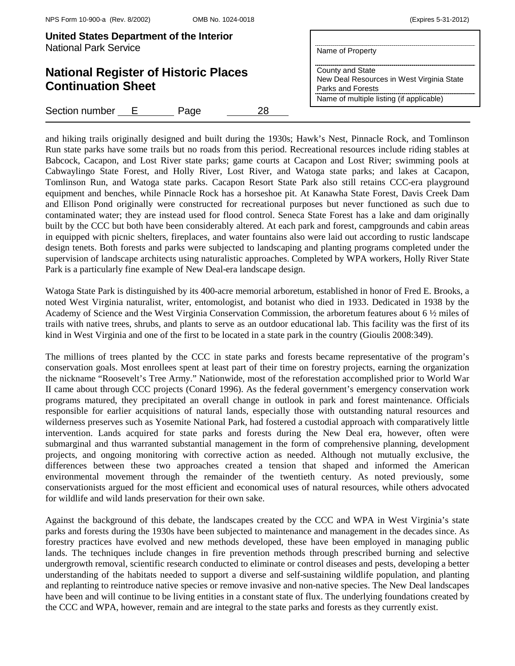| United States Department of the Interior<br><b>National Park Service</b> |    | Name of Property                                                                   |
|--------------------------------------------------------------------------|----|------------------------------------------------------------------------------------|
| <b>National Register of Historic Places</b><br><b>Continuation Sheet</b> |    | County and State<br>New Deal Resources in West Virginia State<br>Parks and Forests |
| Section number<br>* <u>上</u><br>Page                                     | 28 | Name of multiple listing (if applicable)                                           |

and hiking trails originally designed and built during the 1930s; Hawk's Nest, Pinnacle Rock, and Tomlinson Run state parks have some trails but no roads from this period. Recreational resources include riding stables at Babcock, Cacapon, and Lost River state parks; game courts at Cacapon and Lost River; swimming pools at Cabwaylingo State Forest, and Holly River, Lost River, and Watoga state parks; and lakes at Cacapon, Tomlinson Run, and Watoga state parks. Cacapon Resort State Park also still retains CCC-era playground equipment and benches, while Pinnacle Rock has a horseshoe pit. At Kanawha State Forest, Davis Creek Dam and Ellison Pond originally were constructed for recreational purposes but never functioned as such due to contaminated water; they are instead used for flood control. Seneca State Forest has a lake and dam originally built by the CCC but both have been considerably altered. At each park and forest, campgrounds and cabin areas in equipped with picnic shelters, fireplaces, and water fountains also were laid out according to rustic landscape design tenets. Both forests and parks were subjected to landscaping and planting programs completed under the supervision of landscape architects using naturalistic approaches. Completed by WPA workers, Holly River State Park is a particularly fine example of New Deal-era landscape design.

Watoga State Park is distinguished by its 400-acre memorial arboretum, established in honor of Fred E. Brooks, a noted West Virginia naturalist, writer, entomologist, and botanist who died in 1933. Dedicated in 1938 by the Academy of Science and the West Virginia Conservation Commission, the arboretum features about 6 ½ miles of trails with native trees, shrubs, and plants to serve as an outdoor educational lab. This facility was the first of its kind in West Virginia and one of the first to be located in a state park in the country (Gioulis 2008:349).

The millions of trees planted by the CCC in state parks and forests became representative of the program's conservation goals. Most enrollees spent at least part of their time on forestry projects, earning the organization the nickname "Roosevelt's Tree Army." Nationwide, most of the reforestation accomplished prior to World War II came about through CCC projects (Conard 1996). As the federal government's emergency conservation work programs matured, they precipitated an overall change in outlook in park and forest maintenance. Officials responsible for earlier acquisitions of natural lands, especially those with outstanding natural resources and wilderness preserves such as Yosemite National Park, had fostered a custodial approach with comparatively little intervention. Lands acquired for state parks and forests during the New Deal era, however, often were submarginal and thus warranted substantial management in the form of comprehensive planning, development projects, and ongoing monitoring with corrective action as needed. Although not mutually exclusive, the differences between these two approaches created a tension that shaped and informed the American environmental movement through the remainder of the twentieth century. As noted previously, some conservationists argued for the most efficient and economical uses of natural resources, while others advocated for wildlife and wild lands preservation for their own sake.

Against the background of this debate, the landscapes created by the CCC and WPA in West Virginia's state parks and forests during the 1930s have been subjected to maintenance and management in the decades since. As forestry practices have evolved and new methods developed, these have been employed in managing public lands. The techniques include changes in fire prevention methods through prescribed burning and selective undergrowth removal, scientific research conducted to eliminate or control diseases and pests, developing a better understanding of the habitats needed to support a diverse and self-sustaining wildlife population, and planting and replanting to reintroduce native species or remove invasive and non-native species. The New Deal landscapes have been and will continue to be living entities in a constant state of flux. The underlying foundations created by the CCC and WPA, however, remain and are integral to the state parks and forests as they currently exist.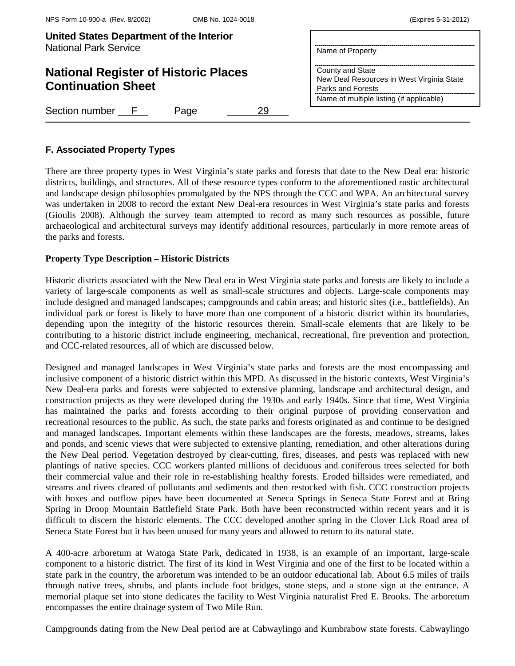| United States Department of the Interior<br><b>National Park Service</b> | Name of Property                                                                   |
|--------------------------------------------------------------------------|------------------------------------------------------------------------------------|
| <b>National Register of Historic Places</b><br><b>Continuation Sheet</b> | County and State<br>New Deal Resources in West Virginia State<br>Parks and Forests |
|                                                                          | Name of multiple listing (if applicable)                                           |
| Section number F<br>Page<br>29                                           |                                                                                    |

# **F. Associated Property Types**

There are three property types in West Virginia's state parks and forests that date to the New Deal era: historic districts, buildings, and structures. All of these resource types conform to the aforementioned rustic architectural and landscape design philosophies promulgated by the NPS through the CCC and WPA. An architectural survey was undertaken in 2008 to record the extant New Deal-era resources in West Virginia's state parks and forests (Gioulis 2008). Although the survey team attempted to record as many such resources as possible, future archaeological and architectural surveys may identify additional resources, particularly in more remote areas of the parks and forests.

## **Property Type Description – Historic Districts**

Historic districts associated with the New Deal era in West Virginia state parks and forests are likely to include a variety of large-scale components as well as small-scale structures and objects. Large-scale components may include designed and managed landscapes; campgrounds and cabin areas; and historic sites (i.e., battlefields). An individual park or forest is likely to have more than one component of a historic district within its boundaries, depending upon the integrity of the historic resources therein. Small-scale elements that are likely to be contributing to a historic district include engineering, mechanical, recreational, fire prevention and protection, and CCC-related resources, all of which are discussed below.

Designed and managed landscapes in West Virginia's state parks and forests are the most encompassing and inclusive component of a historic district within this MPD. As discussed in the historic contexts, West Virginia's New Deal-era parks and forests were subjected to extensive planning, landscape and architectural design, and construction projects as they were developed during the 1930s and early 1940s. Since that time, West Virginia has maintained the parks and forests according to their original purpose of providing conservation and recreational resources to the public. As such, the state parks and forests originated as and continue to be designed and managed landscapes. Important elements within these landscapes are the forests, meadows, streams, lakes and ponds, and scenic views that were subjected to extensive planting, remediation, and other alterations during the New Deal period. Vegetation destroyed by clear-cutting, fires, diseases, and pests was replaced with new plantings of native species. CCC workers planted millions of deciduous and coniferous trees selected for both their commercial value and their role in re-establishing healthy forests. Eroded hillsides were remediated, and streams and rivers cleared of pollutants and sediments and then restocked with fish. CCC construction projects with boxes and outflow pipes have been documented at Seneca Springs in Seneca State Forest and at Bring Spring in Droop Mountain Battlefield State Park. Both have been reconstructed within recent years and it is difficult to discern the historic elements. The CCC developed another spring in the Clover Lick Road area of Seneca State Forest but it has been unused for many years and allowed to return to its natural state.

A 400-acre arboretum at Watoga State Park, dedicated in 1938, is an example of an important, large-scale component to a historic district. The first of its kind in West Virginia and one of the first to be located within a state park in the country, the arboretum was intended to be an outdoor educational lab. About 6.5 miles of trails through native trees, shrubs, and plants include foot bridges, stone steps, and a stone sign at the entrance. A memorial plaque set into stone dedicates the facility to West Virginia naturalist Fred E. Brooks. The arboretum encompasses the entire drainage system of Two Mile Run.

Campgrounds dating from the New Deal period are at Cabwaylingo and Kumbrabow state forests. Cabwaylingo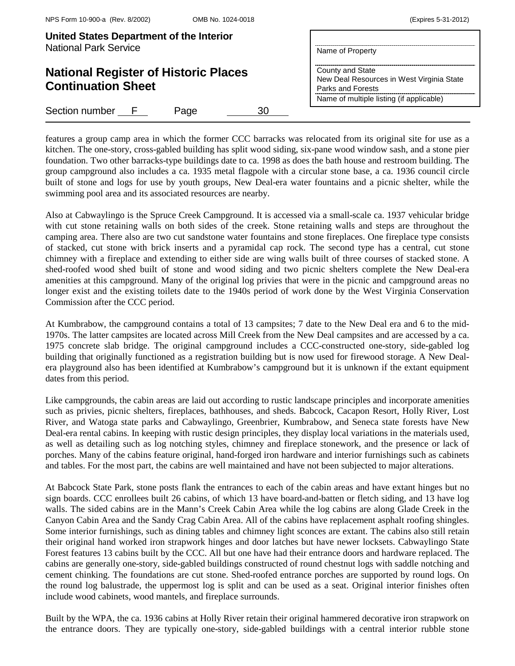| United States Department of the Interior<br><b>National Park Service</b> | Name of Property                                                                   |
|--------------------------------------------------------------------------|------------------------------------------------------------------------------------|
| <b>National Register of Historic Places</b><br><b>Continuation Sheet</b> | County and State<br>New Deal Resources in West Virginia State<br>Parks and Forests |
|                                                                          | Name of multiple listing (if applicable)                                           |
| Section number F<br>30<br>Page                                           |                                                                                    |

features a group camp area in which the former CCC barracks was relocated from its original site for use as a kitchen. The one-story, cross-gabled building has split wood siding, six-pane wood window sash, and a stone pier foundation. Two other barracks-type buildings date to ca. 1998 as does the bath house and restroom building. The group campground also includes a ca. 1935 metal flagpole with a circular stone base, a ca. 1936 council circle built of stone and logs for use by youth groups, New Deal-era water fountains and a picnic shelter, while the swimming pool area and its associated resources are nearby.

Also at Cabwaylingo is the Spruce Creek Campground. It is accessed via a small-scale ca. 1937 vehicular bridge with cut stone retaining walls on both sides of the creek. Stone retaining walls and steps are throughout the camping area. There also are two cut sandstone water fountains and stone fireplaces. One fireplace type consists of stacked, cut stone with brick inserts and a pyramidal cap rock. The second type has a central, cut stone chimney with a fireplace and extending to either side are wing walls built of three courses of stacked stone. A shed-roofed wood shed built of stone and wood siding and two picnic shelters complete the New Deal-era amenities at this campground. Many of the original log privies that were in the picnic and campground areas no longer exist and the existing toilets date to the 1940s period of work done by the West Virginia Conservation Commission after the CCC period.

At Kumbrabow, the campground contains a total of 13 campsites; 7 date to the New Deal era and 6 to the mid-1970s. The latter campsites are located across Mill Creek from the New Deal campsites and are accessed by a ca. 1975 concrete slab bridge. The original campground includes a CCC-constructed one-story, side-gabled log building that originally functioned as a registration building but is now used for firewood storage. A New Dealera playground also has been identified at Kumbrabow's campground but it is unknown if the extant equipment dates from this period.

Like campgrounds, the cabin areas are laid out according to rustic landscape principles and incorporate amenities such as privies, picnic shelters, fireplaces, bathhouses, and sheds. Babcock, Cacapon Resort, Holly River, Lost River, and Watoga state parks and Cabwaylingo, Greenbrier, Kumbrabow, and Seneca state forests have New Deal-era rental cabins. In keeping with rustic design principles, they display local variations in the materials used, as well as detailing such as log notching styles, chimney and fireplace stonework, and the presence or lack of porches. Many of the cabins feature original, hand-forged iron hardware and interior furnishings such as cabinets and tables. For the most part, the cabins are well maintained and have not been subjected to major alterations.

At Babcock State Park, stone posts flank the entrances to each of the cabin areas and have extant hinges but no sign boards. CCC enrollees built 26 cabins, of which 13 have board-and-batten or fletch siding, and 13 have log walls. The sided cabins are in the Mann's Creek Cabin Area while the log cabins are along Glade Creek in the Canyon Cabin Area and the Sandy Crag Cabin Area. All of the cabins have replacement asphalt roofing shingles. Some interior furnishings, such as dining tables and chimney light sconces are extant. The cabins also still retain their original hand worked iron strapwork hinges and door latches but have newer locksets. Cabwaylingo State Forest features 13 cabins built by the CCC. All but one have had their entrance doors and hardware replaced. The cabins are generally one-story, side-gabled buildings constructed of round chestnut logs with saddle notching and cement chinking. The foundations are cut stone. Shed-roofed entrance porches are supported by round logs. On the round log balustrade, the uppermost log is split and can be used as a seat. Original interior finishes often include wood cabinets, wood mantels, and fireplace surrounds.

Built by the WPA, the ca. 1936 cabins at Holly River retain their original hammered decorative iron strapwork on the entrance doors. They are typically one-story, side-gabled buildings with a central interior rubble stone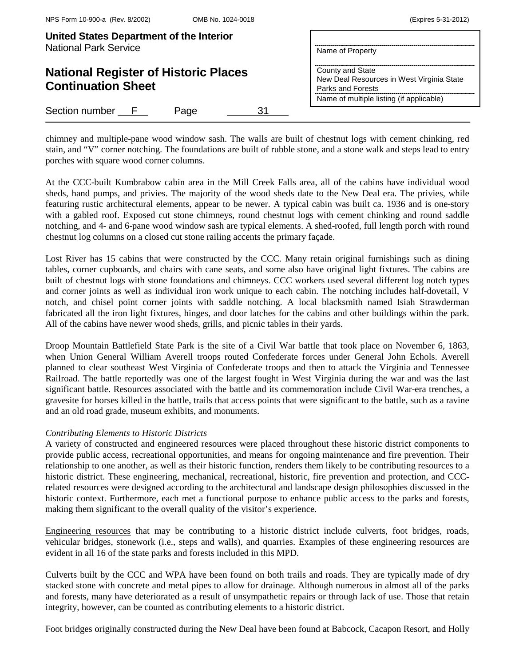| United States Department of the Interior<br><b>National Park Service</b> | Name of Property                                                                                                               |
|--------------------------------------------------------------------------|--------------------------------------------------------------------------------------------------------------------------------|
| <b>National Register of Historic Places</b><br><b>Continuation Sheet</b> | County and State<br>New Deal Resources in West Virginia State<br>Parks and Forests<br>Name of multiple listing (if applicable) |
| Section number F<br>31<br>Page                                           |                                                                                                                                |

chimney and multiple-pane wood window sash. The walls are built of chestnut logs with cement chinking, red stain, and "V" corner notching. The foundations are built of rubble stone, and a stone walk and steps lead to entry porches with square wood corner columns.

At the CCC-built Kumbrabow cabin area in the Mill Creek Falls area, all of the cabins have individual wood sheds, hand pumps, and privies. The majority of the wood sheds date to the New Deal era. The privies, while featuring rustic architectural elements, appear to be newer. A typical cabin was built ca. 1936 and is one-story with a gabled roof. Exposed cut stone chimneys, round chestnut logs with cement chinking and round saddle notching, and 4- and 6-pane wood window sash are typical elements. A shed-roofed, full length porch with round chestnut log columns on a closed cut stone railing accents the primary façade.

Lost River has 15 cabins that were constructed by the CCC. Many retain original furnishings such as dining tables, corner cupboards, and chairs with cane seats, and some also have original light fixtures. The cabins are built of chestnut logs with stone foundations and chimneys. CCC workers used several different log notch types and corner joints as well as individual iron work unique to each cabin. The notching includes half-dovetail, V notch, and chisel point corner joints with saddle notching. A local blacksmith named Isiah Strawderman fabricated all the iron light fixtures, hinges, and door latches for the cabins and other buildings within the park. All of the cabins have newer wood sheds, grills, and picnic tables in their yards.

Droop Mountain Battlefield State Park is the site of a Civil War battle that took place on November 6, 1863, when Union General William Averell troops routed Confederate forces under General John Echols. Averell planned to clear southeast West Virginia of Confederate troops and then to attack the Virginia and Tennessee Railroad. The battle reportedly was one of the largest fought in West Virginia during the war and was the last significant battle. Resources associated with the battle and its commemoration include Civil War-era trenches, a gravesite for horses killed in the battle, trails that access points that were significant to the battle, such as a ravine and an old road grade, museum exhibits, and monuments.

# *Contributing Elements to Historic Districts*

A variety of constructed and engineered resources were placed throughout these historic district components to provide public access, recreational opportunities, and means for ongoing maintenance and fire prevention. Their relationship to one another, as well as their historic function, renders them likely to be contributing resources to a historic district. These engineering, mechanical, recreational, historic, fire prevention and protection, and CCCrelated resources were designed according to the architectural and landscape design philosophies discussed in the historic context. Furthermore, each met a functional purpose to enhance public access to the parks and forests, making them significant to the overall quality of the visitor's experience.

Engineering resources that may be contributing to a historic district include culverts, foot bridges, roads, vehicular bridges, stonework (i.e., steps and walls), and quarries. Examples of these engineering resources are evident in all 16 of the state parks and forests included in this MPD.

Culverts built by the CCC and WPA have been found on both trails and roads. They are typically made of dry stacked stone with concrete and metal pipes to allow for drainage. Although numerous in almost all of the parks and forests, many have deteriorated as a result of unsympathetic repairs or through lack of use. Those that retain integrity, however, can be counted as contributing elements to a historic district.

Foot bridges originally constructed during the New Deal have been found at Babcock, Cacapon Resort, and Holly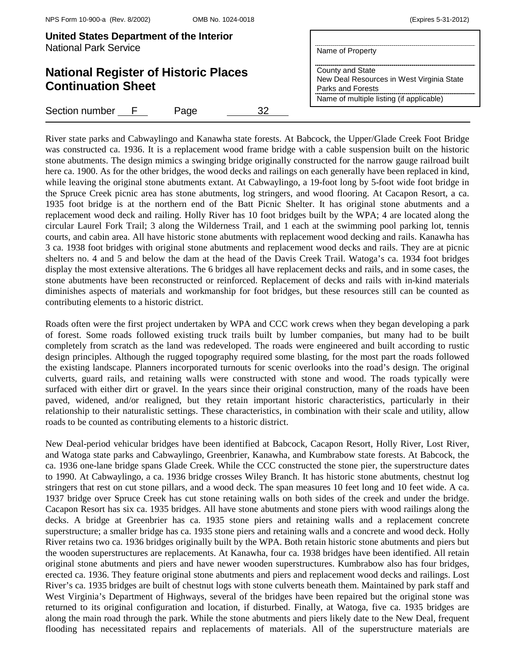| United States Department of the Interior<br><b>National Park Service</b> | Name of Property                                                                   |
|--------------------------------------------------------------------------|------------------------------------------------------------------------------------|
| <b>National Register of Historic Places</b><br><b>Continuation Sheet</b> | County and State<br>New Deal Resources in West Virginia State<br>Parks and Forests |
| Section number F<br>Page<br>32                                           | Name of multiple listing (if applicable)                                           |

River state parks and Cabwaylingo and Kanawha state forests. At Babcock, the Upper/Glade Creek Foot Bridge was constructed ca. 1936. It is a replacement wood frame bridge with a cable suspension built on the historic stone abutments. The design mimics a swinging bridge originally constructed for the narrow gauge railroad built here ca. 1900. As for the other bridges, the wood decks and railings on each generally have been replaced in kind, while leaving the original stone abutments extant. At Cabwaylingo, a 19-foot long by 5-foot wide foot bridge in the Spruce Creek picnic area has stone abutments, log stringers, and wood flooring. At Cacapon Resort, a ca. 1935 foot bridge is at the northern end of the Batt Picnic Shelter. It has original stone abutments and a replacement wood deck and railing. Holly River has 10 foot bridges built by the WPA; 4 are located along the circular Laurel Fork Trail; 3 along the Wilderness Trail, and 1 each at the swimming pool parking lot, tennis courts, and cabin area. All have historic stone abutments with replacement wood decking and rails. Kanawha has 3 ca. 1938 foot bridges with original stone abutments and replacement wood decks and rails. They are at picnic shelters no. 4 and 5 and below the dam at the head of the Davis Creek Trail. Watoga's ca. 1934 foot bridges display the most extensive alterations. The 6 bridges all have replacement decks and rails, and in some cases, the stone abutments have been reconstructed or reinforced. Replacement of decks and rails with in-kind materials diminishes aspects of materials and workmanship for foot bridges, but these resources still can be counted as contributing elements to a historic district.

Roads often were the first project undertaken by WPA and CCC work crews when they began developing a park of forest. Some roads followed existing truck trails built by lumber companies, but many had to be built completely from scratch as the land was redeveloped. The roads were engineered and built according to rustic design principles. Although the rugged topography required some blasting, for the most part the roads followed the existing landscape. Planners incorporated turnouts for scenic overlooks into the road's design. The original culverts, guard rails, and retaining walls were constructed with stone and wood. The roads typically were surfaced with either dirt or gravel. In the years since their original construction, many of the roads have been paved, widened, and/or realigned, but they retain important historic characteristics, particularly in their relationship to their naturalistic settings. These characteristics, in combination with their scale and utility, allow roads to be counted as contributing elements to a historic district.

New Deal-period vehicular bridges have been identified at Babcock, Cacapon Resort, Holly River, Lost River, and Watoga state parks and Cabwaylingo, Greenbrier, Kanawha, and Kumbrabow state forests. At Babcock, the ca. 1936 one-lane bridge spans Glade Creek. While the CCC constructed the stone pier, the superstructure dates to 1990. At Cabwaylingo, a ca. 1936 bridge crosses Wiley Branch. It has historic stone abutments, chestnut log stringers that rest on cut stone pillars, and a wood deck. The span measures 10 feet long and 10 feet wide. A ca. 1937 bridge over Spruce Creek has cut stone retaining walls on both sides of the creek and under the bridge. Cacapon Resort has six ca. 1935 bridges. All have stone abutments and stone piers with wood railings along the decks. A bridge at Greenbrier has ca. 1935 stone piers and retaining walls and a replacement concrete superstructure; a smaller bridge has ca. 1935 stone piers and retaining walls and a concrete and wood deck. Holly River retains two ca. 1936 bridges originally built by the WPA. Both retain historic stone abutments and piers but the wooden superstructures are replacements. At Kanawha, four ca. 1938 bridges have been identified. All retain original stone abutments and piers and have newer wooden superstructures. Kumbrabow also has four bridges, erected ca. 1936. They feature original stone abutments and piers and replacement wood decks and railings. Lost River's ca. 1935 bridges are built of chestnut logs with stone culverts beneath them. Maintained by park staff and West Virginia's Department of Highways, several of the bridges have been repaired but the original stone was returned to its original configuration and location, if disturbed. Finally, at Watoga, five ca. 1935 bridges are along the main road through the park. While the stone abutments and piers likely date to the New Deal, frequent flooding has necessitated repairs and replacements of materials. All of the superstructure materials are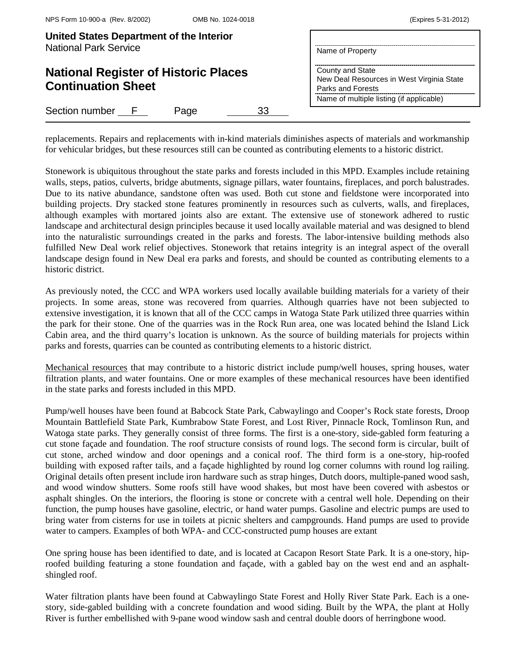| (Expires 5-31-2012) |  |  |
|---------------------|--|--|
|---------------------|--|--|

| United States Department of the Interior<br><b>National Park Service</b> | Name of Property                                                                                                               |
|--------------------------------------------------------------------------|--------------------------------------------------------------------------------------------------------------------------------|
| <b>National Register of Historic Places</b><br><b>Continuation Sheet</b> | County and State<br>New Deal Resources in West Virginia State<br>Parks and Forests<br>Name of multiple listing (if applicable) |
| Section number F<br>33<br>Page                                           |                                                                                                                                |

replacements. Repairs and replacements with in-kind materials diminishes aspects of materials and workmanship for vehicular bridges, but these resources still can be counted as contributing elements to a historic district.

Stonework is ubiquitous throughout the state parks and forests included in this MPD. Examples include retaining walls, steps, patios, culverts, bridge abutments, signage pillars, water fountains, fireplaces, and porch balustrades. Due to its native abundance, sandstone often was used. Both cut stone and fieldstone were incorporated into building projects. Dry stacked stone features prominently in resources such as culverts, walls, and fireplaces, although examples with mortared joints also are extant. The extensive use of stonework adhered to rustic landscape and architectural design principles because it used locally available material and was designed to blend into the naturalistic surroundings created in the parks and forests. The labor-intensive building methods also fulfilled New Deal work relief objectives. Stonework that retains integrity is an integral aspect of the overall landscape design found in New Deal era parks and forests, and should be counted as contributing elements to a historic district.

As previously noted, the CCC and WPA workers used locally available building materials for a variety of their projects. In some areas, stone was recovered from quarries. Although quarries have not been subjected to extensive investigation, it is known that all of the CCC camps in Watoga State Park utilized three quarries within the park for their stone. One of the quarries was in the Rock Run area, one was located behind the Island Lick Cabin area, and the third quarry's location is unknown. As the source of building materials for projects within parks and forests, quarries can be counted as contributing elements to a historic district.

Mechanical resources that may contribute to a historic district include pump/well houses, spring houses, water filtration plants, and water fountains. One or more examples of these mechanical resources have been identified in the state parks and forests included in this MPD.

Pump/well houses have been found at Babcock State Park, Cabwaylingo and Cooper's Rock state forests, Droop Mountain Battlefield State Park, Kumbrabow State Forest, and Lost River, Pinnacle Rock, Tomlinson Run, and Watoga state parks. They generally consist of three forms. The first is a one-story, side-gabled form featuring a cut stone façade and foundation. The roof structure consists of round logs. The second form is circular, built of cut stone, arched window and door openings and a conical roof. The third form is a one-story, hip-roofed building with exposed rafter tails, and a façade highlighted by round log corner columns with round log railing. Original details often present include iron hardware such as strap hinges, Dutch doors, multiple-paned wood sash, and wood window shutters. Some roofs still have wood shakes, but most have been covered with asbestos or asphalt shingles. On the interiors, the flooring is stone or concrete with a central well hole. Depending on their function, the pump houses have gasoline, electric, or hand water pumps. Gasoline and electric pumps are used to bring water from cisterns for use in toilets at picnic shelters and campgrounds. Hand pumps are used to provide water to campers. Examples of both WPA- and CCC-constructed pump houses are extant

One spring house has been identified to date, and is located at Cacapon Resort State Park. It is a one-story, hiproofed building featuring a stone foundation and façade, with a gabled bay on the west end and an asphaltshingled roof.

Water filtration plants have been found at Cabwaylingo State Forest and Holly River State Park. Each is a onestory, side-gabled building with a concrete foundation and wood siding. Built by the WPA, the plant at Holly River is further embellished with 9-pane wood window sash and central double doors of herringbone wood.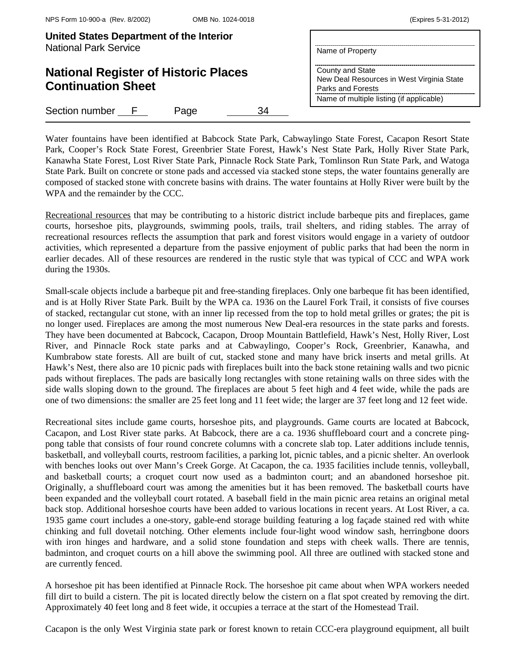| United States Department of the Interior<br><b>National Park Service</b> | Name of Property<br>County and State<br>New Deal Resources in West Virginia State<br>Parks and Forests<br>Name of multiple listing (if applicable) |
|--------------------------------------------------------------------------|----------------------------------------------------------------------------------------------------------------------------------------------------|
| <b>National Register of Historic Places</b><br><b>Continuation Sheet</b> |                                                                                                                                                    |
| Section number<br>34<br>Page<br>$\mathbf{F}$                             |                                                                                                                                                    |

Water fountains have been identified at Babcock State Park, Cabwaylingo State Forest, Cacapon Resort State Park, Cooper's Rock State Forest, Greenbrier State Forest, Hawk's Nest State Park, Holly River State Park, Kanawha State Forest, Lost River State Park, Pinnacle Rock State Park, Tomlinson Run State Park, and Watoga State Park. Built on concrete or stone pads and accessed via stacked stone steps, the water fountains generally are composed of stacked stone with concrete basins with drains. The water fountains at Holly River were built by the WPA and the remainder by the CCC.

Recreational resources that may be contributing to a historic district include barbeque pits and fireplaces, game courts, horseshoe pits, playgrounds, swimming pools, trails, trail shelters, and riding stables. The array of recreational resources reflects the assumption that park and forest visitors would engage in a variety of outdoor activities, which represented a departure from the passive enjoyment of public parks that had been the norm in earlier decades. All of these resources are rendered in the rustic style that was typical of CCC and WPA work during the 1930s.

Small-scale objects include a barbeque pit and free-standing fireplaces. Only one barbeque fit has been identified, and is at Holly River State Park. Built by the WPA ca. 1936 on the Laurel Fork Trail, it consists of five courses of stacked, rectangular cut stone, with an inner lip recessed from the top to hold metal grilles or grates; the pit is no longer used. Fireplaces are among the most numerous New Deal-era resources in the state parks and forests. They have been documented at Babcock, Cacapon, Droop Mountain Battlefield, Hawk's Nest, Holly River, Lost River, and Pinnacle Rock state parks and at Cabwaylingo, Cooper's Rock, Greenbrier, Kanawha, and Kumbrabow state forests. All are built of cut, stacked stone and many have brick inserts and metal grills. At Hawk's Nest, there also are 10 picnic pads with fireplaces built into the back stone retaining walls and two picnic pads without fireplaces. The pads are basically long rectangles with stone retaining walls on three sides with the side walls sloping down to the ground. The fireplaces are about 5 feet high and 4 feet wide, while the pads are one of two dimensions: the smaller are 25 feet long and 11 feet wide; the larger are 37 feet long and 12 feet wide.

Recreational sites include game courts, horseshoe pits, and playgrounds. Game courts are located at Babcock, Cacapon, and Lost River state parks. At Babcock, there are a ca. 1936 shuffleboard court and a concrete pingpong table that consists of four round concrete columns with a concrete slab top. Later additions include tennis, basketball, and volleyball courts, restroom facilities, a parking lot, picnic tables, and a picnic shelter. An overlook with benches looks out over Mann's Creek Gorge. At Cacapon, the ca. 1935 facilities include tennis, volleyball, and basketball courts; a croquet court now used as a badminton court; and an abandoned horseshoe pit. Originally, a shuffleboard court was among the amenities but it has been removed. The basketball courts have been expanded and the volleyball court rotated. A baseball field in the main picnic area retains an original metal back stop. Additional horseshoe courts have been added to various locations in recent years. At Lost River, a ca. 1935 game court includes a one-story, gable-end storage building featuring a log façade stained red with white chinking and full dovetail notching. Other elements include four-light wood window sash, herringbone doors with iron hinges and hardware, and a solid stone foundation and steps with cheek walls. There are tennis, badminton, and croquet courts on a hill above the swimming pool. All three are outlined with stacked stone and are currently fenced.

A horseshoe pit has been identified at Pinnacle Rock. The horseshoe pit came about when WPA workers needed fill dirt to build a cistern. The pit is located directly below the cistern on a flat spot created by removing the dirt. Approximately 40 feet long and 8 feet wide, it occupies a terrace at the start of the Homestead Trail.

Cacapon is the only West Virginia state park or forest known to retain CCC-era playground equipment, all built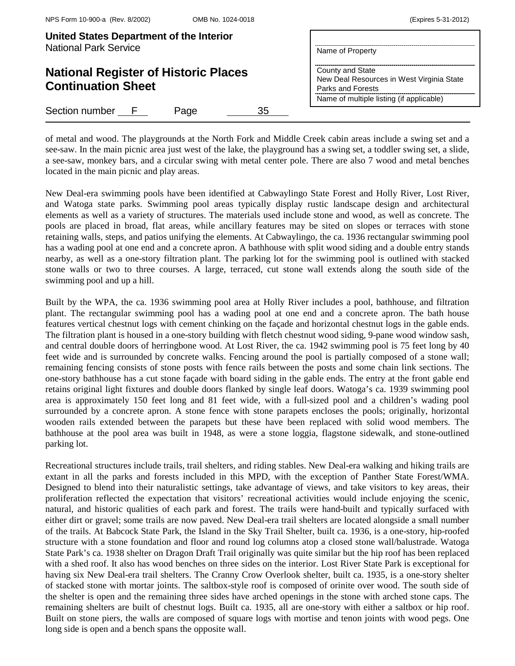| United States Department of the Interior<br><b>National Park Service</b> | Name of Property                                                                   |
|--------------------------------------------------------------------------|------------------------------------------------------------------------------------|
| <b>National Register of Historic Places</b><br><b>Continuation Sheet</b> | County and State<br>New Deal Resources in West Virginia State<br>Parks and Forests |
|                                                                          | Name of multiple listing (if applicable)                                           |
| Section number F<br>35.<br>Page                                          |                                                                                    |

of metal and wood. The playgrounds at the North Fork and Middle Creek cabin areas include a swing set and a see-saw. In the main picnic area just west of the lake, the playground has a swing set, a toddler swing set, a slide, a see-saw, monkey bars, and a circular swing with metal center pole. There are also 7 wood and metal benches located in the main picnic and play areas.

New Deal-era swimming pools have been identified at Cabwaylingo State Forest and Holly River, Lost River, and Watoga state parks. Swimming pool areas typically display rustic landscape design and architectural elements as well as a variety of structures. The materials used include stone and wood, as well as concrete. The pools are placed in broad, flat areas, while ancillary features may be sited on slopes or terraces with stone retaining walls, steps, and patios unifying the elements. At Cabwaylingo, the ca. 1936 rectangular swimming pool has a wading pool at one end and a concrete apron. A bathhouse with split wood siding and a double entry stands nearby, as well as a one-story filtration plant. The parking lot for the swimming pool is outlined with stacked stone walls or two to three courses. A large, terraced, cut stone wall extends along the south side of the swimming pool and up a hill.

Built by the WPA, the ca. 1936 swimming pool area at Holly River includes a pool, bathhouse, and filtration plant. The rectangular swimming pool has a wading pool at one end and a concrete apron. The bath house features vertical chestnut logs with cement chinking on the façade and horizontal chestnut logs in the gable ends. The filtration plant is housed in a one-story building with fletch chestnut wood siding, 9-pane wood window sash, and central double doors of herringbone wood. At Lost River, the ca. 1942 swimming pool is 75 feet long by 40 feet wide and is surrounded by concrete walks. Fencing around the pool is partially composed of a stone wall; remaining fencing consists of stone posts with fence rails between the posts and some chain link sections. The one-story bathhouse has a cut stone façade with board siding in the gable ends. The entry at the front gable end retains original light fixtures and double doors flanked by single leaf doors. Watoga's ca. 1939 swimming pool area is approximately 150 feet long and 81 feet wide, with a full-sized pool and a children's wading pool surrounded by a concrete apron. A stone fence with stone parapets encloses the pools; originally, horizontal wooden rails extended between the parapets but these have been replaced with solid wood members. The bathhouse at the pool area was built in 1948, as were a stone loggia, flagstone sidewalk, and stone-outlined parking lot.

Recreational structures include trails, trail shelters, and riding stables. New Deal-era walking and hiking trails are extant in all the parks and forests included in this MPD, with the exception of Panther State Forest/WMA. Designed to blend into their naturalistic settings, take advantage of views, and take visitors to key areas, their proliferation reflected the expectation that visitors' recreational activities would include enjoying the scenic, natural, and historic qualities of each park and forest. The trails were hand-built and typically surfaced with either dirt or gravel; some trails are now paved. New Deal-era trail shelters are located alongside a small number of the trails. At Babcock State Park, the Island in the Sky Trail Shelter, built ca. 1936, is a one-story, hip-roofed structure with a stone foundation and floor and round log columns atop a closed stone wall/balustrade. Watoga State Park's ca. 1938 shelter on Dragon Draft Trail originally was quite similar but the hip roof has been replaced with a shed roof. It also has wood benches on three sides on the interior. Lost River State Park is exceptional for having six New Deal-era trail shelters. The Cranny Crow Overlook shelter, built ca. 1935, is a one-story shelter of stacked stone with mortar joints. The saltbox-style roof is composed of orinite over wood. The south side of the shelter is open and the remaining three sides have arched openings in the stone with arched stone caps. The remaining shelters are built of chestnut logs. Built ca. 1935, all are one-story with either a saltbox or hip roof. Built on stone piers, the walls are composed of square logs with mortise and tenon joints with wood pegs. One long side is open and a bench spans the opposite wall.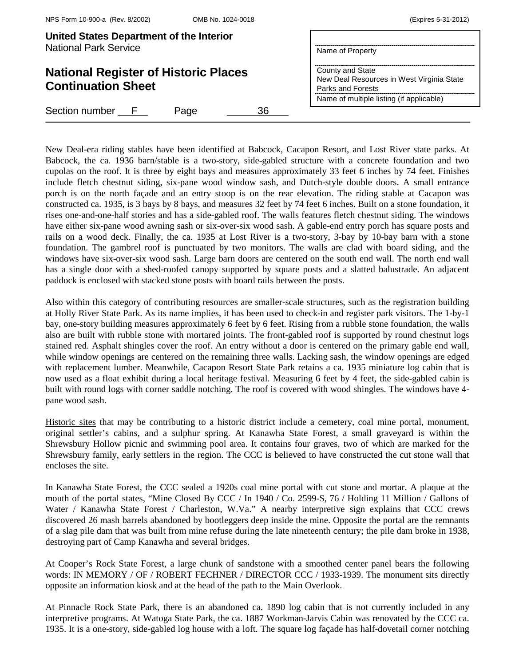| United States Department of the Interior<br><b>National Park Service</b> | Name of Property                                                                                                               |
|--------------------------------------------------------------------------|--------------------------------------------------------------------------------------------------------------------------------|
| <b>National Register of Historic Places</b><br><b>Continuation Sheet</b> | County and State<br>New Deal Resources in West Virginia State<br>Parks and Forests<br>Name of multiple listing (if applicable) |
| Section number F<br>36<br>Page                                           |                                                                                                                                |

New Deal-era riding stables have been identified at Babcock, Cacapon Resort, and Lost River state parks. At Babcock, the ca. 1936 barn/stable is a two-story, side-gabled structure with a concrete foundation and two cupolas on the roof. It is three by eight bays and measures approximately 33 feet 6 inches by 74 feet. Finishes include fletch chestnut siding, six-pane wood window sash, and Dutch-style double doors. A small entrance porch is on the north façade and an entry stoop is on the rear elevation. The riding stable at Cacapon was constructed ca. 1935, is 3 bays by 8 bays, and measures 32 feet by 74 feet 6 inches. Built on a stone foundation, it rises one-and-one-half stories and has a side-gabled roof. The walls features fletch chestnut siding. The windows have either six-pane wood awning sash or six-over-six wood sash. A gable-end entry porch has square posts and rails on a wood deck. Finally, the ca. 1935 at Lost River is a two-story, 3-bay by 10-bay barn with a stone foundation. The gambrel roof is punctuated by two monitors. The walls are clad with board siding, and the windows have six-over-six wood sash. Large barn doors are centered on the south end wall. The north end wall has a single door with a shed-roofed canopy supported by square posts and a slatted balustrade. An adjacent paddock is enclosed with stacked stone posts with board rails between the posts.

Also within this category of contributing resources are smaller-scale structures, such as the registration building at Holly River State Park. As its name implies, it has been used to check-in and register park visitors. The 1-by-1 bay, one-story building measures approximately 6 feet by 6 feet. Rising from a rubble stone foundation, the walls also are built with rubble stone with mortared joints. The front-gabled roof is supported by round chestnut logs stained red. Asphalt shingles cover the roof. An entry without a door is centered on the primary gable end wall, while window openings are centered on the remaining three walls. Lacking sash, the window openings are edged with replacement lumber. Meanwhile, Cacapon Resort State Park retains a ca. 1935 miniature log cabin that is now used as a float exhibit during a local heritage festival. Measuring 6 feet by 4 feet, the side-gabled cabin is built with round logs with corner saddle notching. The roof is covered with wood shingles. The windows have 4 pane wood sash.

Historic sites that may be contributing to a historic district include a cemetery, coal mine portal, monument, original settler's cabins, and a sulphur spring. At Kanawha State Forest, a small graveyard is within the Shrewsbury Hollow picnic and swimming pool area. It contains four graves, two of which are marked for the Shrewsbury family, early settlers in the region. The CCC is believed to have constructed the cut stone wall that encloses the site.

In Kanawha State Forest, the CCC sealed a 1920s coal mine portal with cut stone and mortar. A plaque at the mouth of the portal states, "Mine Closed By CCC / In 1940 / Co. 2599-S, 76 / Holding 11 Million / Gallons of Water / Kanawha State Forest / Charleston, W.Va." A nearby interpretive sign explains that CCC crews discovered 26 mash barrels abandoned by bootleggers deep inside the mine. Opposite the portal are the remnants of a slag pile dam that was built from mine refuse during the late nineteenth century; the pile dam broke in 1938, destroying part of Camp Kanawha and several bridges.

At Cooper's Rock State Forest, a large chunk of sandstone with a smoothed center panel bears the following words: IN MEMORY / OF / ROBERT FECHNER / DIRECTOR CCC / 1933-1939. The monument sits directly opposite an information kiosk and at the head of the path to the Main Overlook.

At Pinnacle Rock State Park, there is an abandoned ca. 1890 log cabin that is not currently included in any interpretive programs. At Watoga State Park, the ca. 1887 Workman-Jarvis Cabin was renovated by the CCC ca. 1935. It is a one-story, side-gabled log house with a loft. The square log façade has half-dovetail corner notching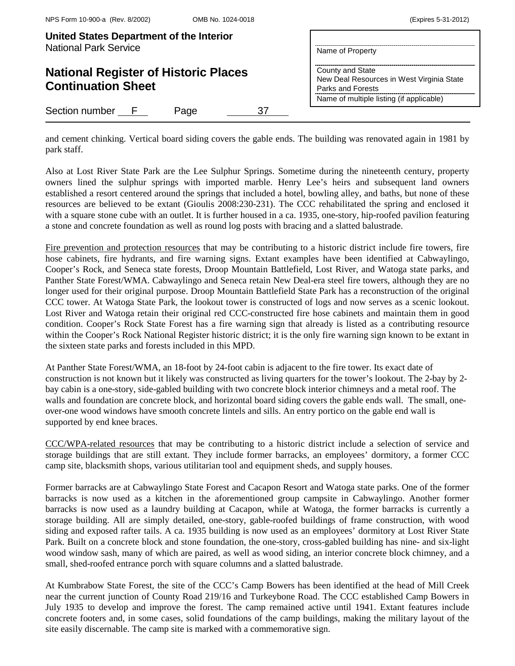| United States Department of the Interior<br><b>National Park Service</b> | Name of Property                                                                                                               |
|--------------------------------------------------------------------------|--------------------------------------------------------------------------------------------------------------------------------|
| <b>National Register of Historic Places</b><br><b>Continuation Sheet</b> | County and State<br>New Deal Resources in West Virginia State<br>Parks and Forests<br>Name of multiple listing (if applicable) |
| Section number F<br>Page<br>37                                           |                                                                                                                                |

and cement chinking. Vertical board siding covers the gable ends. The building was renovated again in 1981 by park staff.

Also at Lost River State Park are the Lee Sulphur Springs. Sometime during the nineteenth century, property owners lined the sulphur springs with imported marble. Henry Lee's heirs and subsequent land owners established a resort centered around the springs that included a hotel, bowling alley, and baths, but none of these resources are believed to be extant (Gioulis 2008:230-231). The CCC rehabilitated the spring and enclosed it with a square stone cube with an outlet. It is further housed in a ca. 1935, one-story, hip-roofed pavilion featuring a stone and concrete foundation as well as round log posts with bracing and a slatted balustrade.

Fire prevention and protection resources that may be contributing to a historic district include fire towers, fire hose cabinets, fire hydrants, and fire warning signs. Extant examples have been identified at Cabwaylingo, Cooper's Rock, and Seneca state forests, Droop Mountain Battlefield, Lost River, and Watoga state parks, and Panther State Forest/WMA. Cabwaylingo and Seneca retain New Deal-era steel fire towers, although they are no longer used for their original purpose. Droop Mountain Battlefield State Park has a reconstruction of the original CCC tower. At Watoga State Park, the lookout tower is constructed of logs and now serves as a scenic lookout. Lost River and Watoga retain their original red CCC-constructed fire hose cabinets and maintain them in good condition. Cooper's Rock State Forest has a fire warning sign that already is listed as a contributing resource within the Cooper's Rock National Register historic district; it is the only fire warning sign known to be extant in the sixteen state parks and forests included in this MPD.

At Panther State Forest/WMA, an 18-foot by 24-foot cabin is adjacent to the fire tower. Its exact date of construction is not known but it likely was constructed as living quarters for the tower's lookout. The 2-bay by 2 bay cabin is a one-story, side-gabled building with two concrete block interior chimneys and a metal roof. The walls and foundation are concrete block, and horizontal board siding covers the gable ends wall. The small, oneover-one wood windows have smooth concrete lintels and sills. An entry portico on the gable end wall is supported by end knee braces.

CCC/WPA-related resources that may be contributing to a historic district include a selection of service and storage buildings that are still extant. They include former barracks, an employees' dormitory, a former CCC camp site, blacksmith shops, various utilitarian tool and equipment sheds, and supply houses.

Former barracks are at Cabwaylingo State Forest and Cacapon Resort and Watoga state parks. One of the former barracks is now used as a kitchen in the aforementioned group campsite in Cabwaylingo. Another former barracks is now used as a laundry building at Cacapon, while at Watoga, the former barracks is currently a storage building. All are simply detailed, one-story, gable-roofed buildings of frame construction, with wood siding and exposed rafter tails. A ca. 1935 building is now used as an employees' dormitory at Lost River State Park. Built on a concrete block and stone foundation, the one-story, cross-gabled building has nine- and six-light wood window sash, many of which are paired, as well as wood siding, an interior concrete block chimney, and a small, shed-roofed entrance porch with square columns and a slatted balustrade.

At Kumbrabow State Forest, the site of the CCC's Camp Bowers has been identified at the head of Mill Creek near the current junction of County Road 219/16 and Turkeybone Road. The CCC established Camp Bowers in July 1935 to develop and improve the forest. The camp remained active until 1941. Extant features include concrete footers and, in some cases, solid foundations of the camp buildings, making the military layout of the site easily discernable. The camp site is marked with a commemorative sign.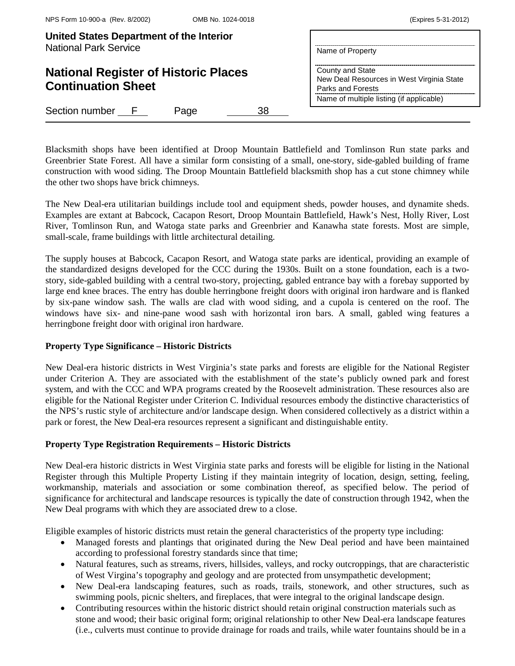| United States Department of the Interior<br><b>National Park Service</b> | Name of Property<br>County and State<br>New Deal Resources in West Virginia State<br>Parks and Forests<br>Name of multiple listing (if applicable) |
|--------------------------------------------------------------------------|----------------------------------------------------------------------------------------------------------------------------------------------------|
| <b>National Register of Historic Places</b><br><b>Continuation Sheet</b> |                                                                                                                                                    |
| Section number F<br>38<br>Page                                           |                                                                                                                                                    |

Blacksmith shops have been identified at Droop Mountain Battlefield and Tomlinson Run state parks and Greenbrier State Forest. All have a similar form consisting of a small, one-story, side-gabled building of frame construction with wood siding. The Droop Mountain Battlefield blacksmith shop has a cut stone chimney while the other two shops have brick chimneys.

The New Deal-era utilitarian buildings include tool and equipment sheds, powder houses, and dynamite sheds. Examples are extant at Babcock, Cacapon Resort, Droop Mountain Battlefield, Hawk's Nest, Holly River, Lost River, Tomlinson Run, and Watoga state parks and Greenbrier and Kanawha state forests. Most are simple, small-scale, frame buildings with little architectural detailing.

The supply houses at Babcock, Cacapon Resort, and Watoga state parks are identical, providing an example of the standardized designs developed for the CCC during the 1930s. Built on a stone foundation, each is a twostory, side-gabled building with a central two-story, projecting, gabled entrance bay with a forebay supported by large end knee braces. The entry has double herringbone freight doors with original iron hardware and is flanked by six-pane window sash. The walls are clad with wood siding, and a cupola is centered on the roof. The windows have six- and nine-pane wood sash with horizontal iron bars. A small, gabled wing features a herringbone freight door with original iron hardware.

# **Property Type Significance – Historic Districts**

New Deal-era historic districts in West Virginia's state parks and forests are eligible for the National Register under Criterion A. They are associated with the establishment of the state's publicly owned park and forest system, and with the CCC and WPA programs created by the Roosevelt administration. These resources also are eligible for the National Register under Criterion C. Individual resources embody the distinctive characteristics of the NPS's rustic style of architecture and/or landscape design. When considered collectively as a district within a park or forest, the New Deal-era resources represent a significant and distinguishable entity.

# **Property Type Registration Requirements – Historic Districts**

New Deal-era historic districts in West Virginia state parks and forests will be eligible for listing in the National Register through this Multiple Property Listing if they maintain integrity of location, design, setting, feeling, workmanship, materials and association or some combination thereof, as specified below. The period of significance for architectural and landscape resources is typically the date of construction through 1942, when the New Deal programs with which they are associated drew to a close.

Eligible examples of historic districts must retain the general characteristics of the property type including:

- Managed forests and plantings that originated during the New Deal period and have been maintained according to professional forestry standards since that time;
- Natural features, such as streams, rivers, hillsides, valleys, and rocky outcroppings, that are characteristic of West Virgina's topography and geology and are protected from unsympathetic development;
- New Deal-era landscaping features, such as roads, trails, stonework, and other structures, such as swimming pools, picnic shelters, and fireplaces, that were integral to the original landscape design.
- Contributing resources within the historic district should retain original construction materials such as stone and wood; their basic original form; original relationship to other New Deal-era landscape features (i.e., culverts must continue to provide drainage for roads and trails, while water fountains should be in a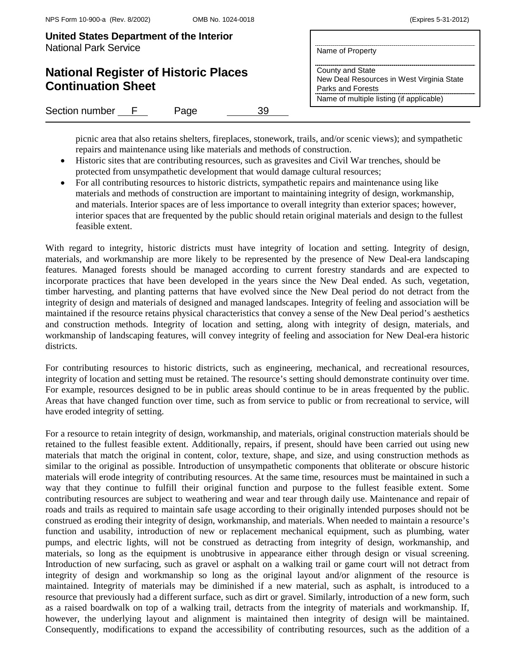| United States Department of the Interior |                  |
|------------------------------------------|------------------|
| <b>National Park Service</b>             | Name of Property |

# **National Register of Histori Continuation Sheet**

Section number F Page

|          | Name of Property                                                                   |
|----------|------------------------------------------------------------------------------------|
| c Places | County and State<br>New Deal Resources in West Virginia State<br>Parks and Forests |
|          | Name of multiple listing (if applicable)                                           |
|          |                                                                                    |

picnic area that also retains shelters, fireplaces, stonework, trails, and/or scenic views); and sympathetic repairs and maintenance using like materials and methods of construction.

- Historic sites that are contributing resources, such as gravesites and Civil War trenches, should be protected from unsympathetic development that would damage cultural resources;
- For all contributing resources to historic districts, sympathetic repairs and maintenance using like materials and methods of construction are important to maintaining integrity of design, workmanship, and materials. Interior spaces are of less importance to overall integrity than exterior spaces; however, interior spaces that are frequented by the public should retain original materials and design to the fullest feasible extent.

With regard to integrity, historic districts must have integrity of location and setting. Integrity of design, materials, and workmanship are more likely to be represented by the presence of New Deal-era landscaping features. Managed forests should be managed according to current forestry standards and are expected to incorporate practices that have been developed in the years since the New Deal ended. As such, vegetation, timber harvesting, and planting patterns that have evolved since the New Deal period do not detract from the integrity of design and materials of designed and managed landscapes. Integrity of feeling and association will be maintained if the resource retains physical characteristics that convey a sense of the New Deal period's aesthetics and construction methods. Integrity of location and setting, along with integrity of design, materials, and workmanship of landscaping features, will convey integrity of feeling and association for New Deal-era historic districts.

For contributing resources to historic districts, such as engineering, mechanical, and recreational resources, integrity of location and setting must be retained. The resource's setting should demonstrate continuity over time. For example, resources designed to be in public areas should continue to be in areas frequented by the public. Areas that have changed function over time, such as from service to public or from recreational to service, will have eroded integrity of setting.

For a resource to retain integrity of design, workmanship, and materials, original construction materials should be retained to the fullest feasible extent. Additionally, repairs, if present, should have been carried out using new materials that match the original in content, color, texture, shape, and size, and using construction methods as similar to the original as possible. Introduction of unsympathetic components that obliterate or obscure historic materials will erode integrity of contributing resources. At the same time, resources must be maintained in such a way that they continue to fulfill their original function and purpose to the fullest feasible extent. Some contributing resources are subject to weathering and wear and tear through daily use. Maintenance and repair of roads and trails as required to maintain safe usage according to their originally intended purposes should not be construed as eroding their integrity of design, workmanship, and materials. When needed to maintain a resource's function and usability, introduction of new or replacement mechanical equipment, such as plumbing, water pumps, and electric lights, will not be construed as detracting from integrity of design, workmanship, and materials, so long as the equipment is unobtrusive in appearance either through design or visual screening. Introduction of new surfacing, such as gravel or asphalt on a walking trail or game court will not detract from integrity of design and workmanship so long as the original layout and/or alignment of the resource is maintained. Integrity of materials may be diminished if a new material, such as asphalt, is introduced to a resource that previously had a different surface, such as dirt or gravel. Similarly, introduction of a new form, such as a raised boardwalk on top of a walking trail, detracts from the integrity of materials and workmanship. If, however, the underlying layout and alignment is maintained then integrity of design will be maintained. Consequently, modifications to expand the accessibility of contributing resources, such as the addition of a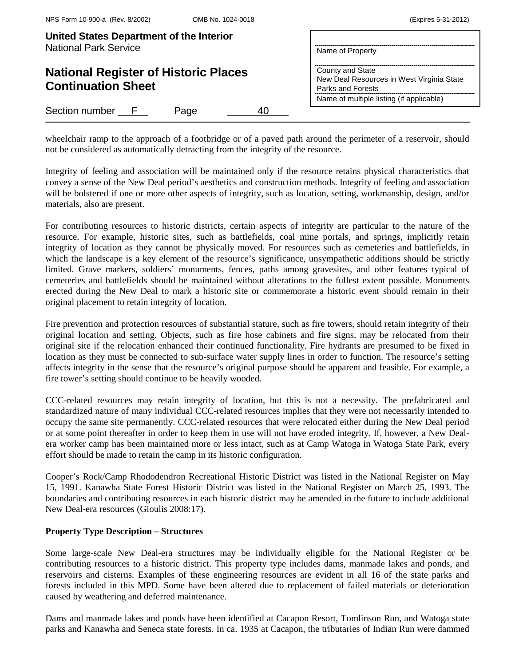| United States Department of the Interior<br><b>National Park Service</b> | Name of Property                                                                                                               |  |
|--------------------------------------------------------------------------|--------------------------------------------------------------------------------------------------------------------------------|--|
| <b>National Register of Historic Places</b><br><b>Continuation Sheet</b> | County and State<br>New Deal Resources in West Virginia State<br>Parks and Forests<br>Name of multiple listing (if applicable) |  |
| Section number F<br>Page<br>Δſ                                           |                                                                                                                                |  |

wheelchair ramp to the approach of a footbridge or of a paved path around the perimeter of a reservoir, should not be considered as automatically detracting from the integrity of the resource.

Integrity of feeling and association will be maintained only if the resource retains physical characteristics that convey a sense of the New Deal period's aesthetics and construction methods. Integrity of feeling and association will be bolstered if one or more other aspects of integrity, such as location, setting, workmanship, design, and/or materials, also are present.

For contributing resources to historic districts, certain aspects of integrity are particular to the nature of the resource. For example, historic sites, such as battlefields, coal mine portals, and springs, implicitly retain integrity of location as they cannot be physically moved. For resources such as cemeteries and battlefields, in which the landscape is a key element of the resource's significance, unsympathetic additions should be strictly limited. Grave markers, soldiers' monuments, fences, paths among gravesites, and other features typical of cemeteries and battlefields should be maintained without alterations to the fullest extent possible. Monuments erected during the New Deal to mark a historic site or commemorate a historic event should remain in their original placement to retain integrity of location.

Fire prevention and protection resources of substantial stature, such as fire towers, should retain integrity of their original location and setting. Objects, such as fire hose cabinets and fire signs, may be relocated from their original site if the relocation enhanced their continued functionality. Fire hydrants are presumed to be fixed in location as they must be connected to sub-surface water supply lines in order to function. The resource's setting affects integrity in the sense that the resource's original purpose should be apparent and feasible. For example, a fire tower's setting should continue to be heavily wooded.

CCC-related resources may retain integrity of location, but this is not a necessity. The prefabricated and standardized nature of many individual CCC-related resources implies that they were not necessarily intended to occupy the same site permanently. CCC-related resources that were relocated either during the New Deal period or at some point thereafter in order to keep them in use will not have eroded integrity. If, however, a New Dealera worker camp has been maintained more or less intact, such as at Camp Watoga in Watoga State Park, every effort should be made to retain the camp in its historic configuration.

Cooper's Rock/Camp Rhododendron Recreational Historic District was listed in the National Register on May 15, 1991. Kanawha State Forest Historic District was listed in the National Register on March 25, 1993. The boundaries and contributing resources in each historic district may be amended in the future to include additional New Deal-era resources (Gioulis 2008:17).

# **Property Type Description – Structures**

Some large-scale New Deal-era structures may be individually eligible for the National Register or be contributing resources to a historic district. This property type includes dams, manmade lakes and ponds, and reservoirs and cisterns. Examples of these engineering resources are evident in all 16 of the state parks and forests included in this MPD. Some have been altered due to replacement of failed materials or deterioration caused by weathering and deferred maintenance.

Dams and manmade lakes and ponds have been identified at Cacapon Resort, Tomlinson Run, and Watoga state parks and Kanawha and Seneca state forests. In ca. 1935 at Cacapon, the tributaries of Indian Run were dammed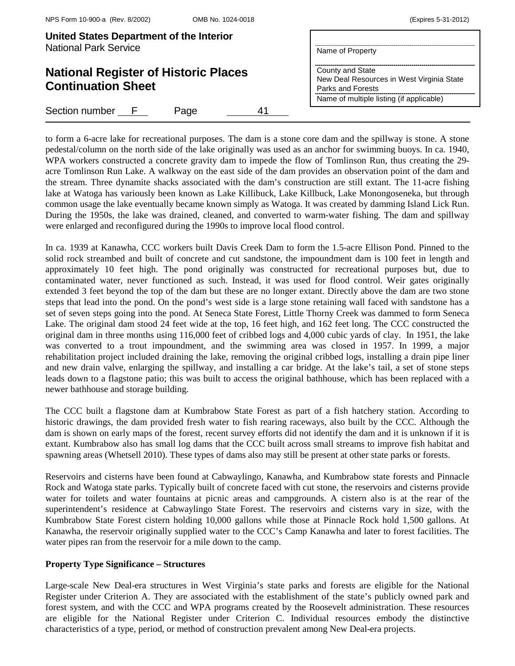| United States Department of the Interior<br><b>National Park Service</b> | Name of Property                                                                                                               |  |
|--------------------------------------------------------------------------|--------------------------------------------------------------------------------------------------------------------------------|--|
| <b>National Register of Historic Places</b><br><b>Continuation Sheet</b> | County and State<br>New Deal Resources in West Virginia State<br>Parks and Forests<br>Name of multiple listing (if applicable) |  |
| Section number F<br>Page                                                 |                                                                                                                                |  |

to form a 6-acre lake for recreational purposes. The dam is a stone core dam and the spillway is stone. A stone pedestal/column on the north side of the lake originally was used as an anchor for swimming buoys. In ca. 1940, WPA workers constructed a concrete gravity dam to impede the flow of Tomlinson Run, thus creating the 29acre Tomlinson Run Lake. A walkway on the east side of the dam provides an observation point of the dam and the stream. Three dynamite shacks associated with the dam's construction are still extant. The 11-acre fishing lake at Watoga has variously been known as Lake Killibuck, Lake Killbuck, Lake Monongoseneka, but through common usage the lake eventually became known simply as Watoga. It was created by damming Island Lick Run. During the 1950s, the lake was drained, cleaned, and converted to warm-water fishing. The dam and spillway were enlarged and reconfigured during the 1990s to improve local flood control.

In ca. 1939 at Kanawha, CCC workers built Davis Creek Dam to form the 1.5-acre Ellison Pond. Pinned to the solid rock streambed and built of concrete and cut sandstone, the impoundment dam is 100 feet in length and approximately 10 feet high. The pond originally was constructed for recreational purposes but, due to contaminated water, never functioned as such. Instead, it was used for flood control. Weir gates originally extended 3 feet beyond the top of the dam but these are no longer extant. Directly above the dam are two stone steps that lead into the pond. On the pond's west side is a large stone retaining wall faced with sandstone has a set of seven steps going into the pond. At Seneca State Forest, Little Thorny Creek was dammed to form Seneca Lake. The original dam stood 24 feet wide at the top, 16 feet high, and 162 feet long. The CCC constructed the original dam in three months using 116,000 feet of cribbed logs and 4,000 cubic yards of clay. In 1951, the lake was converted to a trout impoundment, and the swimming area was closed in 1957. In 1999, a major rehabilitation project included draining the lake, removing the original cribbed logs, installing a drain pipe liner and new drain valve, enlarging the spillway, and installing a car bridge. At the lake's tail, a set of stone steps leads down to a flagstone patio; this was built to access the original bathhouse, which has been replaced with a newer bathhouse and storage building.

The CCC built a flagstone dam at Kumbrabow State Forest as part of a fish hatchery station. According to historic drawings, the dam provided fresh water to fish rearing raceways, also built by the CCC. Although the dam is shown on early maps of the forest, recent survey efforts did not identify the dam and it is unknown if it is extant. Kumbrabow also has small log dams that the CCC built across small streams to improve fish habitat and spawning areas (Whetsell 2010). These types of dams also may still be present at other state parks or forests.

Reservoirs and cisterns have been found at Cabwaylingo, Kanawha, and Kumbrabow state forests and Pinnacle Rock and Watoga state parks. Typically built of concrete faced with cut stone, the reservoirs and cisterns provide water for toilets and water fountains at picnic areas and campgrounds. A cistern also is at the rear of the superintendent's residence at Cabwaylingo State Forest. The reservoirs and cisterns vary in size, with the Kumbrabow State Forest cistern holding 10,000 gallons while those at Pinnacle Rock hold 1,500 gallons. At Kanawha, the reservoir originally supplied water to the CCC's Camp Kanawha and later to forest facilities. The water pipes ran from the reservoir for a mile down to the camp.

# **Property Type Significance – Structures**

Large-scale New Deal-era structures in West Virginia's state parks and forests are eligible for the National Register under Criterion A. They are associated with the establishment of the state's publicly owned park and forest system, and with the CCC and WPA programs created by the Roosevelt administration. These resources are eligible for the National Register under Criterion C. Individual resources embody the distinctive characteristics of a type, period, or method of construction prevalent among New Deal-era projects.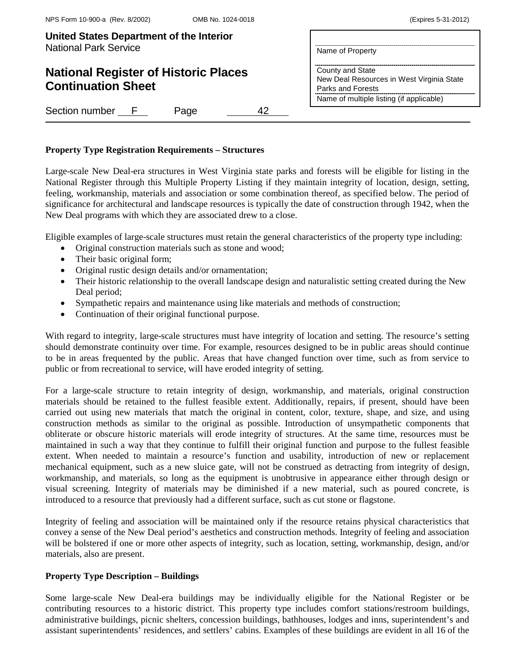# **National Register of Historic Places Continuation Sheet**

| Name of Property                                 |  |
|--------------------------------------------------|--|
| ----------------------------<br>County and State |  |

New Deal Resources in West Virginia State Parks and Forests Name of multiple listing (if applicable)

Section number F Page 42

# **Property Type Registration Requirements – Structures**

Large-scale New Deal-era structures in West Virginia state parks and forests will be eligible for listing in the National Register through this Multiple Property Listing if they maintain integrity of location, design, setting, feeling, workmanship, materials and association or some combination thereof, as specified below. The period of significance for architectural and landscape resources is typically the date of construction through 1942, when the New Deal programs with which they are associated drew to a close.

Eligible examples of large-scale structures must retain the general characteristics of the property type including:

- Original construction materials such as stone and wood;
- Their basic original form;
- Original rustic design details and/or ornamentation;
- Their historic relationship to the overall landscape design and naturalistic setting created during the New Deal period;
- Sympathetic repairs and maintenance using like materials and methods of construction;
- Continuation of their original functional purpose.

With regard to integrity, large-scale structures must have integrity of location and setting. The resource's setting should demonstrate continuity over time. For example, resources designed to be in public areas should continue to be in areas frequented by the public. Areas that have changed function over time, such as from service to public or from recreational to service, will have eroded integrity of setting.

For a large-scale structure to retain integrity of design, workmanship, and materials, original construction materials should be retained to the fullest feasible extent. Additionally, repairs, if present, should have been carried out using new materials that match the original in content, color, texture, shape, and size, and using construction methods as similar to the original as possible. Introduction of unsympathetic components that obliterate or obscure historic materials will erode integrity of structures. At the same time, resources must be maintained in such a way that they continue to fulfill their original function and purpose to the fullest feasible extent. When needed to maintain a resource's function and usability, introduction of new or replacement mechanical equipment, such as a new sluice gate, will not be construed as detracting from integrity of design, workmanship, and materials, so long as the equipment is unobtrusive in appearance either through design or visual screening. Integrity of materials may be diminished if a new material, such as poured concrete, is introduced to a resource that previously had a different surface, such as cut stone or flagstone.

Integrity of feeling and association will be maintained only if the resource retains physical characteristics that convey a sense of the New Deal period's aesthetics and construction methods. Integrity of feeling and association will be bolstered if one or more other aspects of integrity, such as location, setting, workmanship, design, and/or materials, also are present.

# **Property Type Description – Buildings**

Some large-scale New Deal-era buildings may be individually eligible for the National Register or be contributing resources to a historic district. This property type includes comfort stations/restroom buildings, administrative buildings, picnic shelters, concession buildings, bathhouses, lodges and inns, superintendent's and assistant superintendents' residences, and settlers' cabins. Examples of these buildings are evident in all 16 of the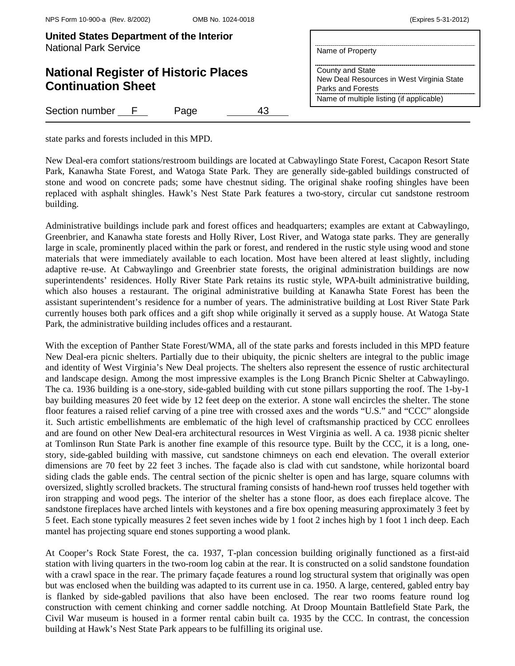| United States Department of the Interior |                  |
|------------------------------------------|------------------|
| <b>National Park Service</b>             | Name of Property |

# **National Register of Historic Places Continuation Sheet**

Section number F Page 43

County and State

Parks and Forests

New Deal Resources in West Virginia State

Name of multiple listing (if applicable)

state parks and forests included in this MPD.

New Deal-era comfort stations/restroom buildings are located at Cabwaylingo State Forest, Cacapon Resort State Park, Kanawha State Forest, and Watoga State Park. They are generally side-gabled buildings constructed of stone and wood on concrete pads; some have chestnut siding. The original shake roofing shingles have been replaced with asphalt shingles. Hawk's Nest State Park features a two-story, circular cut sandstone restroom building.

Administrative buildings include park and forest offices and headquarters; examples are extant at Cabwaylingo, Greenbrier, and Kanawha state forests and Holly River, Lost River, and Watoga state parks. They are generally large in scale, prominently placed within the park or forest, and rendered in the rustic style using wood and stone materials that were immediately available to each location. Most have been altered at least slightly, including adaptive re-use. At Cabwaylingo and Greenbrier state forests, the original administration buildings are now superintendents' residences. Holly River State Park retains its rustic style, WPA-built administrative building, which also houses a restaurant. The original administrative building at Kanawha State Forest has been the assistant superintendent's residence for a number of years. The administrative building at Lost River State Park currently houses both park offices and a gift shop while originally it served as a supply house. At Watoga State Park, the administrative building includes offices and a restaurant.

With the exception of Panther State Forest/WMA, all of the state parks and forests included in this MPD feature New Deal-era picnic shelters. Partially due to their ubiquity, the picnic shelters are integral to the public image and identity of West Virginia's New Deal projects. The shelters also represent the essence of rustic architectural and landscape design. Among the most impressive examples is the Long Branch Picnic Shelter at Cabwaylingo. The ca. 1936 building is a one-story, side-gabled building with cut stone pillars supporting the roof. The 1-by-1 bay building measures 20 feet wide by 12 feet deep on the exterior. A stone wall encircles the shelter. The stone floor features a raised relief carving of a pine tree with crossed axes and the words "U.S." and "CCC" alongside it. Such artistic embellishments are emblematic of the high level of craftsmanship practiced by CCC enrollees and are found on other New Deal-era architectural resources in West Virginia as well. A ca. 1938 picnic shelter at Tomlinson Run State Park is another fine example of this resource type. Built by the CCC, it is a long, onestory, side-gabled building with massive, cut sandstone chimneys on each end elevation. The overall exterior dimensions are 70 feet by 22 feet 3 inches. The façade also is clad with cut sandstone, while horizontal board siding clads the gable ends. The central section of the picnic shelter is open and has large, square columns with oversized, slightly scrolled brackets. The structural framing consists of hand-hewn roof trusses held together with iron strapping and wood pegs. The interior of the shelter has a stone floor, as does each fireplace alcove. The sandstone fireplaces have arched lintels with keystones and a fire box opening measuring approximately 3 feet by 5 feet. Each stone typically measures 2 feet seven inches wide by 1 foot 2 inches high by 1 foot 1 inch deep. Each mantel has projecting square end stones supporting a wood plank.

At Cooper's Rock State Forest, the ca. 1937, T-plan concession building originally functioned as a first-aid station with living quarters in the two-room log cabin at the rear. It is constructed on a solid sandstone foundation with a crawl space in the rear. The primary façade features a round log structural system that originally was open but was enclosed when the building was adapted to its current use in ca. 1950. A large, centered, gabled entry bay is flanked by side-gabled pavilions that also have been enclosed. The rear two rooms feature round log construction with cement chinking and corner saddle notching. At Droop Mountain Battlefield State Park, the Civil War museum is housed in a former rental cabin built ca. 1935 by the CCC. In contrast, the concession building at Hawk's Nest State Park appears to be fulfilling its original use.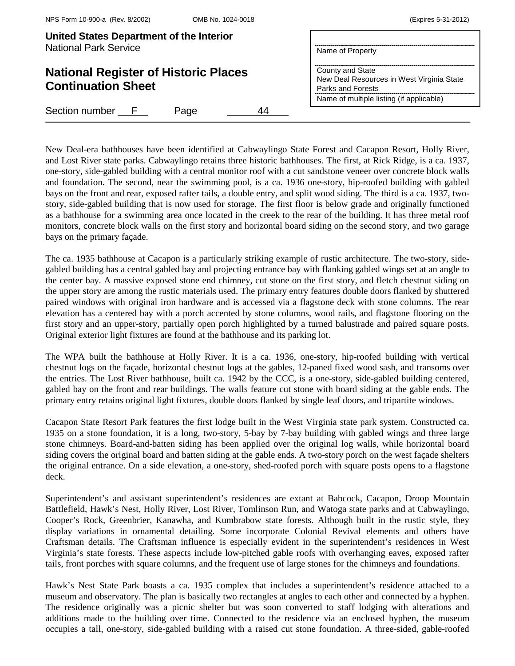| United States Department of the Interior<br><b>National Park Service</b> |              | Name of Property |                                                                                    |  |                                          |
|--------------------------------------------------------------------------|--------------|------------------|------------------------------------------------------------------------------------|--|------------------------------------------|
| <b>National Register of Historic Places</b><br><b>Continuation Sheet</b> |              |                  | County and State<br>New Deal Resources in West Virginia State<br>Parks and Forests |  |                                          |
| Section number                                                           | $\mathbf{F}$ | Page             |                                                                                    |  | Name of multiple listing (if applicable) |

New Deal-era bathhouses have been identified at Cabwaylingo State Forest and Cacapon Resort, Holly River, and Lost River state parks. Cabwaylingo retains three historic bathhouses. The first, at Rick Ridge, is a ca. 1937, one-story, side-gabled building with a central monitor roof with a cut sandstone veneer over concrete block walls and foundation. The second, near the swimming pool, is a ca. 1936 one-story, hip-roofed building with gabled bays on the front and rear, exposed rafter tails, a double entry, and split wood siding. The third is a ca. 1937, twostory, side-gabled building that is now used for storage. The first floor is below grade and originally functioned as a bathhouse for a swimming area once located in the creek to the rear of the building. It has three metal roof monitors, concrete block walls on the first story and horizontal board siding on the second story, and two garage bays on the primary façade.

The ca. 1935 bathhouse at Cacapon is a particularly striking example of rustic architecture. The two-story, sidegabled building has a central gabled bay and projecting entrance bay with flanking gabled wings set at an angle to the center bay. A massive exposed stone end chimney, cut stone on the first story, and fletch chestnut siding on the upper story are among the rustic materials used. The primary entry features double doors flanked by shuttered paired windows with original iron hardware and is accessed via a flagstone deck with stone columns. The rear elevation has a centered bay with a porch accented by stone columns, wood rails, and flagstone flooring on the first story and an upper-story, partially open porch highlighted by a turned balustrade and paired square posts. Original exterior light fixtures are found at the bathhouse and its parking lot.

The WPA built the bathhouse at Holly River. It is a ca. 1936, one-story, hip-roofed building with vertical chestnut logs on the façade, horizontal chestnut logs at the gables, 12-paned fixed wood sash, and transoms over the entries. The Lost River bathhouse, built ca. 1942 by the CCC, is a one-story, side-gabled building centered, gabled bay on the front and rear buildings. The walls feature cut stone with board siding at the gable ends. The primary entry retains original light fixtures, double doors flanked by single leaf doors, and tripartite windows.

Cacapon State Resort Park features the first lodge built in the West Virginia state park system. Constructed ca. 1935 on a stone foundation, it is a long, two-story, 5-bay by 7-bay building with gabled wings and three large stone chimneys. Board-and-batten siding has been applied over the original log walls, while horizontal board siding covers the original board and batten siding at the gable ends. A two-story porch on the west façade shelters the original entrance. On a side elevation, a one-story, shed-roofed porch with square posts opens to a flagstone deck.

Superintendent's and assistant superintendent's residences are extant at Babcock, Cacapon, Droop Mountain Battlefield, Hawk's Nest, Holly River, Lost River, Tomlinson Run, and Watoga state parks and at Cabwaylingo, Cooper's Rock, Greenbrier, Kanawha, and Kumbrabow state forests. Although built in the rustic style, they display variations in ornamental detailing. Some incorporate Colonial Revival elements and others have Craftsman details. The Craftsman influence is especially evident in the superintendent's residences in West Virginia's state forests. These aspects include low-pitched gable roofs with overhanging eaves, exposed rafter tails, front porches with square columns, and the frequent use of large stones for the chimneys and foundations.

Hawk's Nest State Park boasts a ca. 1935 complex that includes a superintendent's residence attached to a museum and observatory. The plan is basically two rectangles at angles to each other and connected by a hyphen. The residence originally was a picnic shelter but was soon converted to staff lodging with alterations and additions made to the building over time. Connected to the residence via an enclosed hyphen, the museum occupies a tall, one-story, side-gabled building with a raised cut stone foundation. A three-sided, gable-roofed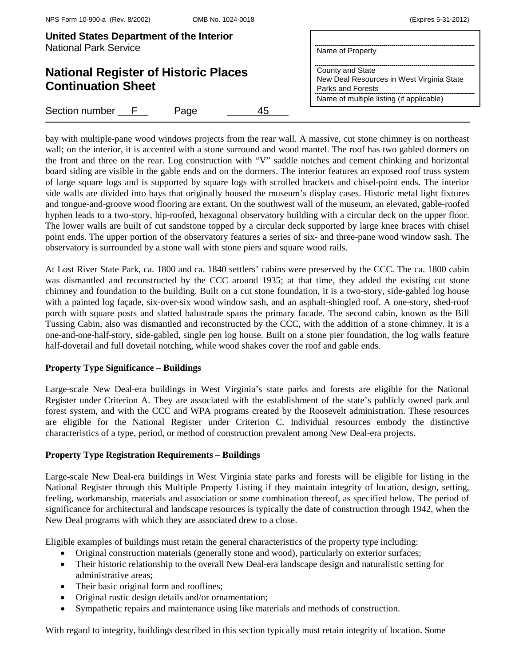| United States Department of the Interior<br><b>National Park Service</b> | Name of Property                                                                                                               |  |
|--------------------------------------------------------------------------|--------------------------------------------------------------------------------------------------------------------------------|--|
| <b>National Register of Historic Places</b><br><b>Continuation Sheet</b> | County and State<br>New Deal Resources in West Virginia State<br>Parks and Forests<br>Name of multiple listing (if applicable) |  |
| Section number F<br>45<br>Page                                           |                                                                                                                                |  |

bay with multiple-pane wood windows projects from the rear wall. A massive, cut stone chimney is on northeast wall; on the interior, it is accented with a stone surround and wood mantel. The roof has two gabled dormers on the front and three on the rear. Log construction with "V" saddle notches and cement chinking and horizontal board siding are visible in the gable ends and on the dormers. The interior features an exposed roof truss system of large square logs and is supported by square logs with scrolled brackets and chisel-point ends. The interior side walls are divided into bays that originally housed the museum's display cases. Historic metal light fixtures and tongue-and-groove wood flooring are extant. On the southwest wall of the museum, an elevated, gable-roofed hyphen leads to a two-story, hip-roofed, hexagonal observatory building with a circular deck on the upper floor. The lower walls are built of cut sandstone topped by a circular deck supported by large knee braces with chisel point ends. The upper portion of the observatory features a series of six- and three-pane wood window sash. The observatory is surrounded by a stone wall with stone piers and square wood rails.

At Lost River State Park, ca. 1800 and ca. 1840 settlers' cabins were preserved by the CCC. The ca. 1800 cabin was dismantled and reconstructed by the CCC around 1935; at that time, they added the existing cut stone chimney and foundation to the building. Built on a cut stone foundation, it is a two-story, side-gabled log house with a painted log façade, six-over-six wood window sash, and an asphalt-shingled roof. A one-story, shed-roof porch with square posts and slatted balustrade spans the primary facade. The second cabin, known as the Bill Tussing Cabin, also was dismantled and reconstructed by the CCC, with the addition of a stone chimney. It is a one-and-one-half-story, side-gabled, single pen log house. Built on a stone pier foundation, the log walls feature half-dovetail and full dovetail notching, while wood shakes cover the roof and gable ends.

## **Property Type Significance – Buildings**

Large-scale New Deal-era buildings in West Virginia's state parks and forests are eligible for the National Register under Criterion A. They are associated with the establishment of the state's publicly owned park and forest system, and with the CCC and WPA programs created by the Roosevelt administration. These resources are eligible for the National Register under Criterion C. Individual resources embody the distinctive characteristics of a type, period, or method of construction prevalent among New Deal-era projects.

# **Property Type Registration Requirements – Buildings**

Large-scale New Deal-era buildings in West Virginia state parks and forests will be eligible for listing in the National Register through this Multiple Property Listing if they maintain integrity of location, design, setting, feeling, workmanship, materials and association or some combination thereof, as specified below. The period of significance for architectural and landscape resources is typically the date of construction through 1942, when the New Deal programs with which they are associated drew to a close.

Eligible examples of buildings must retain the general characteristics of the property type including:

- Original construction materials (generally stone and wood), particularly on exterior surfaces;
- Their historic relationship to the overall New Deal-era landscape design and naturalistic setting for administrative areas;
- Their basic original form and rooflines;
- Original rustic design details and/or ornamentation;
- Sympathetic repairs and maintenance using like materials and methods of construction.

With regard to integrity, buildings described in this section typically must retain integrity of location. Some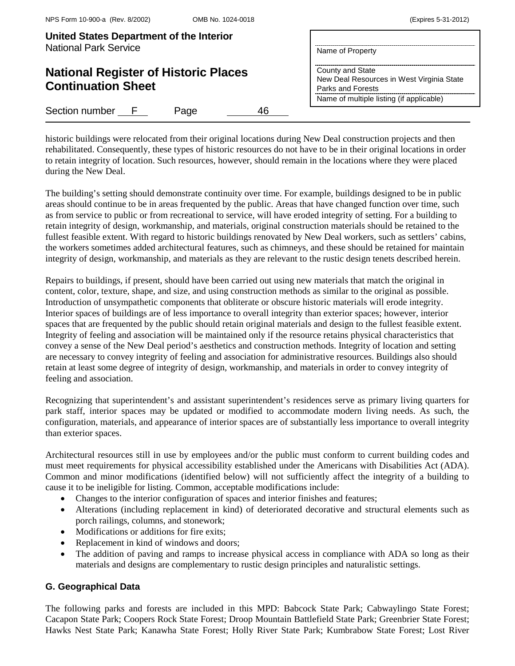| United States Department of the Interior<br><b>National Park Service</b> | Name of Property                                                                                                               |  |
|--------------------------------------------------------------------------|--------------------------------------------------------------------------------------------------------------------------------|--|
| <b>National Register of Historic Places</b><br><b>Continuation Sheet</b> | County and State<br>New Deal Resources in West Virginia State<br>Parks and Forests<br>Name of multiple listing (if applicable) |  |
| Section number F<br>46<br>Page                                           |                                                                                                                                |  |

historic buildings were relocated from their original locations during New Deal construction projects and then rehabilitated. Consequently, these types of historic resources do not have to be in their original locations in order to retain integrity of location. Such resources, however, should remain in the locations where they were placed during the New Deal.

The building's setting should demonstrate continuity over time. For example, buildings designed to be in public areas should continue to be in areas frequented by the public. Areas that have changed function over time, such as from service to public or from recreational to service, will have eroded integrity of setting. For a building to retain integrity of design, workmanship, and materials, original construction materials should be retained to the fullest feasible extent. With regard to historic buildings renovated by New Deal workers, such as settlers' cabins, the workers sometimes added architectural features, such as chimneys, and these should be retained for maintain integrity of design, workmanship, and materials as they are relevant to the rustic design tenets described herein.

Repairs to buildings, if present, should have been carried out using new materials that match the original in content, color, texture, shape, and size, and using construction methods as similar to the original as possible. Introduction of unsympathetic components that obliterate or obscure historic materials will erode integrity. Interior spaces of buildings are of less importance to overall integrity than exterior spaces; however, interior spaces that are frequented by the public should retain original materials and design to the fullest feasible extent. Integrity of feeling and association will be maintained only if the resource retains physical characteristics that convey a sense of the New Deal period's aesthetics and construction methods. Integrity of location and setting are necessary to convey integrity of feeling and association for administrative resources. Buildings also should retain at least some degree of integrity of design, workmanship, and materials in order to convey integrity of feeling and association.

Recognizing that superintendent's and assistant superintendent's residences serve as primary living quarters for park staff, interior spaces may be updated or modified to accommodate modern living needs. As such, the configuration, materials, and appearance of interior spaces are of substantially less importance to overall integrity than exterior spaces.

Architectural resources still in use by employees and/or the public must conform to current building codes and must meet requirements for physical accessibility established under the Americans with Disabilities Act (ADA). Common and minor modifications (identified below) will not sufficiently affect the integrity of a building to cause it to be ineligible for listing. Common, acceptable modifications include:

- Changes to the interior configuration of spaces and interior finishes and features;
- Alterations (including replacement in kind) of deteriorated decorative and structural elements such as porch railings, columns, and stonework;
- Modifications or additions for fire exits:
- Replacement in kind of windows and doors;
- The addition of paving and ramps to increase physical access in compliance with ADA so long as their materials and designs are complementary to rustic design principles and naturalistic settings.

# **G. Geographical Data**

The following parks and forests are included in this MPD: Babcock State Park; Cabwaylingo State Forest; Cacapon State Park; Coopers Rock State Forest; Droop Mountain Battlefield State Park; Greenbrier State Forest; Hawks Nest State Park; Kanawha State Forest; Holly River State Park; Kumbrabow State Forest; Lost River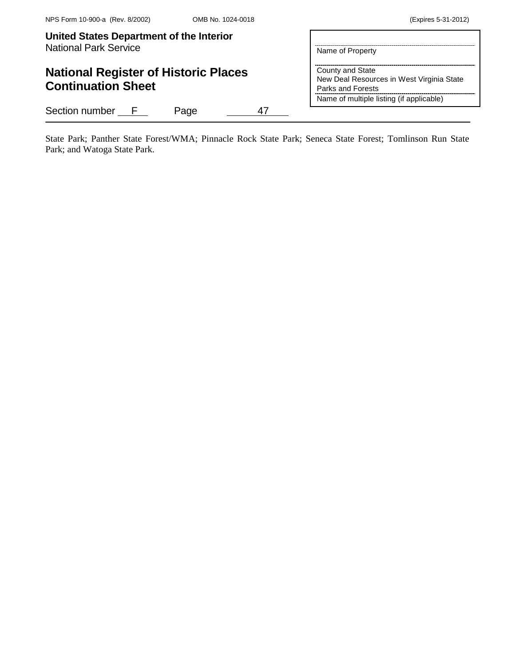# **National Register of Historic Places Continuation Sheet**

Section number F Page 47

Name of Property **County and State** New Deal Resources in West Virginia State Parks and Forests

Name of multiple listing (if applicable)

State Park; Panther State Forest/WMA; Pinnacle Rock State Park; Seneca State Forest; Tomlinson Run State Park; and Watoga State Park.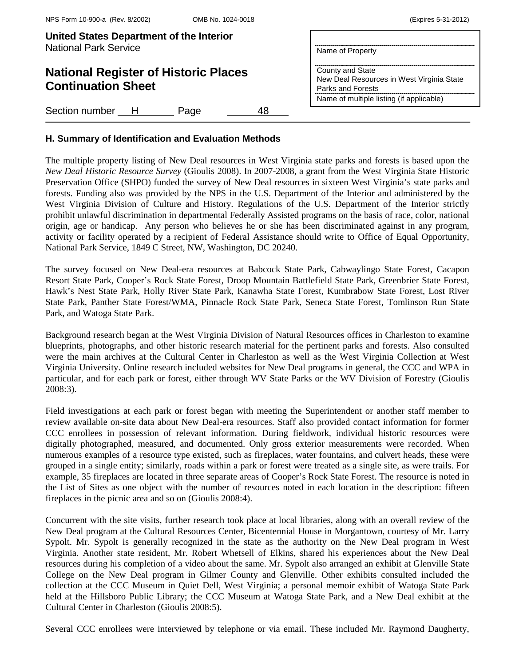| <b>United States Department of the Interior</b> |                  |
|-------------------------------------------------|------------------|
| National Park Service                           | Name of Property |

# **National Register of Historic Places Continuation Sheet**

Section number H Page 48

Name of Property County and State New Deal Resources in West Virginia State Parks and Forests Name of multiple listing (if applicable)

# **H. Summary of Identification and Evaluation Methods**

The multiple property listing of New Deal resources in West Virginia state parks and forests is based upon the *New Deal Historic Resource Survey* (Gioulis 2008). In 2007-2008, a grant from the West Virginia State Historic Preservation Office (SHPO) funded the survey of New Deal resources in sixteen West Virginia's state parks and forests. Funding also was provided by the NPS in the U.S. Department of the Interior and administered by the West Virginia Division of Culture and History. Regulations of the U.S. Department of the Interior strictly prohibit unlawful discrimination in departmental Federally Assisted programs on the basis of race, color, national origin, age or handicap. Any person who believes he or she has been discriminated against in any program, activity or facility operated by a recipient of Federal Assistance should write to Office of Equal Opportunity, National Park Service, 1849 C Street, NW, Washington, DC 20240.

The survey focused on New Deal-era resources at Babcock State Park, Cabwaylingo State Forest, Cacapon Resort State Park, Cooper's Rock State Forest, Droop Mountain Battlefield State Park, Greenbrier State Forest, Hawk's Nest State Park, Holly River State Park, Kanawha State Forest, Kumbrabow State Forest, Lost River State Park, Panther State Forest/WMA, Pinnacle Rock State Park, Seneca State Forest, Tomlinson Run State Park, and Watoga State Park.

Background research began at the West Virginia Division of Natural Resources offices in Charleston to examine blueprints, photographs, and other historic research material for the pertinent parks and forests. Also consulted were the main archives at the Cultural Center in Charleston as well as the West Virginia Collection at West Virginia University. Online research included websites for New Deal programs in general, the CCC and WPA in particular, and for each park or forest, either through WV State Parks or the WV Division of Forestry (Gioulis 2008:3).

Field investigations at each park or forest began with meeting the Superintendent or another staff member to review available on-site data about New Deal-era resources. Staff also provided contact information for former CCC enrollees in possession of relevant information. During fieldwork, individual historic resources were digitally photographed, measured, and documented. Only gross exterior measurements were recorded. When numerous examples of a resource type existed, such as fireplaces, water fountains, and culvert heads, these were grouped in a single entity; similarly, roads within a park or forest were treated as a single site, as were trails. For example, 35 fireplaces are located in three separate areas of Cooper's Rock State Forest. The resource is noted in the List of Sites as one object with the number of resources noted in each location in the description: fifteen fireplaces in the picnic area and so on (Gioulis 2008:4).

Concurrent with the site visits, further research took place at local libraries, along with an overall review of the New Deal program at the Cultural Resources Center, Bicentennial House in Morgantown, courtesy of Mr. Larry Sypolt. Mr. Sypolt is generally recognized in the state as the authority on the New Deal program in West Virginia. Another state resident, Mr. Robert Whetsell of Elkins, shared his experiences about the New Deal resources during his completion of a video about the same. Mr. Sypolt also arranged an exhibit at Glenville State College on the New Deal program in Gilmer County and Glenville. Other exhibits consulted included the collection at the CCC Museum in Quiet Dell, West Virginia; a personal memoir exhibit of Watoga State Park held at the Hillsboro Public Library; the CCC Museum at Watoga State Park, and a New Deal exhibit at the Cultural Center in Charleston (Gioulis 2008:5).

Several CCC enrollees were interviewed by telephone or via email. These included Mr. Raymond Daugherty,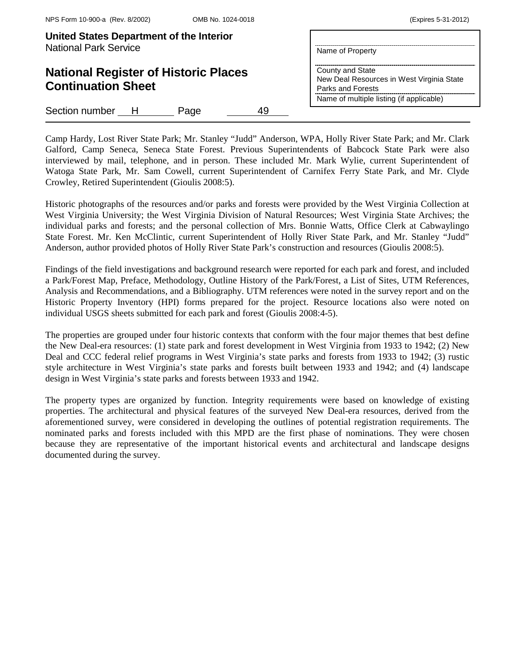**Continuation Sheet**

| United States Department of the Interior<br><b>National Park Service</b> |                                                           |
|--------------------------------------------------------------------------|-----------------------------------------------------------|
|                                                                          | Name of Property                                          |
| <b>National Register of Historic Places</b>                              | County and State<br>Now Dool Pocources in West Virginia S |

State New Deal Resources in West Virginia State Parks and Forests Name of multiple listing (if applicable)

Section number H Page 49

Camp Hardy, Lost River State Park; Mr. Stanley "Judd" Anderson, WPA, Holly River State Park; and Mr. Clark Galford, Camp Seneca, Seneca State Forest. Previous Superintendents of Babcock State Park were also interviewed by mail, telephone, and in person. These included Mr. Mark Wylie, current Superintendent of Watoga State Park, Mr. Sam Cowell, current Superintendent of Carnifex Ferry State Park, and Mr. Clyde Crowley, Retired Superintendent (Gioulis 2008:5).

Historic photographs of the resources and/or parks and forests were provided by the West Virginia Collection at West Virginia University; the West Virginia Division of Natural Resources; West Virginia State Archives; the individual parks and forests; and the personal collection of Mrs. Bonnie Watts, Office Clerk at Cabwaylingo State Forest. Mr. Ken McClintic, current Superintendent of Holly River State Park, and Mr. Stanley "Judd" Anderson, author provided photos of Holly River State Park's construction and resources (Gioulis 2008:5).

Findings of the field investigations and background research were reported for each park and forest, and included a Park/Forest Map, Preface, Methodology, Outline History of the Park/Forest, a List of Sites, UTM References, Analysis and Recommendations, and a Bibliography. UTM references were noted in the survey report and on the Historic Property Inventory (HPI) forms prepared for the project. Resource locations also were noted on individual USGS sheets submitted for each park and forest (Gioulis 2008:4-5).

The properties are grouped under four historic contexts that conform with the four major themes that best define the New Deal-era resources: (1) state park and forest development in West Virginia from 1933 to 1942; (2) New Deal and CCC federal relief programs in West Virginia's state parks and forests from 1933 to 1942; (3) rustic style architecture in West Virginia's state parks and forests built between 1933 and 1942; and (4) landscape design in West Virginia's state parks and forests between 1933 and 1942.

The property types are organized by function. Integrity requirements were based on knowledge of existing properties. The architectural and physical features of the surveyed New Deal-era resources, derived from the aforementioned survey, were considered in developing the outlines of potential registration requirements. The nominated parks and forests included with this MPD are the first phase of nominations. They were chosen because they are representative of the important historical events and architectural and landscape designs documented during the survey.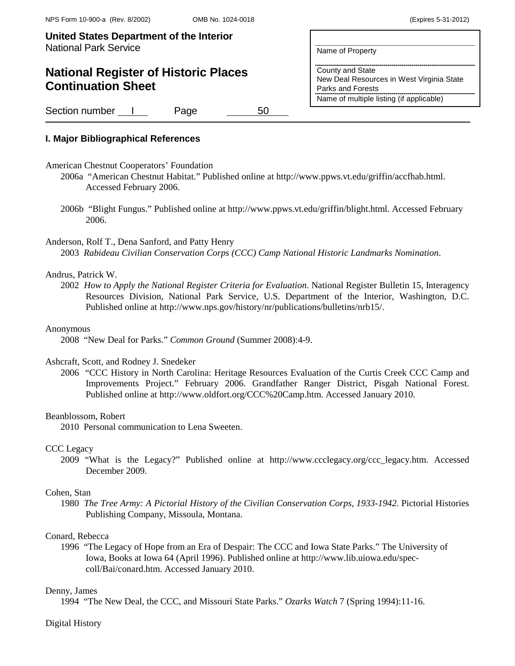Name of Property

County and State

Parks and Forests

New Deal Resources in West Virginia State

Name of multiple listing (if applicable)

**United States Department of the Interior** National Park Service

# **National Register of Historic Places Continuation Sheet**

Section number 1 Page 50

# **I. Major Bibliographical References**

- American Chestnut Cooperators' Foundation
	- 2006a "American Chestnut Habitat." Published online at [http://www.ppws.vt.edu/griffin/accfhab.html.](http://www.ppws.vt.edu/griffin/accfhab.html) Accessed February 2006.
	- 2006b "Blight Fungus." Published online at [http://www.ppws.vt.edu/griffin/blight.html.](http://www.ppws.vt.edu/griffin/blight.html) Accessed February 2006.

## Anderson, Rolf T., Dena Sanford, and Patty Henry

2003 *Rabideau Civilian Conservation Corps (CCC) Camp National Historic Landmarks Nomination*.

#### Andrus, Patrick W.

2002 *How to Apply the National Register Criteria for Evaluation*. National Register Bulletin 15, Interagency Resources Division, National Park Service, U.S. Department of the Interior, Washington, D.C. Published online at http://www.nps.gov/history/nr/publications/bulletins/nrb15/.

#### Anonymous

2008 "New Deal for Parks." *Common Ground* (Summer 2008):4-9.

### Ashcraft, Scott, and Rodney J. Snedeker

2006 "CCC History in North Carolina: Heritage Resources Evaluation of the Curtis Creek CCC Camp and Improvements Project." February 2006. Grandfather Ranger District, Pisgah National Forest. Published online at http://www.oldfort.org/CCC%20Camp.htm. Accessed January 2010.

## Beanblossom, Robert

2010 Personal communication to Lena Sweeten.

#### CCC Legacy

2009 "What is the Legacy?" Published online at http://www.ccclegacy.org/ccc\_legacy.htm. Accessed December 2009.

#### Cohen, Stan

1980 *The Tree Army: A Pictorial History of the Civilian Conservation Corps, 1933-1942*. Pictorial Histories Publishing Company, Missoula, Montana.

# Conard, Rebecca

1996 "The Legacy of Hope from an Era of Despair: The CCC and Iowa State Parks." The University of Iowa, Books at Iowa 64 (April 1996). Published online at http://www.lib.uiowa.edu/speccoll/Bai/conard.htm. Accessed January 2010.

## Denny, James

1994 "The New Deal, the CCC, and Missouri State Parks." *Ozarks Watch* 7 (Spring 1994):11-16.

## Digital History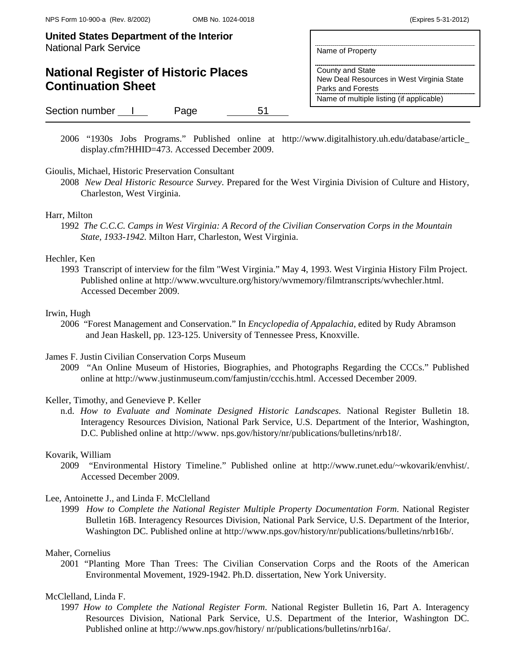# **National Register of Historic Places Continuation Sheet**

Section number 1 Page 51

2006 "1930s Jobs Programs." Published online at http://www.digitalhistory.uh.edu/database/article\_ display.cfm?HHID=473. Accessed December 2009.

Name of Property

County and State

Parks and Forests

New Deal Resources in West Virginia State

Name of multiple listing (if applicable)

## Gioulis, Michael, Historic Preservation Consultant

2008 *New Deal Historic Resource Survey*. Prepared for the West Virginia Division of Culture and History, Charleston, West Virginia.

## Harr, Milton

1992 *The C.C.C. Camps in West Virginia: A Record of the Civilian Conservation Corps in the Mountain State, 1933-1942.* Milton Harr, Charleston, West Virginia.

## Hechler, Ken

1993 Transcript of interview for the film "West Virginia." May 4, 1993. West Virginia History Film Project. Published online at http://www.wvculture.org/history/wvmemory/filmtranscripts/wvhechler.html. Accessed December 2009.

#### Irwin, Hugh

2006 "Forest Management and Conservation." In *Encyclopedia of Appalachia*, edited by Rudy Abramson and Jean Haskell, pp. 123-125. University of Tennessee Press, Knoxville.

## James F. Justin Civilian Conservation Corps Museum

2009 "An Online Museum of Histories, Biographies, and Photographs Regarding the CCCs." Published online at http://www.justinmuseum.com/famjustin/ccchis.html. Accessed December 2009.

## Keller, Timothy, and Genevieve P. Keller

n.d. *How to Evaluate and Nominate Designed Historic Landscapes*. National Register Bulletin 18. Interagency Resources Division, National Park Service, U.S. Department of the Interior, Washington, D.C. Published online at http://www. nps.gov/history/nr/publications/bulletins/nrb18/.

#### Kovarik, William

2009 "Environmental History Timeline." Published online at http://www.runet.edu/~wkovarik/envhist/. Accessed December 2009.

### Lee, Antoinette J., and Linda F. McClelland

1999 *How to Complete the National Register Multiple Property Documentation Form*. National Register Bulletin 16B. Interagency Resources Division, National Park Service, U.S. Department of the Interior, Washington DC. Published online at http://www.nps.gov/history/nr/publications/bulletins/nrb16b/.

#### Maher, Cornelius

2001 "Planting More Than Trees: The Civilian Conservation Corps and the Roots of the American Environmental Movement, 1929-1942. Ph.D. dissertation, New York University.

#### McClelland, Linda F.

1997 *How to Complete the National Register Form*. National Register Bulletin 16, Part A. Interagency Resources Division, National Park Service, U.S. Department of the Interior, Washington DC. Published online at http://www.nps.gov/history/ nr/publications/bulletins/nrb16a/.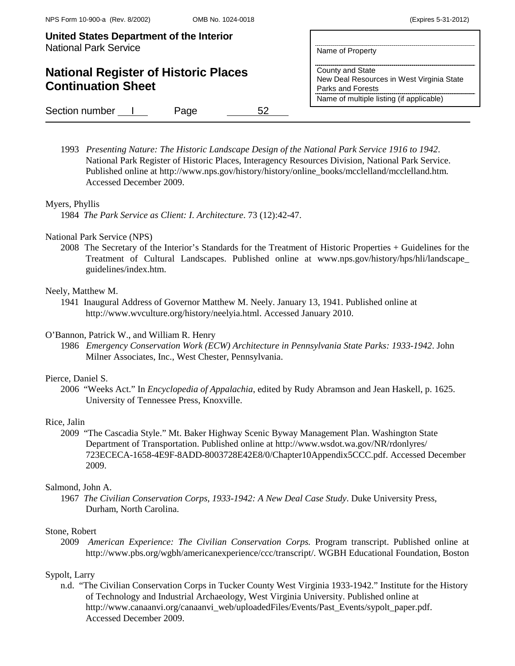# **National Register of Historic Places Continuation Sheet**

| Name of Property |  |  |
|------------------|--|--|

County and State New Deal Resources in West Virginia State Parks and Forests Name of multiple listing (if applicable)

Section number 1 Page 52

1993 *Presenting Nature: The Historic Landscape Design of the National Park Service 1916 to 1942*. National Park Register of Historic Places, Interagency Resources Division, National Park Service. Published online at http://www.nps.gov/history/history/online\_books/mcclelland/mcclelland.htm. Accessed December 2009.

# Myers, Phyllis

1984 *The Park Service as Client: I. Architecture*. 73 (12):42-47.

## National Park Service (NPS)

2008 The Secretary of the Interior's Standards for the Treatment of Historic Properties + Guidelines for the Treatment of Cultural Landscapes. Published online at www.nps.gov/history/hps/hli/landscape\_ guidelines/index.htm.

## Neely, Matthew M.

1941 Inaugural Address of Governor Matthew M. Neely. January 13, 1941. Published online at http://www.wvculture.org/history/neelyia.html. Accessed January 2010.

## O'Bannon, Patrick W., and William R. Henry

1986 *Emergency Conservation Work (ECW) Architecture in Pennsylvania State Parks: 1933-1942*. John Milner Associates, Inc., West Chester, Pennsylvania.

## Pierce, Daniel S.

2006 "Weeks Act." In *Encyclopedia of Appalachia*, edited by Rudy Abramson and Jean Haskell, p. 1625. University of Tennessee Press, Knoxville.

## Rice, Jalin

2009 "The Cascadia Style." Mt. Baker Highway Scenic Byway Management Plan. Washington State Department of Transportation. Published online at http://www.wsdot.wa.gov/NR/rdonlyres/ 723ECECA-1658-4E9F-8ADD-8003728E42E8/0/Chapter10Appendix5CCC.pdf. Accessed December 2009.

## Salmond, John A.

1967 *The Civilian Conservation Corps, 1933-1942: A New Deal Case Study*. Duke University Press, Durham, North Carolina.

## Stone, Robert

2009 *American Experience: The Civilian Conservation Corps.* Program transcript. Published online at [http://www.pbs.org/wgbh/americanexperience/ccc/transcript/.](http://www.pbs.org/wgbh/americanexperience/ccc/transcript/) WGBH Educational Foundation, Boston

## Sypolt, Larry

n.d. "The Civilian Conservation Corps in Tucker County West Virginia 1933-1942." Institute for the History of Technology and Industrial Archaeology, West Virginia University. Published online at http://www.canaanvi.org/canaanvi\_web/uploadedFiles/Events/Past\_Events/sypolt\_paper.pdf. Accessed December 2009.